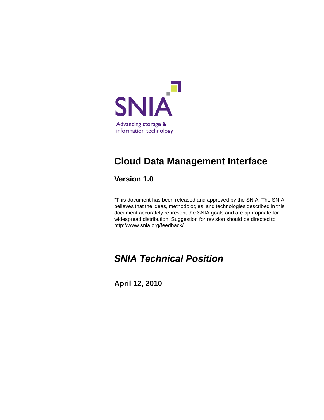

# **Cloud Data Management Interface**

**Version 1.0**

"This document has been released and approved by the SNIA. The SNIA believes that the ideas, methodologies, and technologies described in this document accurately represent the SNIA goals and are appropriate for widespread distribution. Suggestion for revision should be directed to http://www.snia.org/feedback/.

# *SNIA Technical Position*

**April 12, 2010**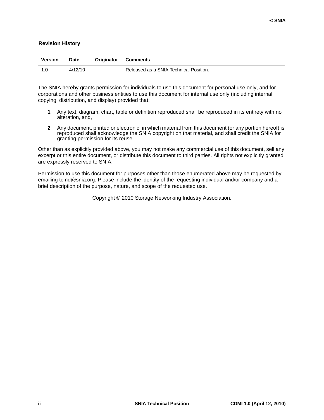#### **Revision History**

| <b>Version</b> | <b>Date</b> | <b>Originator Comments</b>             |
|----------------|-------------|----------------------------------------|
| 1.0            | 4/12/10     | Released as a SNIA Technical Position. |

The SNIA hereby grants permission for individuals to use this document for personal use only, and for corporations and other business entities to use this document for internal use only (including internal copying, distribution, and display) provided that:

- **1** Any text, diagram, chart, table or definition reproduced shall be reproduced in its entirety with no alteration, and,
- **2** Any document, printed or electronic, in which material from this document (or any portion hereof) is reproduced shall acknowledge the SNIA copyright on that material, and shall credit the SNIA for granting permission for its reuse.

Other than as explicitly provided above, you may not make any commercial use of this document, sell any excerpt or this entire document, or distribute this document to third parties. All rights not explicitly granted are expressly reserved to SNIA.

Permission to use this document for purposes other than those enumerated above may be requested by emailing tcmd@snia.org. Please include the identity of the requesting individual and/or company and a brief description of the purpose, nature, and scope of the requested use.

Copyright © 2010 Storage Networking Industry Association.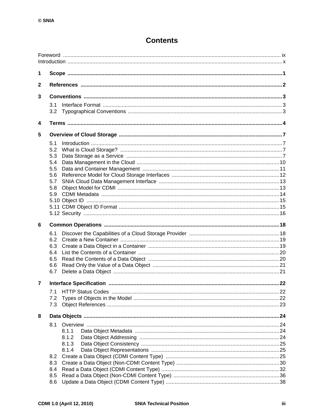## **Contents**

| 1              |                |  |
|----------------|----------------|--|
| $\mathbf{2}$   |                |  |
| 3              |                |  |
|                | 3.1            |  |
|                | 3.2            |  |
| 4              |                |  |
| 5              |                |  |
|                | 5.1            |  |
|                | 5.2            |  |
|                | 5.3<br>5.4     |  |
|                | 5.5            |  |
|                | 5.6            |  |
|                | 5.7            |  |
|                | 5.8            |  |
|                | 5.9            |  |
|                |                |  |
|                |                |  |
| 6              |                |  |
|                | 6.1            |  |
|                | 6.2            |  |
|                | 6.3            |  |
|                | 6.4            |  |
|                | 6.5            |  |
|                | 6.6<br>6.7     |  |
|                |                |  |
| $\overline{7}$ |                |  |
|                | 7.1            |  |
|                | 7.2<br>7.3     |  |
|                |                |  |
| 8              |                |  |
|                | 8.1            |  |
|                | 8.1.1<br>8.1.2 |  |
|                | 8.1.3          |  |
|                | 8.1.4          |  |
|                | 8.2            |  |
|                | 8.3            |  |
|                | 8.4            |  |
|                |                |  |
|                | 8.5<br>8.6     |  |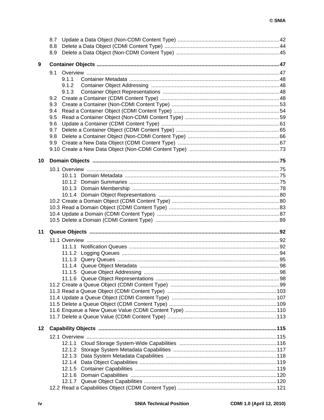|    | 8.7 |       |  |  |  |
|----|-----|-------|--|--|--|
|    | 8.8 |       |  |  |  |
|    | 8.9 |       |  |  |  |
|    |     |       |  |  |  |
| 9  |     |       |  |  |  |
|    |     |       |  |  |  |
|    |     | 9.1.1 |  |  |  |
|    |     | 9.1.2 |  |  |  |
|    |     | 9.1.3 |  |  |  |
|    | 9.2 |       |  |  |  |
|    | 9.3 |       |  |  |  |
|    | 9.4 |       |  |  |  |
|    | 9.5 |       |  |  |  |
|    | 9.6 |       |  |  |  |
|    | 9.7 |       |  |  |  |
|    | 9.8 |       |  |  |  |
|    | 9.9 |       |  |  |  |
|    |     |       |  |  |  |
|    |     |       |  |  |  |
| 10 |     |       |  |  |  |
|    |     |       |  |  |  |
|    |     |       |  |  |  |
|    |     |       |  |  |  |
|    |     |       |  |  |  |
|    |     |       |  |  |  |
|    |     |       |  |  |  |
|    |     |       |  |  |  |
|    |     |       |  |  |  |
|    |     |       |  |  |  |
|    |     |       |  |  |  |
|    |     |       |  |  |  |
| 11 |     |       |  |  |  |
|    |     |       |  |  |  |
|    |     |       |  |  |  |
|    |     |       |  |  |  |
|    |     |       |  |  |  |
|    |     |       |  |  |  |
|    |     |       |  |  |  |
|    |     |       |  |  |  |
|    |     |       |  |  |  |
|    |     |       |  |  |  |
|    |     |       |  |  |  |
|    |     |       |  |  |  |
|    |     |       |  |  |  |
|    |     |       |  |  |  |
|    |     |       |  |  |  |
|    |     |       |  |  |  |
| 12 |     |       |  |  |  |
|    |     |       |  |  |  |
|    |     |       |  |  |  |
|    |     |       |  |  |  |
|    |     |       |  |  |  |
|    |     |       |  |  |  |
|    |     |       |  |  |  |
|    |     |       |  |  |  |
|    |     |       |  |  |  |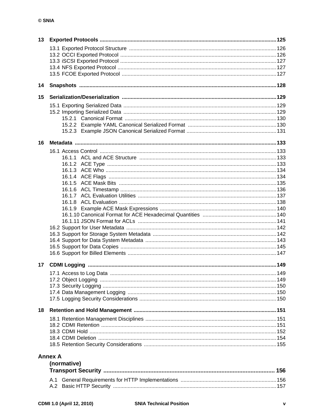| 13 |                |     |
|----|----------------|-----|
|    |                |     |
|    |                |     |
|    |                |     |
|    |                |     |
|    |                |     |
|    |                |     |
| 14 |                |     |
| 15 |                |     |
|    |                |     |
|    |                |     |
|    |                |     |
|    |                |     |
|    |                |     |
| 16 |                |     |
|    |                |     |
|    |                |     |
|    |                |     |
|    |                |     |
|    |                |     |
|    |                |     |
|    |                |     |
|    |                |     |
|    |                |     |
|    |                |     |
|    |                |     |
|    |                |     |
|    |                |     |
|    |                |     |
|    |                |     |
|    |                |     |
|    |                |     |
| 17 |                |     |
|    |                |     |
|    |                |     |
|    |                |     |
|    |                |     |
|    |                |     |
| 18 |                |     |
|    |                |     |
|    |                |     |
|    |                |     |
|    |                |     |
|    |                |     |
|    | <b>Annex A</b> |     |
|    | (normative)    |     |
|    |                | 156 |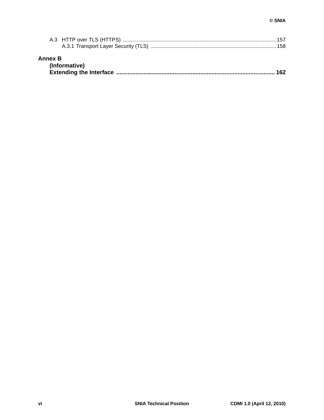| <b>Annex B</b><br>(Informative) |  |
|---------------------------------|--|

**[Extending the Interface .................................................................................................. 162](#page-172-0)**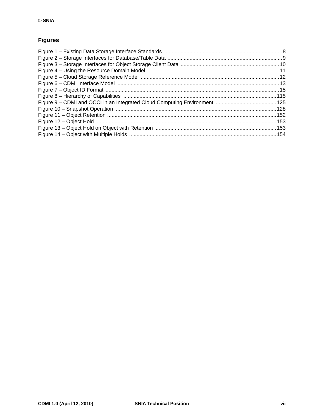## **Figures**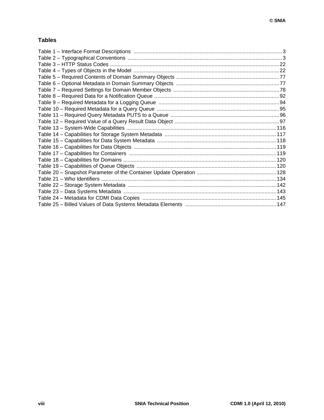### **Tables**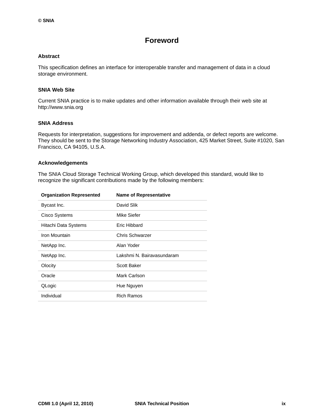## **Foreword**

#### <span id="page-8-0"></span>**Abstract**

This specification defines an interface for interoperable transfer and management of data in a cloud storage environment.

#### **SNIA Web Site**

Current SNIA practice is to make updates and other information available through their web site at http://www.snia.org

#### **SNIA Address**

Requests for interpretation, suggestions for improvement and addenda, or defect reports are welcome. They should be sent to the Storage Networking Industry Association, 425 Market Street, Suite #1020, San Francisco, CA 94105, U.S.A.

#### **Acknowledgements**

The SNIA Cloud Storage Technical Working Group, which developed this standard, would like to recognize the significant contributions made by the following members:

| <b>Organization Represented</b> | <b>Name of Representative</b> |
|---------------------------------|-------------------------------|
| Bycast Inc.                     | David Slik                    |
| Cisco Systems                   | Mike Siefer                   |
| Hitachi Data Systems            | Eric Hibbard                  |
| Iron Mountain                   | Chris Schwarzer               |
| NetApp Inc.                     | Alan Yoder                    |
| NetApp Inc.                     | Lakshmi N. Bairavasundaram    |
| Olocity                         | <b>Scott Baker</b>            |
| Oracle                          | Mark Carlson                  |
| QLogic                          | Hue Nguyen                    |
| Individual                      | <b>Rich Ramos</b>             |
|                                 |                               |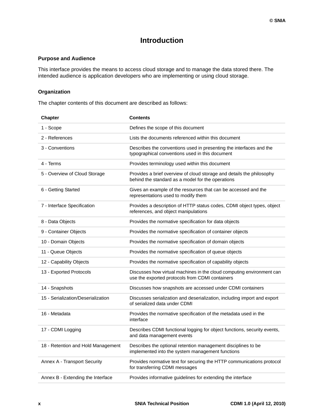## **Introduction**

#### <span id="page-9-0"></span>**Purpose and Audience**

This interface provides the means to access cloud storage and to manage the data stored there. The intended audience is application developers who are implementing or using cloud storage.

#### **Organization**

The chapter contents of this document are described as follows:

| <b>Chapter</b>                     | <b>Contents</b>                                                                                                            |
|------------------------------------|----------------------------------------------------------------------------------------------------------------------------|
| 1 - Scope                          | Defines the scope of this document                                                                                         |
| 2 - References                     | Lists the documents referenced within this document                                                                        |
| 3 - Conventions                    | Describes the conventions used in presenting the interfaces and the<br>typographical conventions used in this document     |
| 4 - Terms                          | Provides terminology used within this document                                                                             |
| 5 - Overview of Cloud Storage      | Provides a brief overview of cloud storage and details the philosophy<br>behind the standard as a model for the operations |
| 6 - Getting Started                | Gives an example of the resources that can be accessed and the<br>representations used to modify them                      |
| 7 - Interface Specification        | Provides a description of HTTP status codes, CDMI object types, object<br>references, and object manipulations             |
| 8 - Data Objects                   | Provides the normative specification for data objects                                                                      |
| 9 - Container Objects              | Provides the normative specification of container objects                                                                  |
| 10 - Domain Objects                | Provides the normative specification of domain objects                                                                     |
| 11 - Queue Objects                 | Provides the normative specification of queue objects                                                                      |
| 12 - Capability Objects            | Provides the normative specification of capability objects                                                                 |
| 13 - Exported Protocols            | Discusses how virtual machines in the cloud computing environment can<br>use the exported protocols from CDMI containers   |
| 14 - Snapshots                     | Discusses how snapshots are accessed under CDMI containers                                                                 |
| 15 - Serialization/Deserialization | Discusses serialization and deserialization, including import and export<br>of serialized data under CDMI                  |
| 16 - Metadata                      | Provides the normative specification of the metadata used in the<br>interface                                              |
| 17 - CDMI Logging                  | Describes CDMI functional logging for object functions, security events,<br>and data management events                     |
| 18 - Retention and Hold Management | Describes the optional retention management disciplines to be<br>implemented into the system management functions          |
| Annex A - Transport Security       | Provides normative text for securing the HTTP communications protocol<br>for transferring CDMI messages                    |
| Annex B - Extending the Interface  | Provides informative guidelines for extending the interface                                                                |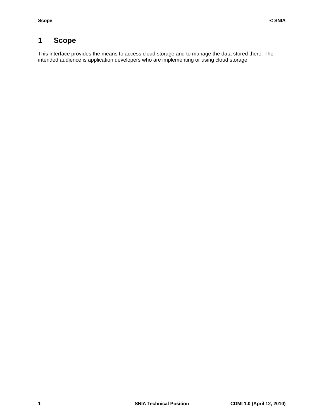## <span id="page-11-0"></span>**1 Scope**

This interface provides the means to access cloud storage and to manage the data stored there. The intended audience is application developers who are implementing or using cloud storage.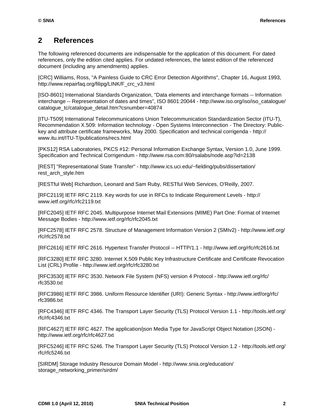## <span id="page-12-0"></span>**2 References**

The following referenced documents are indispensable for the application of this document. For dated references, only the edition cited applies. For undated references, the latest edition of the referenced document (including any amendments) applies.

[CRC] Williams, Ross, "A Painless Guide to CRC Error Detection Algorithms", Chapter 16, August 1993, http://www.repairfaq.org/filipg/LINK/F\_crc\_v3.html

[ISO-8601] International Standards Organization, "Data elements and interchange formats -- Information interchange -- Representation of dates and times", ISO 8601:20044 - http://www.iso.org/iso/iso\_catalogue/ catalogue\_tc/catalogue\_detail.htm?csnumber=40874

[ITU-T509] International Telecommunications Union Telecommunication Standardization Sector (ITU-T), Recommendation X.509: Information technology - Open Systems Interconnection - The Directory: Publickey and attribute certificate frameworks, May 2000. Specification and technical corrigenda - http:// www.itu.int/ITU-T/publications/recs.html

[PKS12] RSA Laboratories, PKCS #12: Personal Information Exchange Syntax, Version 1.0, June 1999. Specification and Technical Corrigendum - http://www.rsa.com:80/rsalabs/node.asp?id=2138

[REST] "Representational State Transfer" - http://www.ics.uci.edu/~fielding/pubs/dissertation/ rest\_arch\_style.htm

[RESTful Web] Richardson, Leonard and Sam Ruby, RESTful Web Services, O'Reilly, 2007.

[RFC2119] IETF RFC 2119. Key words for use in RFCs to Indicate Requirement Levels - http:// www.ietf.org/rfc/rfc2119.txt

[RFC2045] IETF RFC 2045. Multipurpose Internet Mail Extensions (MIME) Part One: Format of Internet Message Bodies - http://www.ietf.org/rfc/rfc2045.txt

[RFC2578] IETF RFC 2578. Structure of Management Information Version 2 (SMIv2) - http://www.ietf.org/ rfc/rfc2578.txt

[RFC2616] IETF RFC 2616. Hypertext Transfer Protocol -- HTTP/1.1 - http://www.ietf.org/rfc/rfc2616.txt

[RFC3280] IETF RFC 3280. Internet X.509 Public Key Infrastructure Certificate and Certificate Revocation List (CRL) Profile - http://www.ietf.org/rfc/rfc3280.txt

[RFC3530] IETF RFC 3530. Network File System (NFS) version 4 Protocol - http://www.ietf.org/rfc/ rfc3530.txt

[RFC3986] IETF RFC 3986. Uniform Resource Identifier (URI): Generic Syntax - http://www.ietf/org/rfc/ rfc3986.txt

[RFC4346] IETF RFC 4346. The Transport Layer Security (TLS) Protocol Version 1.1 - http://tools.ietf.org/ rfc/rfc4346.txt

[RFC4627] IETF RFC 4627. The application/json Media Type for JavaScript Object Notation (JSON) http://www.ietf.org/rfc/rfc4627.txt

[RFC5246] IETF RFC 5246. The Transport Layer Security (TLS) Protocol Version 1.2 - http://tools.ietf.org/ rfc/rfc5246.txt

[SIRDM] Storage Industry Resource Domain Model - http://www.snia.org/education/ storage\_networking\_primer/sirdm/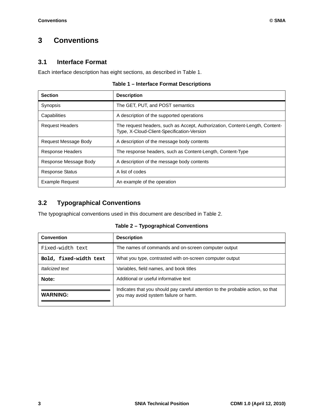## <span id="page-13-0"></span>**3 Conventions**

## <span id="page-13-1"></span>**3.1 Interface Format**

Each interface description has eight sections, as described in [Table 1.](#page-13-3)

#### **Table 1 – Interface Format Descriptions**

<span id="page-13-3"></span>

| <b>Section</b>          | <b>Description</b>                                                                                                         |
|-------------------------|----------------------------------------------------------------------------------------------------------------------------|
| Synopsis                | The GET, PUT, and POST semantics                                                                                           |
| Capabilities            | A description of the supported operations                                                                                  |
| <b>Request Headers</b>  | The request headers, such as Accept, Authorization, Content-Length, Content-<br>Type, X-Cloud-Client-Specification-Version |
| Request Message Body    | A description of the message body contents                                                                                 |
| <b>Response Headers</b> | The response headers, such as Content-Length, Content-Type                                                                 |
| Response Message Body   | A description of the message body contents                                                                                 |
| <b>Response Status</b>  | A list of codes                                                                                                            |
| <b>Example Request</b>  | An example of the operation                                                                                                |

## <span id="page-13-2"></span>**3.2 Typographical Conventions**

The typographical conventions used in this document are described in [Table 2.](#page-13-4)

**Table 2 – Typographical Conventions**

<span id="page-13-4"></span>

| <b>Convention</b>      | <b>Description</b>                                                                                                       |
|------------------------|--------------------------------------------------------------------------------------------------------------------------|
| Fixed-width text       | The names of commands and on-screen computer output                                                                      |
| Bold, fixed-width text | What you type, contrasted with on-screen computer output                                                                 |
| Italicized text        | Variables, field names, and book titles                                                                                  |
| Note:                  | Additional or useful informative text                                                                                    |
| <b>WARNING:</b>        | Indicates that you should pay careful attention to the probable action, so that<br>you may avoid system failure or harm. |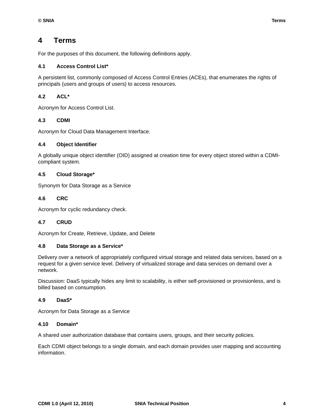## <span id="page-14-0"></span>**4 Terms**

For the purposes of this document, the following definitions apply.

#### **4.1 Access Control List\***

A persistent list, commonly composed of Access Control Entries (ACEs), that enumerates the rights of principals (users and groups of users) to access resources.

#### **4.2 ACL\***

Acronym for Access Control List.

#### **4.3 CDMI**

Acronym for Cloud Data Management Interface.

#### **4.4 Object Identifier**

A globally unique object identifier (OID) assigned at creation time for every object stored within a CDMIcompliant system.

#### **4.5 Cloud Storage\***

Synonym for Data Storage as a Service

#### **4.6 CRC**

Acronym for cyclic redundancy check.

#### **4.7 CRUD**

Acronym for Create, Retrieve, Update, and Delete

#### **4.8 Data Storage as a Service\***

Delivery over a network of appropriately configured virtual storage and related data services, based on a request for a given service level. Delivery of virtualized storage and data services on demand over a network.

Discussion: DaaS typically hides any limit to scalability, is either self-provisioned or provisionless, and is billed based on consumption.

#### **4.9 DaaS\***

Acronym for Data Storage as a Service

#### **4.10 Domain\***

A shared user authorization database that contains users, groups, and their security policies.

Each CDMI object belongs to a single domain, and each domain provides user mapping and accounting information.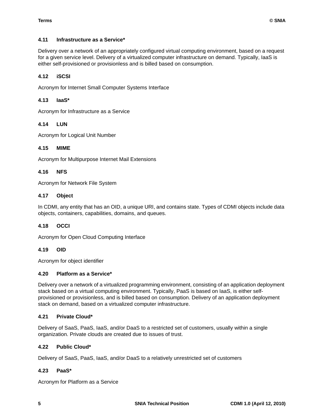#### **4.11 Infrastructure as a Service\***

Delivery over a network of an appropriately configured virtual computing environment, based on a request for a given service level. Delivery of a virtualized computer infrastructure on demand. Typically, IaaS is either self-provisioned or provisionless and is billed based on consumption.

#### **4.12 iSCSI**

Acronym for Internet Small Computer Systems Interface

#### **4.13 IaaS\***

Acronym for Infrastructure as a Service

#### **4.14 LUN**

Acronym for Logical Unit Number

#### **4.15 MIME**

Acronym for Multipurpose Internet Mail Extensions

#### **4.16 NFS**

Acronym for Network File System

#### **4.17 Object**

In CDMI, any entity that has an OID, a unique URI, and contains state. Types of CDMI objects include data objects, containers, capabilities, domains, and queues.

#### **4.18 OCCI**

Acronym for Open Cloud Computing Interface

#### **4.19 OID**

Acronym for object identifier

#### **4.20 Platform as a Service\***

Delivery over a network of a virtualized programming environment, consisting of an application deployment stack based on a virtual computing environment. Typically, PaaS is based on IaaS, is either selfprovisioned or provisionless, and is billed based on consumption. Delivery of an application deployment stack on demand, based on a virtualized computer infrastructure.

#### **4.21 Private Cloud\***

Delivery of SaaS, PaaS, IaaS, and/or DaaS to a restricted set of customers, usually within a single organization. Private clouds are created due to issues of trust.

#### **4.22 Public Cloud\***

Delivery of SaaS, PaaS, IaaS, and/or DaaS to a relatively unrestricted set of customers

#### **4.23 PaaS\***

Acronym for Platform as a Service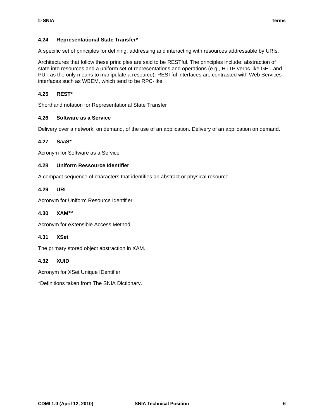#### **4.24 Representational State Transfer\***

A specific set of principles for defining, addressing and interacting with resources addressable by URIs.

Architectures that follow these principles are said to be RESTful. The principles include: abstraction of state into resources and a uniform set of representations and operations (e.g., HTTP verbs like GET and PUT as the only means to manipulate a resource). RESTful interfaces are contrasted with Web Services interfaces such as WBEM, which tend to be RPC-like.

#### **4.25 REST\***

Shorthand notation for Representational State Transfer

#### **4.26 Software as a Service**

Delivery over a network, on demand, of the use of an application. Delivery of an application on demand.

#### **4.27 SaaS\***

Acronym for Software as a Service

#### **4.28 Uniform Ressource Identifier**

A compact sequence of characters that identifies an abstract or physical resource.

#### **4.29 URI**

Acronym for Uniform Resource Identifier

#### **4.30 XAM™**

Acronym for eXtensible Access Method

#### **4.31 XSet**

The primary stored object abstraction in XAM.

#### **4.32 XUID**

Acronym for XSet Unique IDentifier

\*Definitions taken from The SNIA Dictionary.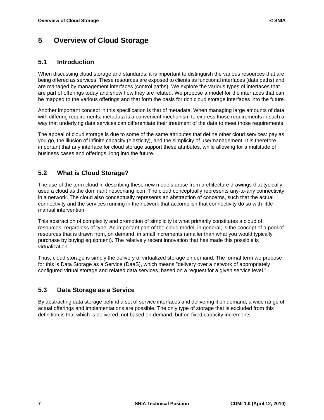## <span id="page-17-0"></span>**5 Overview of Cloud Storage**

### <span id="page-17-1"></span>**5.1 Introduction**

When discussing cloud storage and standards, it is important to distinguish the various resources that are being offered as services. These resources are exposed to clients as functional interfaces (data paths) and are managed by management interfaces (control paths). We explore the various types of interfaces that are part of offerings today and show how they are related. We propose a model for the interfaces that can be mapped to the various offerings and that form the basis for rich cloud storage interfaces into the future.

Another important concept in this specification is that of metadata. When managing large amounts of data with differing requirements, metadata is a convenient mechanism to express those requirements in such a way that underlying data services can differentiate their treatment of the data to meet those requirements.

The appeal of cloud storage is due to some of the same attributes that define other cloud services: pay as you go, the illusion of infinite capacity (elasticity), and the simplicity of use/management. It is therefore important that any interface for cloud storage support these attributes, while allowing for a multitude of business cases and offerings, long into the future.

## <span id="page-17-2"></span>**5.2 What is Cloud Storage?**

The use of the term cloud in describing these new models arose from architecture drawings that typically used a cloud as the dominant networking icon. The cloud conceptually represents any-to-any connectivity in a network. The cloud also conceptually represents an abstraction of concerns, such that the actual connectivity and the services running in the network that accomplish that connectivity do so with little manual intervention.

This abstraction of complexity and promotion of simplicity is what primarily constitutes a cloud of resources, regardless of type. An important part of the cloud model, in general, is the concept of a pool of resources that is drawn from, on demand, in small increments (smaller than what you would typically purchase by buying equipment). The relatively recent innovation that has made this possible is virtualization.

Thus, cloud storage is simply the delivery of virtualized storage on demand. The formal term we propose for this is Data Storage as a Service (DaaS), which means "delivery over a network of appropriately configured virtual storage and related data services, based on a request for a given service level."

## <span id="page-17-3"></span>**5.3 Data Storage as a Service**

By abstracting data storage behind a set of service interfaces and delivering it on demand, a wide range of actual offerings and implementations are possible. The only type of storage that is excluded from this definition is that which is delivered, not based on demand, but on fixed capacity increments.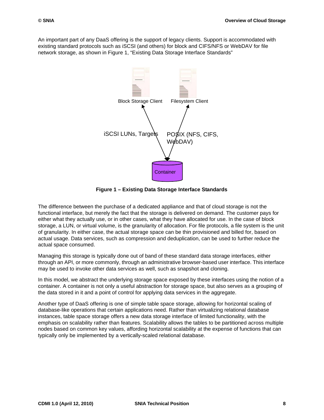An important part of any DaaS offering is the support of legacy clients. Support is accommodated with existing standard protocols such as iSCSI (and others) for block and CIFS/NFS or WebDAV for file network storage, as shown in [Figure 1, "Existing Data Storage Interface Standards"](#page-18-0)



**Figure 1 – Existing Data Storage Interface Standards**

<span id="page-18-0"></span>The difference between the purchase of a dedicated appliance and that of cloud storage is not the functional interface, but merely the fact that the storage is delivered on demand. The customer pays for either what they actually use, or in other cases, what they have allocated for use. In the case of block storage, a LUN, or virtual volume, is the granularity of allocation. For file protocols, a file system is the unit of granularity. In either case, the actual storage space can be thin provisioned and billed for, based on actual usage. Data services, such as compression and deduplication, can be used to further reduce the actual space consumed.

Managing this storage is typically done out of band of these standard data storage interfaces, either through an API, or more commonly, through an administrative browser-based user interface. This interface may be used to invoke other data services as well, such as snapshot and cloning.

In this model, we abstract the underlying storage space exposed by these interfaces using the notion of a container. A container is not only a useful abstraction for storage space, but also serves as a grouping of the data stored in it and a point of control for applying data services in the aggregate.

Another type of DaaS offering is one of simple table space storage, allowing for horizontal scaling of database-like operations that certain applications need. Rather than virtualizing relational database instances, table space storage offers a new data storage interface of limited functionality, with the emphasis on scalability rather than features. Scalability allows the tables to be partitioned across multiple nodes based on common key values, affording horizontal scalability at the expense of functions that can typically only be implemented by a vertically-scaled relational database.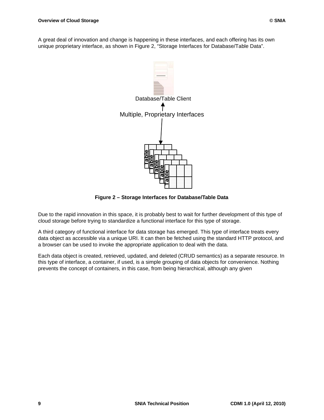A great deal of innovation and change is happening in these interfaces, and each offering has its own unique proprietary interface, as shown in Figure [2, "Storage Interfaces for Database/Table Data"](#page-19-0).



**Figure 2 – Storage Interfaces for Database/Table Data Table Table Table Table Table**

<span id="page-19-0"></span>Due to the rapid innovation in this space, it is probably best to wait for further development of this type of cloud storage before trying to standardize a functional interface for this type of storage.

A third category of functional interface for data storage has emerged. This type of interface treats every data object as accessible via a unique URI. It can then be fetched using the standard HTTP protocol, and a browser can be used to invoke the appropriate application to deal with the data.

Each data object is created, retrieved, updated, and deleted (CRUD semantics) as a separate resource. In this type of interface, a container, if used, is a simple grouping of data objects for convenience. Nothing prevents the concept of containers, in this case, from being hierarchical, although any given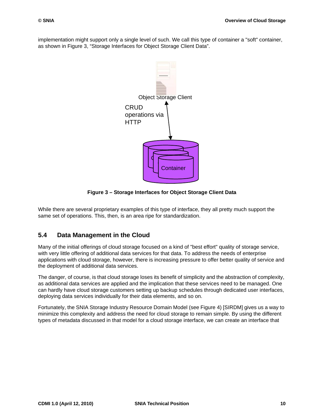implementation might support only a single level of such. We call this type of container a "soft" container, as shown in [Figure 3, "Storage Interfaces for Object Storage Client Data"](#page-20-1).



**Figure 3 – Storage Interfaces for Object Storage Client Data**

<span id="page-20-1"></span>While there are several proprietary examples of this type of interface, they all pretty much support the same set of operations. This, then, is an area ripe for standardization.

## <span id="page-20-0"></span>**5.4 Data Management in the Cloud**

Many of the initial offerings of cloud storage focused on a kind of "best effort" quality of storage service, with very little offering of additional data services for that data. To address the needs of enterprise applications with cloud storage, however, there is increasing pressure to offer better quality of service and the deployment of additional data services.

The danger, of course, is that cloud storage loses its benefit of simplicity and the abstraction of complexity, as additional data services are applied and the implication that these services need to be managed. One can hardly have cloud storage customers setting up backup schedules through dedicated user interfaces, deploying data services individually for their data elements, and so on.

Fortunately, the SNIA Storage Industry Resource Domain Model (see [Figure 4\)](#page-21-1) [SIRDM] gives us a way to minimize this complexity and address the need for cloud storage to remain simple. By using the different types of metadata discussed in that model for a cloud storage interface, we can create an interface that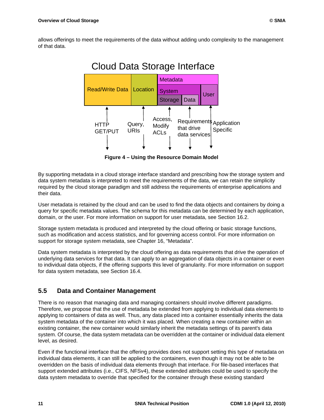

**Figure 4 – Using the Resource Domain Model**

<span id="page-21-1"></span>By supporting metadata in a cloud storage interface standard and prescribing how the storage system and data system metadata is interpreted to meet the requirements of the data, we can retain the simplicity required by the cloud storage paradigm and still address the requirements of enterprise applications and their data.

User metadata is retained by the cloud and can be used to find the data objects and containers by doing a query for specific metadata values. The schema for this metadata can be determined by each application, domain, or the user. For more information on support for user metadata, see [Section 16.2.](#page-152-3)

Storage system metadata is produced and interpreted by the cloud offering or basic storage functions, such as modification and access statistics, and for governing access control. For more information on support for storage system metadata, see [Chapter 16, "Metadata".](#page-143-4)

Data system metadata is interpreted by the cloud offering as data requirements that drive the operation of underlying data services for that data. It can apply to an aggregation of data objects in a container or even to individual data objects, if the offering supports this level of granularity. For more information on support for data system metadata, see [Section 16.4.](#page-153-2)

## <span id="page-21-0"></span>**5.5 Data and Container Management**

There is no reason that managing data and managing containers should involve different paradigms. Therefore, we propose that the use of metadata be extended from applying to individual data elements to applying to containers of data as well. Thus, any data placed into a container essentially inherits the data system metadata of the container into which it was placed. When creating a new container within an existing container, the new container would similarly inherit the metadata settings of its parent's data system. Of course, the data system metadata can be overridden at the container or individual data element level, as desired.

Even if the functional interface that the offering provides does not support setting this type of metadata on individual data elements, it can still be applied to the containers, even though it may not be able to be overridden on the basis of individual data elements through that interface. For file-based interfaces that support extended attributes (i.e., CIFS, NFSv4), these extended attributes could be used to specify the data system metadata to override that specified for the container through these existing standard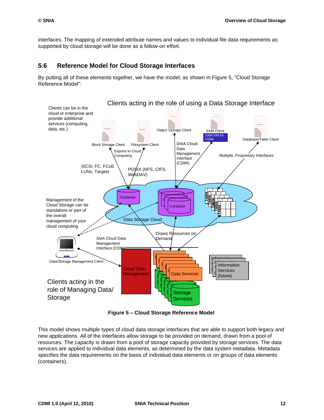interfaces. The mapping of extended attribute names and values to individual file data requirements as supported by cloud storage will be done as a follow-on effort.

### <span id="page-22-0"></span>**5.6 Reference Model for Cloud Storage Interfaces**

By putting all of these elements together, we have the model, as shown in [Figure 5, "Cloud Storage](#page-22-1)  [Reference Model"](#page-22-1):



**Figure 5 – Cloud Storage Reference Model**

<span id="page-22-1"></span>This model shows multiple types of cloud data storage interfaces that are able to support both legacy and new applications. All of the interfaces allow storage to be provided on demand, drawn from a pool of resources. The capacity is drawn from a pool of storage capacity provided by storage services. The data services are applied to individual data elements, as determined by the data system metadata. Metadata specifies the data requirements on the basis of individual data elements or on groups of data elements (containers).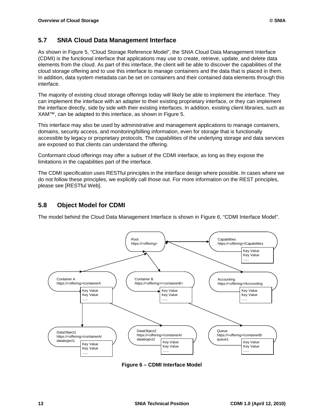## <span id="page-23-0"></span>**5.7 SNIA Cloud Data Management Interface**

As shown in [Figure 5, "Cloud Storage Reference Model"](#page-22-1), the SNIA Cloud Data Management Interface (CDMI) is the functional interface that applications may use to create, retrieve, update, and delete data elements from the cloud. As part of this interface, the client will be able to discover the capabilities of the cloud storage offering and to use this interface to manage containers and the data that is placed in them. In addition, data system metadata can be set on containers and their contained data elements through this interface.

The majority of existing cloud storage offerings today will likely be able to implement the interface. They can implement the interface with an adapter to their existing proprietary interface, or they can implement the interface directly, side by side with their existing interfaces. In addition, existing client libraries, such as XAM™, can be adapted to this interface, as shown in [Figure 5](#page-22-1).

This interface may also be used by administrative and management applications to manage containers, domains, security access, and monitoring/billing information, even for storage that is functionally accessible by legacy or proprietary protocols. The capabilities of the underlying storage and data services are exposed so that clients can understand the offering.

Conformant cloud offerings may offer a subset of the CDMI interface, as long as they expose the limitations in the capabilities part of the interface.

The CDMI specification uses RESTful principles in the interface design where possible. In cases where we do not follow these principles, we explicitly call those out. For more information on the REST principles, please see [RESTful Web].

## <span id="page-23-1"></span>**5.8 Object Model for CDMI**

The model behind the Cloud Data Management Interface is shown in [Figure 6, "CDMI Interface Model"](#page-23-2).



<span id="page-23-2"></span>**Figure 6 – CDMI Interface Model**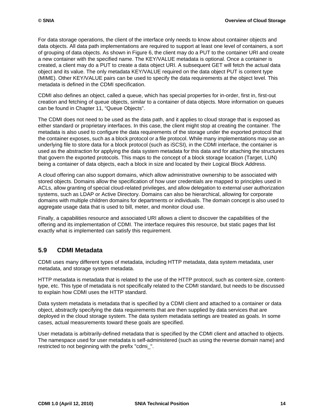For data storage operations, the client of the interface only needs to know about container objects and data objects. All data path implementations are required to support at least one level of containers, a sort of grouping of data objects. As shown in [Figure 6,](#page-23-2) the client may do a PUT to the container URI and create a new container with the specified name. The KEY/VALUE metadata is optional. Once a container is created, a client may do a PUT to create a data object URI. A subsequent GET will fetch the actual data object and its value. The only metadata KEY/VALUE required on the data object PUT is content type (MIME). Other KEY/VALUE pairs can be used to specify the data requirements at the object level. This metadata is defined in the CDMI specification.

CDMI also defines an object, called a queue, which has special properties for in-order, first in, first-out creation and fetching of queue objects, similar to a container of data objects. More information on queues can be found in [Chapter 11, "Queue Objects"](#page-102-4).

The CDMI does not need to be used as the data path, and it applies to cloud storage that is exposed as either standard or proprietary interfaces. In this case, the client might stop at creating the container. The metadata is also used to configure the data requirements of the storage under the exported protocol that the container exposes, such as a block protocol or a file protocol. While many implementations may use an underlying file to store data for a block protocol (such as iSCSI), in the CDMI interface, the container is used as the abstraction for applying the data system metadata for this data and for attaching the structures that govern the exported protocols. This maps to the concept of a block storage location (Target, LUN) being a container of data objects, each a block in size and located by their Logical Block Address.

A cloud offering can also support domains, which allow administrative ownership to be associated with stored objects. Domains allow the specification of how user credentials are mapped to principles used in ACLs, allow granting of special cloud-related privileges, and allow delegation to external user authorization systems, such as LDAP or Active Directory. Domains can also be hierarchical, allowing for corporate domains with multiple children domains for departments or individuals. The domain concept is also used to aggregate usage data that is used to bill, meter, and monitor cloud use.

Finally, a capabilities resource and associated URI allows a client to discover the capabilities of the offering and its implementation of CDMI. The interface requires this resource, but static pages that list exactly what is implemented can satisfy this requirement.

## <span id="page-24-0"></span>**5.9 CDMI Metadata**

CDMI uses many different types of metadata, including HTTP metadata, data system metadata, user metadata, and storage system metadata.

HTTP metadata is metadata that is related to the use of the HTTP protocol, such as content-size, contenttype, etc. This type of metadata is not specifically related to the CDMI standard, but needs to be discussed to explain how CDMI uses the HTTP standard.

Data system metadata is metadata that is specified by a CDMI client and attached to a container or data object, abstractly specifying the data requirements that are then supplied by data services that are deployed in the cloud storage system. The data system metadata settings are treated as goals. In some cases, actual measurements toward these goals are specified.

User metadata is arbitrarily-defined metadata that is specified by the CDMI client and attached to objects. The namespace used for user metadata is self-administered (such as using the reverse domain name) and restricted to not beginning with the prefix "cdmi\_".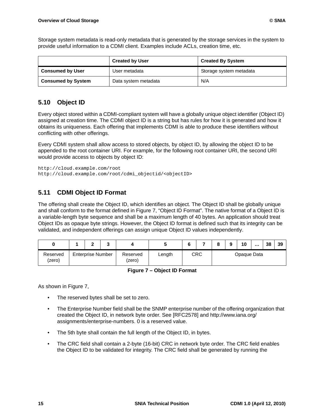Storage system metadata is read-only metadata that is generated by the storage services in the system to provide useful information to a CDMI client. Examples include ACLs, creation time, etc.

|                           | <b>Created By System</b> |                         |  |  |
|---------------------------|--------------------------|-------------------------|--|--|
| <b>Consumed by User</b>   | User metadata            | Storage system metadata |  |  |
| <b>Consumed by System</b> | Data system metadata     | N/A                     |  |  |

## <span id="page-25-0"></span>**5.10 Object ID**

Every object stored within a CDMI-compliant system will have a globally unique object identifier (Object ID) assigned at creation time. The CDMI object ID is a string but has rules for how it is generated and how it obtains its uniqueness. Each offering that implements CDMI is able to produce these identifiers without conflicting with other offerings.

Every CDMI system shall allow access to stored objects, by object ID, by allowing the object ID to be appended to the root container URI. For example, for the following root container URI, the second URI would provide access to objects by object ID:

http://cloud.example.com/root http://cloud.example.com/root/cdmi\_objectid/<objectID>

## <span id="page-25-1"></span>**5.11 CDMI Object ID Format**

The offering shall create the Object ID, which identifies an object. The Object ID shall be globally unique and shall conform to the format defined in [Figure 7, "Object ID Format".](#page-25-2) The native format of a Object ID is a variable-length byte sequence and shall be a maximum length of 40 bytes. An application should treat Object IDs as opaque byte strings. However, the Object ID format is defined such that its integrity can be validated, and independent offerings can assign unique Object ID values independently.

|                    | ◠                        | u |                    |        |     | 38<br>8<br>10<br> |  | 39          |  |  |
|--------------------|--------------------------|---|--------------------|--------|-----|-------------------|--|-------------|--|--|
| Reserved<br>(zero) | <b>Enterprise Number</b> |   | Reserved<br>(zero) | Length | CRC |                   |  | Opaque Data |  |  |

**Figure 7 – Object ID Format**

<span id="page-25-2"></span>As shown in [Figure 7](#page-25-2),

- The reserved bytes shall be set to zero.
- The Enterprise Number field shall be the SNMP enterprise number of the offering organization that created the Object ID, in network byte order. See [RFC2578] and http://www.iana.org/ assignments/enterprise-numbers. 0 is a reserved value.
- The 5th byte shall contain the full length of the Object ID, in bytes.
- The CRC field shall contain a 2-byte (16-bit) CRC in network byte order. The CRC field enables the Object ID to be validated for integrity. The CRC field shall be generated by running the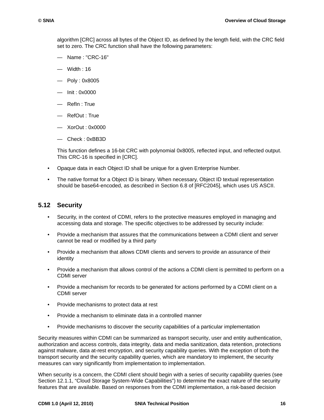algorithm [CRC] across all bytes of the Object ID, as defined by the length field, with the CRC field set to zero. The CRC function shall have the following parameters:

- Name : "CRC-16"
- Width : 16
- Poly : 0x8005
- Init : 0x0000
- RefIn : True
- RefOut : True
- XorOut : 0x0000
- Check : 0xBB3D

This function defines a 16-bit CRC with polynomial 0x8005, reflected input, and reflected output. This CRC-16 is specified in [CRC].

- Opaque data in each Object ID shall be unique for a given Enterprise Number.
- The native format for a Object ID is binary. When necessary, Object ID textual representation should be base64-encoded, as described in Section 6.8 of [RFC2045], which uses US ASCII.

### <span id="page-26-0"></span>**5.12 Security**

- Security, in the context of CDMI, refers to the protective measures employed in managing and accessing data and storage. The specific objectives to be addressed by security include:
- Provide a mechanism that assures that the communications between a CDMI client and server cannot be read or modified by a third party
- Provide a mechanism that allows CDMI clients and servers to provide an assurance of their identity
- Provide a mechanism that allows control of the actions a CDMI client is permitted to perform on a CDMI server
- Provide a mechanism for records to be generated for actions performed by a CDMI client on a CDMI server
- Provide mechanisms to protect data at rest
- Provide a mechanism to eliminate data in a controlled manner
- Provide mechanisms to discover the security capabilities of a particular implementation

Security measures within CDMI can be summarized as transport security, user and entity authentication, authorization and access controls, data integrity, data and media sanitization, data retention, protections against malware, data at-rest encryption, and security capability queries. With the exception of both the transport security and the security capability queries, which are mandatory to implement, the security measures can vary significantly from implementation to implementation.

When security is a concern, the CDMI client should begin with a series of security capability queries (see [Section 12.1.1, "Cloud Storage System-Wide Capabilities"\)](#page-126-2) to determine the exact nature of the security features that are available. Based on responses from the CDMI implementation, a risk-based decision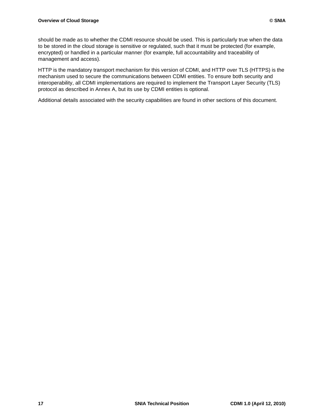should be made as to whether the CDMI resource should be used. This is particularly true when the data to be stored in the cloud storage is sensitive or regulated, such that it must be protected (for example, encrypted) or handled in a particular manner (for example, full accountability and traceability of management and access).

HTTP is the mandatory transport mechanism for this version of CDMI, and HTTP over TLS (HTTPS) is the mechanism used to secure the communications between CDMI entities. To ensure both security and interoperability, all CDMI implementations are required to implement the Transport Layer Security (TLS) protocol as described in Annex A, but its use by CDMI entities is optional.

Additional details associated with the security capabilities are found in other sections of this document.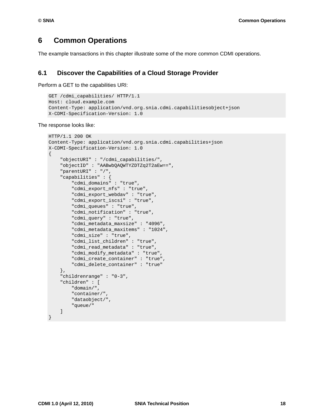## <span id="page-28-0"></span>**6 Common Operations**

The example transactions in this chapter illustrate some of the more common CDMI operations.

### <span id="page-28-1"></span>**6.1 Discover the Capabilities of a Cloud Storage Provider**

Perform a GET to the capabilities URI:

```
GET /cdmi_capabilities/ HTTP/1.1
Host: cloud.example.com
Content-Type: application/vnd.org.snia.cdmi.capabilitiesobject+json
X-CDMI-Specification-Version: 1.0
```
The response looks like:

```
HTTP/1.1 200 OK
Content-Type: application/vnd.org.snia.cdmi.capabilities+json
X-CDMI-Specification-Version: 1.0
{
     "objectURI" : "/cdmi_capabilities/",
     "objectID" : "AABwbQAQWTYZDTZq2T2aEw==",
     "parentURI" : "/",
     "capabilities" : {
         "cdmi_domains" : "true",
         "cdmi_export_nfs" : "true",
         "cdmi_export_webdav" : "true",
         "cdmi_export_iscsi" : "true",
         "cdmi_queues" : "true",
         "cdmi_notification" : "true",
         "cdmi_query" : "true",
         "cdmi_metadata_maxsize" : "4096",
         "cdmi_metadata_maxitems" : "1024",
         "cdmi_size" : "true",
         "cdmi_list_children" : "true",
         "cdmi_read_metadata" : "true",
         "cdmi_modify_metadata" : "true",
         "cdmi_create_container" : "true",
         "cdmi_delete_container" : "true" 
     },
     "childrenrange" : "0-3",
     "children" : [
         "domain/",
          "container/",
         "dataobject/",
         "queue/" 
     ]
```
}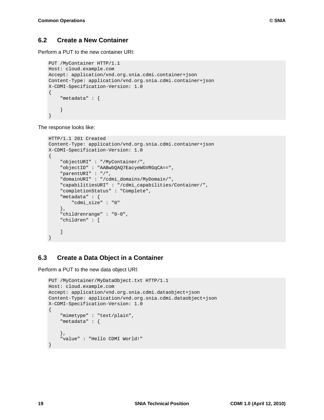## <span id="page-29-0"></span>**6.2 Create a New Container**

Perform a PUT to the new container URI:

```
PUT /MyContainer HTTP/1.1
Host: cloud.example.com
Accept: application/vnd.org.snia.cdmi.container+json
Content-Type: application/vnd.org.snia.cdmi.container+json
X-CDMI-Specification-Version: 1.0
{
     "metadata" : {
     }
}
```
The response looks like:

```
HTTP/1.1 201 Created
Content-Type: application/vnd.org.snia.cdmi.container+json
X-CDMI-Specification-Version: 1.0
{
     "objectURI" : "/MyContainer/",
     "objectID" : "AABwbQAQ7EacyeWGVRGqCA==",
     "parentURI" : "/",
     "domainURI" : "/cdmi_domains/MyDomain/",
     "capabilitiesURI" : "/cdmi_capabilities/Container/",
     "completionStatus" : "Complete",
     "metadata" : {
         "cdmi_size" : "0" 
     },
     "childrenrange" : "0-0",
     "children" : [
     ]
}
```
## <span id="page-29-1"></span>**6.3 Create a Data Object in a Container**

Perform a PUT to the new data object URI:

```
PUT /MyContainer/MyDataObject.txt HTTP/1.1
Host: cloud.example.com
Accept: application/vnd.org.snia.cdmi.dataobject+json
Content-Type: application/vnd.org.snia.cdmi.dataobject+json
X-CDMI-Specification-Version: 1.0
{
     "mimetype" : "text/plain",
     "metadata" : {
     },
     "value" : "Hello CDMI World!"
}
```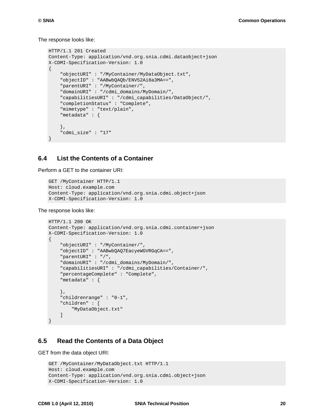The response looks like:

```
HTTP/1.1 201 Created
Content-Type: application/vnd.org.snia.cdmi.dataobject+json
X-CDMI-Specification-Version: 1.0
{
     "objectURI" : "/MyContainer/MyDataObject.txt",
     "objectID" : "AABwbQAQb/ENV52Ai8a3MA==",
     "parentURI" : "/MyContainer/",
     "domainURI" : "/cdmi_domains/MyDomain/",
     "capabilitiesURI" : "/cdmi_capabilities/DataObject/",
     "completionStatus" : "Complete",
     "mimetype" : "text/plain",
     "metadata" : {
     },
     "cdmi_size" : "17"
}
```
#### <span id="page-30-0"></span>**6.4 List the Contents of a Container**

Perform a GET to the container URI:

```
GET /MyContainer HTTP/1.1
Host: cloud.example.com
Content-Type: application/vnd.org.snia.cdmi.object+json
X-CDMI-Specification-Version: 1.0
```
The response looks like:

```
HTTP/1.1 200 OK
Content-Type: application/vnd.org.snia.cdmi.container+json
X-CDMI-Specification-Version: 1.0
\{ "objectURI" : "/MyContainer/",
     "objectID" : "AABwbQAQ7EacyeWGVRGqCA==",
     "parentURI" : "/",
     "domainURI" : "/cdmi_domains/MyDomain/",
     "capabilitiesURI" : "/cdmi_capabilities/Container/",
     "percentageComplete" : "Complete",
     "metadata" : {
     },
     "childrenrange" : "0-1",
     "children" : [
         "MyDataObject.txt" 
     ]
}
```
### <span id="page-30-1"></span>**6.5 Read the Contents of a Data Object**

GET from the data object URI:

```
GET /MyContainer/MyDataObject.txt HTTP/1.1
Host: cloud.example.com
Content-Type: application/vnd.org.snia.cdmi.object+json
X-CDMI-Specification-Version: 1.0
```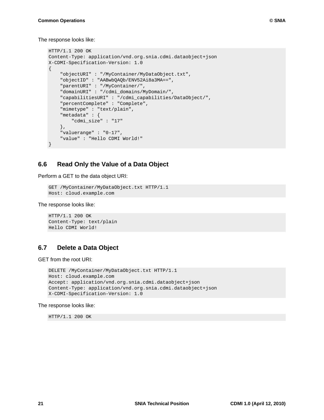```
HTTP/1.1 200 OK
Content-Type: application/vnd.org.snia.cdmi.dataobject+json
X-CDMI-Specification-Version: 1.0
{
     "objectURI" : "/MyContainer/MyDataObject.txt",
     "objectID" : "AABwbQAQb/ENV52Ai8a3MA==",
     "parentURI" : "/MyContainer/",
     "domainURI" : "/cdmi_domains/MyDomain/",
     "capabilitiesURI" : "/cdmi_capabilities/DataObject/",
     "percentComplete" : "Complete",
     "mimetype" : "text/plain",
     "metadata" : {
         "cdmi_size" : "17" 
     },
     "valuerange" : "0-17",
     "value" : "Hello CDMI World!" 
}
```
#### <span id="page-31-0"></span>**6.6 Read Only the Value of a Data Object**

Perform a GET to the data object URI:

```
GET /MyContainer/MyDataObject.txt HTTP/1.1
Host: cloud.example.com
```
The response looks like:

```
HTTP/1.1 200 OK
Content-Type: text/plain
Hello CDMI World!
```
### <span id="page-31-1"></span>**6.7 Delete a Data Object**

GET from the root URI:

```
DELETE /MyContainer/MyDataObject.txt HTTP/1.1
Host: cloud.example.com
Accept: application/vnd.org.snia.cdmi.dataobject+json
Content-Type: application/vnd.org.snia.cdmi.dataobject+json
X-CDMI-Specification-Version: 1.0
```
#### The response looks like:

HTTP/1.1 200 OK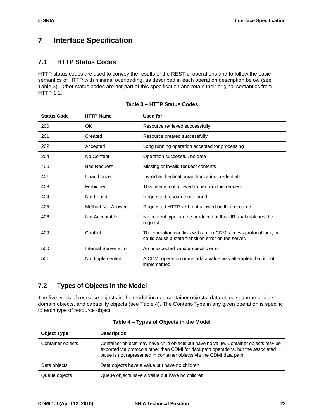## <span id="page-32-0"></span>**7 Interface Specification**

## <span id="page-32-1"></span>**7.1 HTTP Status Codes**

HTTP status codes are used to convey the results of the RESTful operations and to follow the basic semantics of HTTP with minimal overloading, as described in each operation description below (see [Table 3](#page-32-3)). Other status codes are not part of this specification and retain their original semantics from HTTP 1.1.

<span id="page-32-3"></span>

| <b>Status Code</b> | <b>HTTP Name</b>      | <b>Used for</b>                                                                                                         |
|--------------------|-----------------------|-------------------------------------------------------------------------------------------------------------------------|
| 200                | OK.                   | Resource retrieved successfully                                                                                         |
| 201                | Created               | Resource created successfully                                                                                           |
| 202                | Accepted              | Long running operation accepted for processing                                                                          |
| 204                | No Content            | Operation successful, no data                                                                                           |
| 400                | <b>Bad Request</b>    | Missing or invalid request contents                                                                                     |
| 401                | Unauthorized          | Invalid authentication/authorization credentials                                                                        |
| 403                | Forbidden             | This user is not allowed to perform this request                                                                        |
| 404                | Not Found             | Requested resource not found                                                                                            |
| 405                | Method Not Allowed    | Requested HTTP verb not allowed on this resource                                                                        |
| 406                | Not Acceptable        | No content type can be produced at this URI that matches the<br>request                                                 |
| 409                | Conflict              | The operation conflicts with a non-CDMI access protocol lock, or<br>could cause a state transition error on the server. |
| 500                | Internal Server Error | An unexpected vendor specific error                                                                                     |
| 501                | Not Implemented       | A CDMI operation or metadata value was attempted that is not<br>implemented.                                            |

| Table 3 – HTTP Status Codes |
|-----------------------------|
|-----------------------------|

## <span id="page-32-2"></span>**7.2 Types of Objects in the Model**

The five types of resource objects in the model include container objects, data objects, queue objects, domain objects, and capability objects (see [Table 4\)](#page-32-4). The Content-Type in any given operation is specific to each type of resource object.

<span id="page-32-4"></span>

| <b>Object Type</b> | <b>Description</b>                                                                                                                                                                                                                                   |
|--------------------|------------------------------------------------------------------------------------------------------------------------------------------------------------------------------------------------------------------------------------------------------|
| Container objects  | Container objects may have child objects but have no value. Container objects may be<br>exported via protocols other than CDMI for data path operations, but the associated<br>value is not represented in container objects via the CDMI data path. |
| Data objects       | Data objects have a value but have no children.                                                                                                                                                                                                      |
| Queue objects      | Queue objects have a value but have no children.                                                                                                                                                                                                     |

| Table 4 - Types of Objects in the Model |
|-----------------------------------------|
|-----------------------------------------|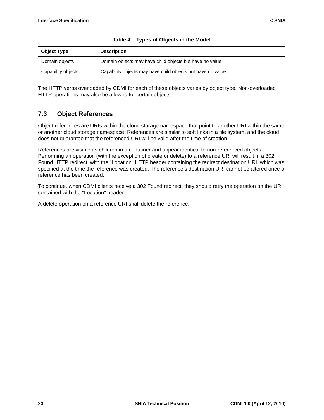| <b>Object Type</b> | <b>Description</b>                                           |
|--------------------|--------------------------------------------------------------|
| Domain objects     | Domain objects may have child objects but have no value.     |
| Capability objects | Capability objects may have child objects but have no value. |

|  | Table 4 - Types of Objects in the Model |  |  |  |  |
|--|-----------------------------------------|--|--|--|--|
|--|-----------------------------------------|--|--|--|--|

The HTTP verbs overloaded by CDMI for each of these objects varies by object type. Non-overloaded HTTP operations may also be allowed for certain objects.

## <span id="page-33-0"></span>**7.3 Object References**

Object references are URIs within the cloud storage namespace that point to another URI within the same or another cloud storage namespace. References are similar to soft links in a file system, and the cloud does not guarantee that the referenced URI will be valid after the time of creation.

References are visible as children in a container and appear identical to non-referenced objects. Performing an operation (with the exception of create or delete) to a reference URI will result in a 302 Found HTTP redirect, with the "Location" HTTP header containing the redirect destination URI, which was specified at the time the reference was created. The reference's destination URI cannot be altered once a reference has been created.

To continue, when CDMI clients receive a 302 Found redirect, they should retry the operation on the URI contained with the "Location" header.

A delete operation on a reference URI shall delete the reference.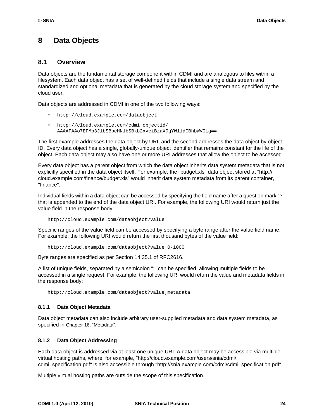## <span id="page-34-0"></span>**8 Data Objects**

#### <span id="page-34-1"></span>**8.1 Overview**

Data objects are the fundamental storage component within CDMI and are analogous to files within a filesystem. Each data object has a set of well-defined fields that include a single data stream and standardized and optional metadata that is generated by the cloud storage system and specified by the cloud user.

Data objects are addressed in CDMI in one of the two following ways:

- http://cloud.example.com/dataobject
- http://cloud.example.com/cdmi\_objectid/ AAAAFAAo7EFMb3JlbSBpcHN1bSBkb2xvciBzaXQgYW1ldCBhbWV0Lg==

The first example addresses the data object by URI, and the second addresses the data object by object ID. Every data object has a single, globally-unique object identifier that remains constant for the life of the object. Each data object may also have one or more URI addresses that allow the object to be accessed.

Every data object has a parent object from which the data object inherits data system metadata that is not explicitly specified in the data object itself. For example, the "budget.xls" data object stored at "http:// cloud.example.com/finance/budget.xls" would inherit data system metadata from its parent container, "finance".

Individual fields within a data object can be accessed by specifying the field name after a question mark "?" that is appended to the end of the data object URI. For example, the following URI would return just the value field in the response body:

http://cloud.example.com/dataobject?value

Specific ranges of the value field can be accessed by specifying a byte range after the value field name. For example, the following URI would return the first thousand bytes of the value field:

http://cloud.example.com/dataobject?value:0-1000

Byte ranges are specified as per Section 14.35.1 of RFC2616.

A list of unique fields, separated by a semicolon ";" can be specified, allowing multiple fields to be accessed in a single request. For example, the following URI would return the value and metadata fields in the response body:

http://cloud.example.com/dataobject?value;metadata

#### <span id="page-34-2"></span>**8.1.1 Data Object Metadata**

Data object metadata can also include arbitrary user-supplied metadata and data system metadata, as specified in Chapter 16, "Metadata".

#### <span id="page-34-3"></span>**8.1.2 Data Object Addressing**

Each data object is addressed via at least one unique URI. A data object may be accessible via multiple virtual hosting paths, where, for example, "http://cloud.example.com/users/snia/cdmi/ cdmi\_specification.pdf" is also accessible through "http://snia.example.com/cdmi/cdmi\_specification.pdf".

Multiple virtual hosting paths are outside the scope of this specification.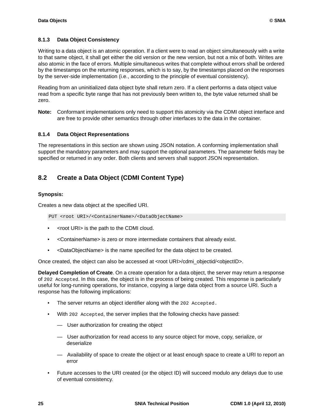#### <span id="page-35-0"></span>**8.1.3 Data Object Consistency**

Writing to a data object is an atomic operation. If a client were to read an object simultaneously with a write to that same object, it shall get either the old version or the new version, but not a mix of both. Writes are also atomic in the face of errors. Multiple simultaneous writes that complete without errors shall be ordered by the timestamps on the returning responses, which is to say, by the timestamps placed on the responses by the server-side implementation (i.e., according to the principle of eventual consistency).

Reading from an uninitialized data object byte shall return zero. If a client performs a data object value read from a specific byte range that has not previously been written to, the byte value returned shall be zero.

**Note:** Conformant implementations only need to support this atomicity via the CDMI object interface and are free to provide other semantics through other interfaces to the data in the container.

#### <span id="page-35-1"></span>**8.1.4 Data Object Representations**

The representations in this section are shown using JSON notation. A conforming implementation shall support the mandatory parameters and may support the optional parameters. The parameter fields may be specified or returned in any order. Both clients and servers shall support JSON representation.

### <span id="page-35-2"></span>**8.2 Create a Data Object (CDMI Content Type)**

#### **Synopsis:**

Creates a new data object at the specified URI.

PUT <root URI>/<ContainerName>/<DataObjectName>

- <root URI> is the path to the CDMI cloud.
- <ContainerName> is zero or more intermediate containers that already exist.
- <DataObjectName> is the name specified for the data object to be created.

Once created, the object can also be accessed at <root URI>/cdmi\_objectid/<objectID>.

**Delayed Completion of Create**. On a create operation for a data object, the server may return a response of 202 Accepted. In this case, the object is in the process of being created. This response is particularly useful for long-running operations, for instance, copying a large data object from a source URI. Such a response has the following implications:

- The server returns an object identifier along with the 202 Accepted.
- With 202 Accepted, the server implies that the following checks have passed:
	- User authorization for creating the object
	- User authorization for read access to any source object for move, copy, serialize, or deserialize
	- Availability of space to create the object or at least enough space to create a URI to report an error
- Future accesses to the URI created (or the object ID) will succeed modulo any delays due to use of eventual consistency.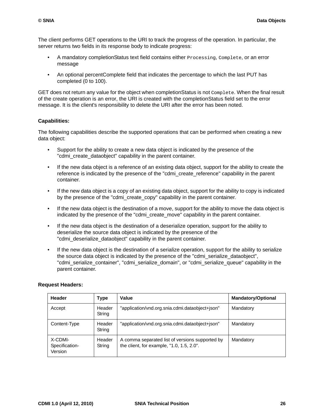The client performs GET operations to the URI to track the progress of the operation. In particular, the server returns two fields in its response body to indicate progress:

- A mandatory completionStatus text field contains either **Processing, Complete, or an error** message
- An optional percentComplete field that indicates the percentage to which the last PUT has completed (0 to 100).

GET does not return any value for the object when completionStatus is not Complete. When the final result of the create operation is an error, the URI is created with the completionStatus field set to the error message. It is the client's responsibility to delete the URI after the error has been noted.

# **Capabilities:**

The following capabilities describe the supported operations that can be performed when creating a new data object:

- Support for the ability to create a new data object is indicated by the presence of the "cdmi\_create\_dataobject" capability in the parent container.
- If the new data object is a reference of an existing data object, support for the ability to create the reference is indicated by the presence of the "cdmi\_create\_reference" capability in the parent container.
- If the new data object is a copy of an existing data object, support for the ability to copy is indicated by the presence of the "cdmi\_create\_copy" capability in the parent container.
- If the new data object is the destination of a move, support for the ability to move the data object is indicated by the presence of the "cdmi\_create\_move" capability in the parent container.
- If the new data object is the destination of a deserialize operation, support for the ability to deserialize the source data object is indicated by the presence of the "cdmi\_deserialize\_dataobject" capability in the parent container.
- If the new data object is the destination of a serialize operation, support for the ability to serialize the source data object is indicated by the presence of the "cdmi\_serialize\_dataobject", "cdmi\_serialize\_container", "cdmi\_serialize\_domain", or "cdmi\_serialize\_queue" capability in the parent container.

#### **Request Headers:**

| <b>Header</b>                        | Type             | Value                                                                                        | <b>Mandatory/Optional</b> |
|--------------------------------------|------------------|----------------------------------------------------------------------------------------------|---------------------------|
| Accept                               | Header<br>String | "application/vnd.org.snia.cdmi.dataobject+json"                                              | Mandatory                 |
| Content-Type                         | Header<br>String | "application/vnd.org.snia.cdmi.dataobject+json"                                              | Mandatory                 |
| X-CDMI-<br>Specification-<br>Version | Header<br>String | A comma separated list of versions supported by<br>the client, for example, "1.0, 1.5, 2.0". | Mandatory                 |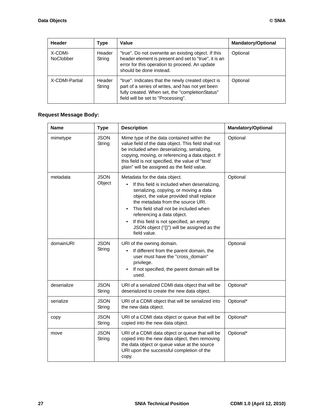| Header                      | <b>Type</b>      | Value                                                                                                                                                                                           | <b>Mandatory/Optional</b> |
|-----------------------------|------------------|-------------------------------------------------------------------------------------------------------------------------------------------------------------------------------------------------|---------------------------|
| X-CDMI-<br><b>NoClobber</b> | Header<br>String | "true". Do not overwrite an existing object. If this<br>header element is present and set to "true", it is an<br>error for this operation to proceed. An update<br>should be done instead.      | Optional                  |
| X-CDMI-Partial              | Header<br>String | "true". Indicates that the newly created object is<br>part of a series of writes, and has not yet been<br>fully created. When set, the "completionStatus"<br>field will be set to "Processing". | Optional                  |

# **Request Message Body:**

| <b>Name</b> | <b>Type</b>           | <b>Description</b>                                                                                                                                                                                                                                                                                                                                                                                | Mandatory/Optional |
|-------------|-----------------------|---------------------------------------------------------------------------------------------------------------------------------------------------------------------------------------------------------------------------------------------------------------------------------------------------------------------------------------------------------------------------------------------------|--------------------|
| mimetype    | <b>JSON</b><br>String | Mime type of the data contained within the<br>value field of the data object. This field shall not<br>be included when deserializing, serializing,<br>copying, moving, or referencing a data object. If<br>this field is not specified, the value of "text/<br>plain" will be assigned as the field value.                                                                                        | Optional           |
| metadata    | <b>JSON</b><br>Object | Metadata for the data object.<br>If this field is included when deserializing,<br>serializing, copying, or moving a data<br>object, the value provided shall replace<br>the metadata from the source URI.<br>This field shall not be included when<br>referencing a data object.<br>If this field is not specified, an empty<br>JSON object $("{}_{i}$ ") will be assigned as the<br>field value. | Optional           |
| domainURI   | <b>JSON</b><br>String | URI of the owning domain.<br>If different from the parent domain, the<br>user must have the "cross_domain"<br>privilege.<br>If not specified, the parent domain will be<br>used.                                                                                                                                                                                                                  | Optional           |
| deserialize | <b>JSON</b><br>String | URI of a serialized CDMI data object that will be<br>deserialized to create the new data object.                                                                                                                                                                                                                                                                                                  | Optional*          |
| serialize   | <b>JSON</b><br>String | URI of a CDMI object that will be serialized into<br>the new data object.                                                                                                                                                                                                                                                                                                                         | Optional*          |
| copy        | <b>JSON</b><br>String | URI of a CDMI data object or queue that will be<br>copied into the new data object.                                                                                                                                                                                                                                                                                                               | Optional*          |
| move        | <b>JSON</b><br>String | URI of a CDMI data object or queue that will be<br>copied into the new data object, then removing<br>the data object or queue value at the source<br>URI upon the successful completion of the<br>copy.                                                                                                                                                                                           | Optional*          |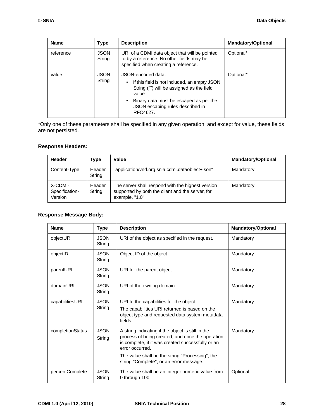| <b>Name</b> | <b>Type</b>           | <b>Description</b>                                                                                                                                                                                                  | <b>Mandatory/Optional</b> |
|-------------|-----------------------|---------------------------------------------------------------------------------------------------------------------------------------------------------------------------------------------------------------------|---------------------------|
| reference   | <b>JSON</b><br>String | URI of a CDMI data object that will be pointed<br>to by a reference. No other fields may be<br>specified when creating a reference.                                                                                 | Optional*                 |
| value       | <b>JSON</b><br>String | JSON-encoded data.<br>If this field is not included, an empty JSON<br>String ("") will be assigned as the field<br>value.<br>Binary data must be escaped as per the<br>JSON escaping rules described in<br>RFC4627. | Optional*                 |

\*Only one of these parameters shall be specified in any given operation, and except for value, these fields are not persisted.

### **Response Headers:**

| Header                               | <b>Type</b>      | Value                                                                                                                    | <b>Mandatory/Optional</b> |
|--------------------------------------|------------------|--------------------------------------------------------------------------------------------------------------------------|---------------------------|
| Content-Type                         | Header<br>String | "application/vnd.org.snia.cdmi.dataobject+json"                                                                          | Mandatory                 |
| X-CDMI-<br>Specification-<br>Version | Header<br>String | The server shall respond with the highest version<br>supported by both the client and the server, for<br>example, "1.0". | Mandatory                 |

### **Response Message Body:**

| <b>Name</b>      | <b>Type</b>           | <b>Description</b>                                                                                                                                                                                                                                                          | <b>Mandatory/Optional</b> |
|------------------|-----------------------|-----------------------------------------------------------------------------------------------------------------------------------------------------------------------------------------------------------------------------------------------------------------------------|---------------------------|
| objectURI        | <b>JSON</b><br>String | URI of the object as specified in the request.                                                                                                                                                                                                                              | Mandatory                 |
| objectID         | <b>JSON</b><br>String | Object ID of the object                                                                                                                                                                                                                                                     | Mandatory                 |
| parentURI        | <b>JSON</b><br>String | URI for the parent object                                                                                                                                                                                                                                                   | Mandatory                 |
| domainURI        | <b>JSON</b><br>String | URI of the owning domain.                                                                                                                                                                                                                                                   | Mandatory                 |
| capabilitiesURI  | <b>JSON</b><br>String | URI to the capabilities for the object.<br>The capabilities URI returned is based on the<br>object type and requested data system metadata<br>fields.                                                                                                                       | Mandatory                 |
| completionStatus | <b>JSON</b><br>String | A string indicating if the object is still in the<br>process of being created, and once the operation<br>is complete, if it was created successfully or an<br>error occurred.<br>The value shall be the string "Processing", the<br>string "Complete", or an error message. | Mandatory                 |
| percentComplete  | <b>JSON</b><br>String | The value shall be an integer numeric value from<br>0 through 100                                                                                                                                                                                                           | Optional                  |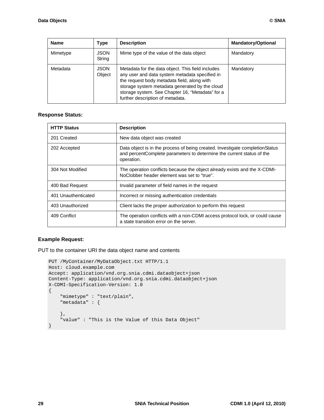| <b>Name</b> | <b>Type</b>           | <b>Description</b>                                                                                                                                                                                                                                                                           | <b>Mandatory/Optional</b> |
|-------------|-----------------------|----------------------------------------------------------------------------------------------------------------------------------------------------------------------------------------------------------------------------------------------------------------------------------------------|---------------------------|
| Mimetype    | <b>JSON</b><br>String | Mime type of the value of the data object                                                                                                                                                                                                                                                    | Mandatory                 |
| Metadata    | <b>JSON</b><br>Object | Metadata for the data object. This field includes<br>any user and data system metadata specified in<br>the request body metadata field, along with<br>storage system metadata generated by the cloud<br>storage system. See Chapter 16, "Metadata" for a<br>further description of metadata. | Mandatory                 |

#### **Response Status:**

| <b>HTTP Status</b>  | <b>Description</b>                                                                                                                                                   |
|---------------------|----------------------------------------------------------------------------------------------------------------------------------------------------------------------|
| 201 Created         | New data object was created                                                                                                                                          |
| 202 Accepted        | Data object is in the process of being created. Investigate completion Status<br>and percentComplete parameters to determine the current status of the<br>operation. |
| 304 Not Modified    | The operation conflicts because the object already exists and the X-CDMI-<br>NoClobber header element was set to "true".                                             |
| 400 Bad Request     | Invalid parameter of field names in the request                                                                                                                      |
| 401 Unauthenticated | Incorrect or missing authentication credentials                                                                                                                      |
| 403 Unauthorized    | Client lacks the proper authorization to perform this request                                                                                                        |
| 409 Conflict        | The operation conflicts with a non-CDMI access protocol lock, or could cause<br>a state transition error on the server.                                              |

#### **Example Request:**

PUT to the container URI the data object name and contents

```
PUT /MyContainer/MyDataObject.txt HTTP/1.1
Host: cloud.example.com
Accept: application/vnd.org.snia.cdmi.dataobject+json
Content-Type: application/vnd.org.snia.cdmi.dataobject+json
X-CDMI-Specification-Version: 1.0
{
     "mimetype" : "text/plain",
     "metadata" : {
     },
     "value" : "This is the Value of this Data Object"
}
```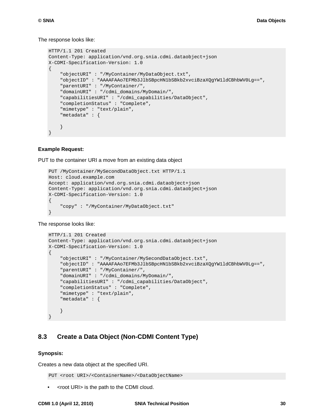#### The response looks like:

```
HTTP/1.1 201 Created
Content-Type: application/vnd.org.snia.cdmi.dataobject+json
X-CDMI-Specification-Version: 1.0
{
     "objectURI" : "/MyContainer/MyDataObject.txt",
     "objectID" : "AAAAFAAo7EFMb3JlbSBpcHN1bSBkb2xvciBzaXQgYW1ldCBhbWV0Lg==",
     "parentURI" : "/MyContainer/",
     "domainURI" : "/cdmi_domains/MyDomain/",
     "capabilitiesURI" : "/cdmi_capabilities/DataObject",
     "completionStatus" : "Complete",
     "mimetype" : "text/plain",
     "metadata" : {
     }
}
```
#### **Example Request:**

PUT to the container URI a move from an existing data object

```
PUT /MyContainer/MySecondDataObject.txt HTTP/1.1
Host: cloud.example.com
Accept: application/vnd.org.snia.cdmi.dataobject+json
Content-Type: application/vnd.org.snia.cdmi.dataobject+json
X-CDMI-Specification-Version: 1.0
{
     "copy" : "/MyContainer/MyDataObject.txt"
}
```
The response looks like:

```
HTTP/1.1 201 Created
Content-Type: application/vnd.org.snia.cdmi.dataobject+json
X-CDMI-Specification-Version: 1.0
\left\{ \right. "objectURI" : "/MyContainer/MySecondDataObject.txt",
     "objectID" : "AAAAFAAo7EFMb3JlbSBpcHN1bSBkb2xvciBzaXQgYW1ldCBhbWV0Lg==",
     "parentURI" : "/MyContainer/",
     "domainURI" : "/cdmi_domains/MyDomain/",
     "capabilitiesURI" : "/cdmi_capabilities/DataObject",
     "completionStatus" : "Complete",
     "mimetype" : "text/plain",
     "metadata" : {
     }
}
```
# **8.3 Create a Data Object (Non-CDMI Content Type)**

#### **Synopsis:**

Creates a new data object at the specified URI.

PUT <root URI>/<ContainerName>/<DataObjectName>

• <root URI> is the path to the CDMI cloud.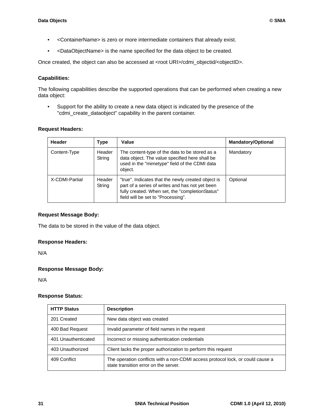- <ContainerName> is zero or more intermediate containers that already exist.
- <DataObjectName> is the name specified for the data object to be created.

Once created, the object can also be accessed at <root URI>/cdmi\_objectid/<objectID>.

#### **Capabilities:**

The following capabilities describe the supported operations that can be performed when creating a new data object:

• Support for the ability to create a new data object is indicated by the presence of the "cdmi\_create\_dataobject" capability in the parent container.

#### **Request Headers:**

| <b>Header</b>  | Type             | Value                                                                                                                                                                                          | <b>Mandatory/Optional</b> |
|----------------|------------------|------------------------------------------------------------------------------------------------------------------------------------------------------------------------------------------------|---------------------------|
| Content-Type   | Header<br>String | The content-type of the data to be stored as a<br>data object. The value specified here shall be<br>used in the "mimetype" field of the CDMI data<br>object.                                   | Mandatory                 |
| X-CDMI-Partial | Header<br>String | "true". Indicates that the newly created object is<br>part of a series of writes and has not yet been<br>fully created. When set, the "completionStatus"<br>field will be set to "Processing". | Optional                  |

#### **Request Message Body:**

The data to be stored in the value of the data object.

#### **Response Headers:**

N/A

#### **Response Message Body:**

N/A

#### **Response Status:**

| <b>HTTP Status</b>  | <b>Description</b>                                                                                                      |
|---------------------|-------------------------------------------------------------------------------------------------------------------------|
| 201 Created         | New data object was created                                                                                             |
| 400 Bad Request     | Invalid parameter of field names in the request                                                                         |
| 401 Unauthenticated | Incorrect or missing authentication credentials                                                                         |
| 403 Unauthorized    | Client lacks the proper authorization to perform this request                                                           |
| 409 Conflict        | The operation conflicts with a non-CDMI access protocol lock, or could cause a<br>state transition error on the server. |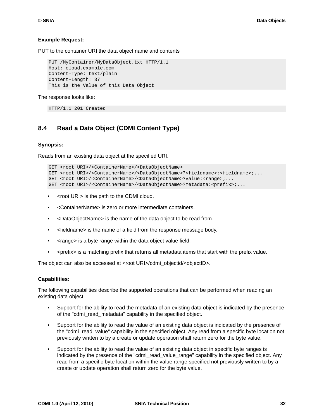#### **Example Request:**

PUT to the container URI the data object name and contents

```
PUT /MyContainer/MyDataObject.txt HTTP/1.1
Host: cloud.example.com
Content-Type: text/plain
Content-Length: 37
This is the Value of this Data Object
```
The response looks like:

HTTP/1.1 201 Created

# **8.4 Read a Data Object (CDMI Content Type)**

#### **Synopsis:**

Reads from an existing data object at the specified URI.

```
GET <root URI>/<ContainerName>/<DataObjectName>
GET <root URI>/<ContainerName>/<DataObjectName>?<fieldname>;<fieldname>;...
GET <root URI>/<ContainerName>/<DataObjectName>?value:<range>;...
GET <root URI>/<ContainerName>/<DataObjectName>?metadata:<prefix>;...
```
- <root URI> is the path to the CDMI cloud.
- <ContainerName> is zero or more intermediate containers.
- <DataObjectName> is the name of the data object to be read from.
- <fieldname> is the name of a field from the response message body.
- < range > is a byte range within the data object value field.
- <prefix> is a matching prefix that returns all metadata items that start with the prefix value.

The object can also be accessed at <root URI>/cdmi\_objectid/<objectID>.

#### **Capabilities:**

The following capabilities describe the supported operations that can be performed when reading an existing data object:

- Support for the ability to read the metadata of an existing data object is indicated by the presence of the "cdmi\_read\_metadata" capability in the specified object.
- Support for the ability to read the value of an existing data object is indicated by the presence of the "cdmi\_read\_value" capability in the specified object. Any read from a specific byte location not previously written to by a create or update operation shall return zero for the byte value.
- Support for the ability to read the value of an existing data object in specific byte ranges is indicated by the presence of the "cdmiaread value range" capability in the specified object. Any read from a specific byte location within the value range specified not previously written to by a create or update operation shall return zero for the byte value.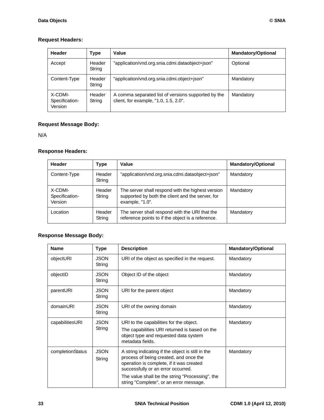# **Request Headers:**

| <b>Header</b>                        | Type             | Value                                                                                        | <b>Mandatory/Optional</b> |
|--------------------------------------|------------------|----------------------------------------------------------------------------------------------|---------------------------|
| Accept                               | Header<br>String | "application/vnd.org.snia.cdmi.dataobject+json"                                              | Optional                  |
| Content-Type                         | Header<br>String | "application/vnd.org.snia.cdmi.object+json"                                                  | Mandatory                 |
| X-CDMI-<br>Specification-<br>Version | Header<br>String | A comma separated list of versions supported by the<br>client, for example, "1.0, 1.5, 2.0". | Mandatory                 |

# **Request Message Body:**

N/A

# **Response Headers:**

| Header                               | Type             | Value                                                                                                                    | <b>Mandatory/Optional</b> |
|--------------------------------------|------------------|--------------------------------------------------------------------------------------------------------------------------|---------------------------|
| Content-Type                         | Header<br>String | "application/vnd.org.snia.cdmi.dataobject+json"                                                                          | Mandatory                 |
| X-CDMI-<br>Specification-<br>Version | Header<br>String | The server shall respond with the highest version<br>supported by both the client and the server, for<br>example, "1.0". | Mandatory                 |
| Location                             | Header<br>String | The server shall respond with the URI that the<br>reference points to if the object is a reference.                      | Mandatory                 |

# **Response Message Body:**

| <b>Name</b>      | <b>Type</b>           | <b>Description</b>                                                                                                                                                                                                                                                          | <b>Mandatory/Optional</b> |
|------------------|-----------------------|-----------------------------------------------------------------------------------------------------------------------------------------------------------------------------------------------------------------------------------------------------------------------------|---------------------------|
| objectURI        | <b>JSON</b><br>String | URI of the object as specified in the request.                                                                                                                                                                                                                              | Mandatory                 |
| objectID         | <b>JSON</b><br>String | Object ID of the object                                                                                                                                                                                                                                                     | Mandatory                 |
| parentURI        | <b>JSON</b><br>String | URI for the parent object                                                                                                                                                                                                                                                   | Mandatory                 |
| domainURI        | <b>JSON</b><br>String | URI of the owning domain                                                                                                                                                                                                                                                    | Mandatory                 |
| capabilitiesURI  | <b>JSON</b><br>String | URI to the capabilities for the object.<br>The capabilities URI returned is based on the<br>object type and requested data system<br>metadata fields.                                                                                                                       | Mandatory                 |
| completionStatus | <b>JSON</b><br>String | A string indicating if the object is still in the<br>process of being created, and once the<br>operation is complete, if it was created<br>successfully or an error occurred.<br>The value shall be the string "Processing", the<br>string "Complete", or an error message. | Mandatory                 |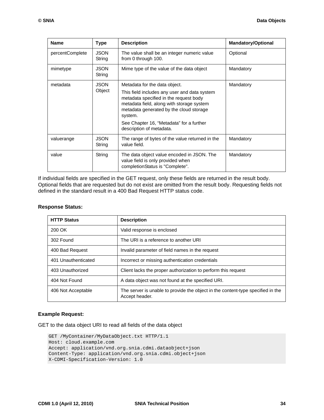| <b>Name</b>     | <b>Type</b>           | <b>Description</b>                                                                                                                                                                                                                                                                                 | <b>Mandatory/Optional</b> |
|-----------------|-----------------------|----------------------------------------------------------------------------------------------------------------------------------------------------------------------------------------------------------------------------------------------------------------------------------------------------|---------------------------|
| percentComplete | <b>JSON</b><br>String | The value shall be an integer numeric value<br>from 0 through 100.                                                                                                                                                                                                                                 | Optional                  |
| mimetype        | <b>JSON</b><br>String | Mime type of the value of the data object                                                                                                                                                                                                                                                          | Mandatory                 |
| metadata        | <b>JSON</b><br>Object | Metadata for the data object.<br>This field includes any user and data system<br>metadata specified in the request body<br>metadata field, along with storage system<br>metadata generated by the cloud storage<br>system.<br>See Chapter 16, "Metadata" for a further<br>description of metadata. | Mandatory                 |
| valuerange      | <b>JSON</b><br>String | The range of bytes of the value returned in the<br>value field.                                                                                                                                                                                                                                    | Mandatory                 |
| value           | String                | The data object value encoded in JSON. The<br>value field is only provided when<br>completionStatus is "Complete".                                                                                                                                                                                 | Mandatory                 |

If individual fields are specified in the GET request, only these fields are returned in the result body. Optional fields that are requested but do not exist are omitted from the result body. Requesting fields not defined in the standard result in a 400 Bad Request HTTP status code.

### **Response Status:**

| <b>HTTP Status</b>  | <b>Description</b>                                                                                |
|---------------------|---------------------------------------------------------------------------------------------------|
| 200 OK              | Valid response is enclosed                                                                        |
| 302 Found           | The URI is a reference to another URI                                                             |
| 400 Bad Request     | Invalid parameter of field names in the request                                                   |
| 401 Unauthenticated | Incorrect or missing authentication credentials                                                   |
| 403 Unauthorized    | Client lacks the proper authorization to perform this request                                     |
| 404 Not Found       | A data object was not found at the specified URI.                                                 |
| 406 Not Acceptable  | The server is unable to provide the object in the content-type specified in the<br>Accept header. |

#### **Example Request:**

GET to the data object URI to read all fields of the data object

```
GET /MyContainer/MyDataObject.txt HTTP/1.1
Host: cloud.example.com
Accept: application/vnd.org.snia.cdmi.dataobject+json
Content-Type: application/vnd.org.snia.cdmi.object+json
X-CDMI-Specification-Version: 1.0
```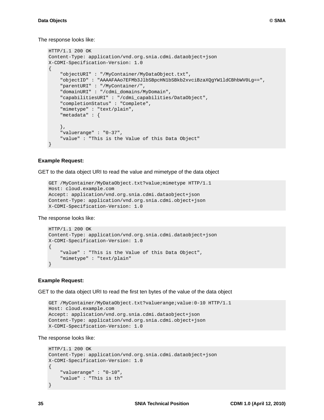The response looks like:

```
HTTP/1.1 200 OK
Content-Type: application/vnd.org.snia.cdmi.dataobject+json
X-CDMI-Specification-Version: 1.0
{
     "objectURI" : "/MyContainer/MyDataObject.txt",
     "objectID" : "AAAAFAAo7EFMb3JlbSBpcHN1bSBkb2xvciBzaXQgYW1ldCBhbWV0Lg==",
     "parentURI" : "/MyContainer/",
     "domainURI" : "/cdmi_domains/MyDomain",
     "capabilitiesURI" : "/cdmi_capabilities/DataObject",
     "completionStatus" : "Complete",
     "mimetype" : "text/plain",
     "metadata" : {
     },
     "valuerange" : "0-37",
     "value" : "This is the Value of this Data Object"
}
```
#### **Example Request:**

GET to the data object URI to read the value and mimetype of the data object

```
GET /MyContainer/MyDataObject.txt?value;mimetype HTTP/1.1
Host: cloud.example.com
Accept: application/vnd.org.snia.cdmi.dataobject+json
Content-Type: application/vnd.org.snia.cdmi.object+json
X-CDMI-Specification-Version: 1.0
```
The response looks like:

```
HTTP/1.1 200 OK
Content-Type: application/vnd.org.snia.cdmi.dataobject+json
X-CDMI-Specification-Version: 1.0
{
     "value" : "This is the Value of this Data Object",
     "mimetype" : "text/plain"
}
```
#### **Example Request:**

GET to the data object URI to read the first ten bytes of the value of the data object

```
GET /MyContainer/MyDataObject.txt?valuerange;value:0-10 HTTP/1.1
Host: cloud.example.com
Accept: application/vnd.org.snia.cdmi.dataobject+json
Content-Type: application/vnd.org.snia.cdmi.object+json
X-CDMI-Specification-Version: 1.0
```
The response looks like:

```
HTTP/1.1 200 OK
Content-Type: application/vnd.org.snia.cdmi.dataobject+json
X-CDMI-Specification-Version: 1.0
\left\{ \right. "valuerange" : "0-10",
     "value" : "This is th"
}
```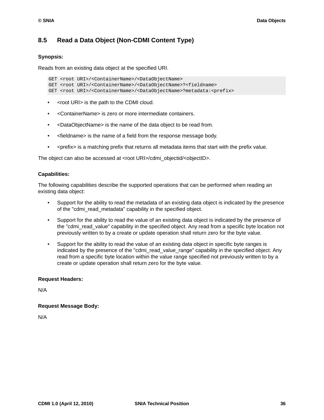# **8.5 Read a Data Object (Non-CDMI Content Type)**

### **Synopsis:**

Reads from an existing data object at the specified URI.

```
GET <root URI>/<ContainerName>/<DataObjectName>
GET <root URI>/<ContainerName>/<DataObjectName>?<fieldname>
GET <root URI>/<ContainerName>/<DataObjectName>?metadata:<prefix>
```
- <root URI> is the path to the CDMI cloud.
- <ContainerName> is zero or more intermediate containers.
- <DataObjectName> is the name of the data object to be read from.
- <fieldname> is the name of a field from the response message body.
- <prefix> is a matching prefix that returns all metadata items that start with the prefix value.

The object can also be accessed at <root URI>/cdmi\_objectid/<objectID>.

#### **Capabilities:**

The following capabilities describe the supported operations that can be performed when reading an existing data object:

- Support for the ability to read the metadata of an existing data object is indicated by the presence of the "cdmi\_read\_metadata" capability in the specified object.
- Support for the ability to read the value of an existing data object is indicated by the presence of the "cdmi\_read\_value" capability in the specified object. Any read from a specific byte location not previously written to by a create or update operation shall return zero for the byte value.
- Support for the ability to read the value of an existing data object in specific byte ranges is indicated by the presence of the "cdmi\_read\_value\_range" capability in the specified object. Any read from a specific byte location within the value range specified not previously written to by a create or update operation shall return zero for the byte value.

#### **Request Headers:**

N/A

#### **Request Message Body:**

N/A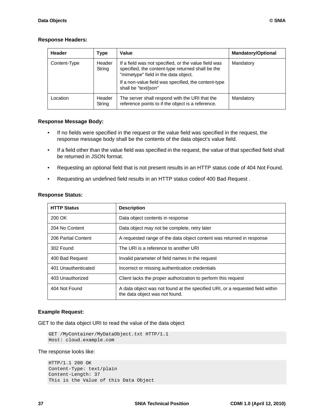#### **Response Headers:**

| Header       | Type             | Value                                                                                                                                                                                                                             | <b>Mandatory/Optional</b> |
|--------------|------------------|-----------------------------------------------------------------------------------------------------------------------------------------------------------------------------------------------------------------------------------|---------------------------|
| Content-Type | Header<br>String | If a field was not specified, or the value field was<br>specified, the content-type returned shall be the<br>"mimetype" field in the data object.<br>If a non-value field was specified, the content-type<br>shall be "text/json" | Mandatory                 |
| Location     | Header<br>String | The server shall respond with the URI that the<br>reference points to if the object is a reference.                                                                                                                               | Mandatory                 |

### **Response Message Body:**

- If no fields were specified in the request or the value field was specified in the request, the response message body shall be the contents of the data object's value field.
- If a field other than the value field was specified in the request, the value of that specified field shall be returned in JSON format.
- Requesting an optional field that is not present results in an HTTP status code of 404 Not Found.
- Requesting an undefined field results in an HTTP status codeof 400 Bad Request .

| <b>HTTP Status</b>  | <b>Description</b>                                                                                              |  |
|---------------------|-----------------------------------------------------------------------------------------------------------------|--|
| 200 OK              | Data object contents in response                                                                                |  |
| 204 No Content      | Data object may not be complete, retry later                                                                    |  |
| 206 Partial Content | A requested range of the data object content was returned in response                                           |  |
| 302 Found           | The URI is a reference to another URI                                                                           |  |
| 400 Bad Request     | Invalid parameter of field names in the request                                                                 |  |
| 401 Unauthenticated | Incorrect or missing authentication credentials                                                                 |  |
| 403 Unauthorized    | Client lacks the proper authorization to perform this request                                                   |  |
| 404 Not Found       | A data object was not found at the specified URI, or a requested field within<br>the data object was not found. |  |

#### **Response Status:**

#### **Example Request:**

GET to the data object URI to read the value of the data object

```
GET /MyContainer/MyDataObject.txt HTTP/1.1
Host: cloud.example.com
```
The response looks like:

```
HTTP/1.1 200 OK
Content-Type: text/plain
Content-Length: 37
This is the Value of this Data Object
```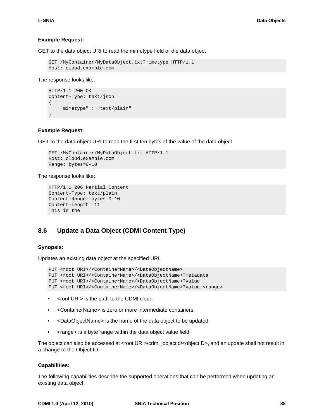#### **Example Request:**

GET to the data object URI to read the mimetype field of the data object

```
GET /MyContainer/MyDataObject.txt?mimetype HTTP/1.1
Host: cloud.example.com
```
The response looks like:

```
HTTP/1.1 200 OK
Content-Type: text/json
{
     "mimetype" : "text/plain"
}
```
#### **Example Request:**

GET to the data object URI to read the first ten bytes of the value of the data object

```
GET /MyContainer/MyDataObject.txt HTTP/1.1
Host: cloud.example.com 
Range: bytes=0-10
```
The response looks like:

```
HTTP/1.1 206 Partial Content
Content-Type: text/plain
Content-Range: bytes 0-10
Content-Length: 11
This is the
```
# **8.6 Update a Data Object (CDMI Content Type)**

#### **Synopsis:**

Updates an existing data object at the specified URI.

```
PUT <root URI>/<ContainerName>/<DataObjectName>
PUT <root URI>/<ContainerName>/<DataObjectName>?metadata
PUT <root URI>/<ContainerName>/<DataObjectName>?value
PUT <root URI>/<ContainerName>/<DataObjectName>?value:<range>
```
- <root URI> is the path to the CDMI cloud.
- <ContainerName> is zero or more intermediate containers.
- <DataObjectName> is the name of the data object to be updated.
- <range> is a byte range within the data object value field.

The object can also be accessed at <root URI>/cdmi\_objectid/<objectID>, and an update shall not result in a change to the Object ID.

#### **Capabilities:**

The following capabilities describe the supported operations that can be performed when updating an existing data object: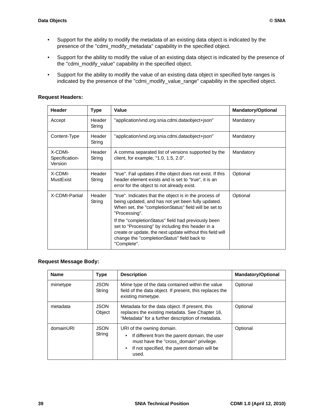- Support for the ability to modify the metadata of an existing data object is indicated by the presence of the "cdmi\_modify\_metadata" capability in the specified object.
- Support for the ability to modify the value of an existing data object is indicated by the presence of the "cdmi\_modify\_value" capability in the specified object.
- Support for the ability to modify the value of an existing data object in specified byte ranges is indicated by the presence of the "cdmi\_modify\_value\_range" capability in the specified object.

# **Request Headers:**

| <b>Header</b>                        | <b>Type</b>      | Value                                                                                                                                                                                                                               | <b>Mandatory/Optional</b> |
|--------------------------------------|------------------|-------------------------------------------------------------------------------------------------------------------------------------------------------------------------------------------------------------------------------------|---------------------------|
| Accept                               | Header<br>String | "application/vnd.org.snia.cdmi.dataobject+json"                                                                                                                                                                                     | Mandatory                 |
| Content-Type                         | Header<br>String | "application/vnd.org.snia.cdmi.dataobject+json"                                                                                                                                                                                     | Mandatory                 |
| X-CDMI-<br>Specification-<br>Version | Header<br>String | A comma separated list of versions supported by the<br>client, for example, "1.0, 1.5, 2.0".                                                                                                                                        | Mandatory                 |
| X-CDMI-<br><b>MustExist</b>          | Header<br>String | "true". Fail updates if the object does not exist. If this<br>header element exists and is set to "true", it is an<br>error for the object to not already exist.                                                                    | Optional                  |
| X-CDMI-Partial                       | Header<br>String | "true". Indicates that the object is in the process of<br>being updated, and has not yet been fully updated.<br>When set, the "completionStatus" field will be set to<br>"Processing".                                              | Optional                  |
|                                      |                  | If the "completionStatus" field had previously been<br>set to "Processing" by including this header in a<br>create or update, the next update without this field will<br>change the "completionStatus" field back to<br>"Complete". |                           |

#### **Request Message Body:**

| <b>Name</b> | Type                  | <b>Description</b>                                                                                                                                                            | <b>Mandatory/Optional</b> |
|-------------|-----------------------|-------------------------------------------------------------------------------------------------------------------------------------------------------------------------------|---------------------------|
| mimetype    | <b>JSON</b><br>String | Mime type of the data contained within the value<br>field of the data object. If present, this replaces the<br>existing mimetype.                                             | Optional                  |
| metadata    | <b>JSON</b><br>Object | Metadata for the data object. If present, this<br>replaces the existing metadata. See Chapter 16,<br>"Metadata" for a further description of metadata.                        | Optional                  |
| domainURI   | <b>JSON</b><br>String | URI of the owning domain.<br>If different from the parent domain, the user<br>must have the "cross_domain" privilege.<br>If not specified, the parent domain will be<br>used. | Optional                  |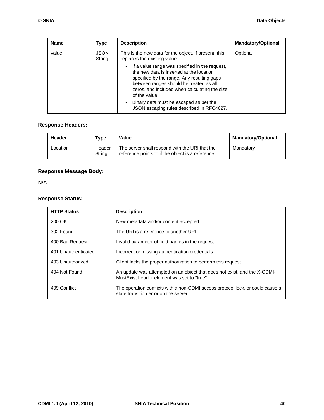| <b>Name</b> | Type                  | <b>Description</b>                                                                                                                                                                                                                                                                                                                                                     | <b>Mandatory/Optional</b> |
|-------------|-----------------------|------------------------------------------------------------------------------------------------------------------------------------------------------------------------------------------------------------------------------------------------------------------------------------------------------------------------------------------------------------------------|---------------------------|
| value       | <b>JSON</b><br>String | This is the new data for the object. If present, this<br>replaces the existing value.                                                                                                                                                                                                                                                                                  | Optional                  |
|             |                       | If a value range was specified in the request,<br>$\bullet$<br>the new data is inserted at the location<br>specified by the range. Any resulting gaps<br>between ranges should be treated as all<br>zeros, and included when calculating the size<br>of the value.<br>Binary data must be escaped as per the<br>$\bullet$<br>JSON escaping rules described in RFC4627. |                           |

# **Response Headers:**

| Header   | Type             | Value                                                                                               | <b>Mandatory/Optional</b> |
|----------|------------------|-----------------------------------------------------------------------------------------------------|---------------------------|
| Location | Header<br>Strina | The server shall respond with the URI that the<br>reference points to if the object is a reference. | Mandatory                 |

# **Response Message Body:**

N/A

# **Response Status:**

| <b>HTTP Status</b>  | <b>Description</b>                                                                                                       |  |
|---------------------|--------------------------------------------------------------------------------------------------------------------------|--|
| 200 OK              | New metadata and/or content accepted                                                                                     |  |
| 302 Found           | The URI is a reference to another URI                                                                                    |  |
| 400 Bad Request     | Invalid parameter of field names in the request                                                                          |  |
| 401 Unauthenticated | Incorrect or missing authentication credentials                                                                          |  |
| 403 Unauthorized    | Client lacks the proper authorization to perform this request                                                            |  |
| 404 Not Found       | An update was attempted on an object that does not exist, and the X-CDMI-<br>MustExist header element was set to "true". |  |
| 409 Conflict        | The operation conflicts with a non-CDMI access protocol lock, or could cause a<br>state transition error on the server.  |  |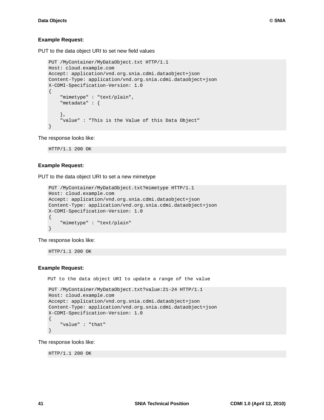PUT to the data object URI to set new field values

```
PUT /MyContainer/MyDataObject.txt HTTP/1.1
Host: cloud.example.com
Accept: application/vnd.org.snia.cdmi.dataobject+json
Content-Type: application/vnd.org.snia.cdmi.dataobject+json
X-CDMI-Specification-Version: 1.0
\mathcal{L}_{\mathcal{L}_{\mathcal{L}}} "mimetype" : "text/plain",
     "metadata" : {
     },
      "value" : "This is the Value of this Data Object"
}
```
The response looks like:

HTTP/1.1 200 OK

### **Example Request:**

PUT to the data object URI to set a new mimetype

```
PUT /MyContainer/MyDataObject.txt?mimetype HTTP/1.1
Host: cloud.example.com
Accept: application/vnd.org.snia.cdmi.dataobject+json
Content-Type: application/vnd.org.snia.cdmi.dataobject+json
X-CDMI-Specification-Version: 1.0
{
     "mimetype" : "text/plain"
}
```
The response looks like:

HTTP/1.1 200 OK

#### **Example Request:**

PUT to the data object URI to update a range of the value

```
PUT /MyContainer/MyDataObject.txt?value:21-24 HTTP/1.1
Host: cloud.example.com
Accept: application/vnd.org.snia.cdmi.dataobject+json
Content-Type: application/vnd.org.snia.cdmi.dataobject+json
X-CDMI-Specification-Version: 1.0
{
     "value" : "that"
}
```
The response looks like:

HTTP/1.1 200 OK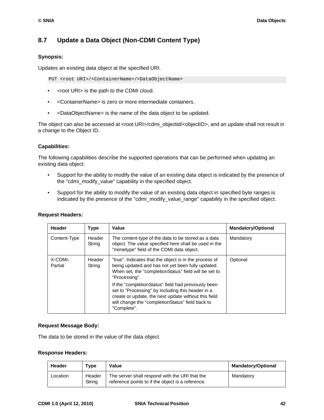# **8.7 Update a Data Object (Non-CDMI Content Type)**

# **Synopsis:**

Updates an existing data object at the specified URI.

PUT <root URI>/<ContainerName>/<DataObjectName>

- <root URI> is the path to the CDMI cloud.
- <ContainerName> is zero or more intermediate containers.
- <DataObjectName> is the name of the data object to be updated.

The object can also be accessed at <root URI>/cdmi\_objectid/<objectID>, and an update shall not result in a change to the Object ID.

# **Capabilities:**

The following capabilities describe the supported operations that can be performed when updating an existing data object:

- Support for the ability to modify the value of an existing data object is indicated by the presence of the "cdmi\_modify\_value" capability in the specified object.
- Support for the ability to modify the value of an existing data object in specified byte ranges is indicated by the presence of the "cdmi\_modify\_value\_range" capability in the specified object.

| Header             | Type             | Value                                                                                                                                                                                                                               | <b>Mandatory/Optional</b> |
|--------------------|------------------|-------------------------------------------------------------------------------------------------------------------------------------------------------------------------------------------------------------------------------------|---------------------------|
| Content-Type       | Header<br>String | The content-type of the data to be stored as a data<br>object. The value specified here shall be used in the<br>"mimetype" field of the CDMI data object.                                                                           | Mandatory                 |
| X-CDMI-<br>Partial | Header<br>String | "true". Indicates that the object is in the process of<br>being updated and has not yet been fully updated.<br>When set, the "completionStatus" field will be set to<br>"Processing".                                               | Optional                  |
|                    |                  | If the "completionStatus" field had previously been<br>set to "Processing" by including this header in a<br>create or update, the next update without this field<br>will change the "completionStatus" field back to<br>"Complete". |                           |

#### **Request Headers:**

#### **Request Message Body:**

The data to be stored in the value of the data object.

#### **Response Headers:**

| Header   | Type             | Value                                                                                               | <b>Mandatory/Optional</b> |
|----------|------------------|-----------------------------------------------------------------------------------------------------|---------------------------|
| Location | Header<br>String | The server shall respond with the URI that the<br>reference points to if the object is a reference. | Mandatory                 |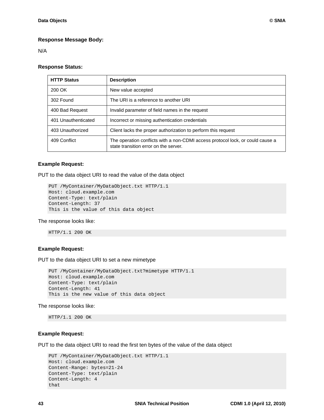#### **Response Message Body:**

N/A

#### **Response Status:**

| <b>HTTP Status</b>  | <b>Description</b>                                                                                                      |
|---------------------|-------------------------------------------------------------------------------------------------------------------------|
| 200 OK              | New value accepted                                                                                                      |
| 302 Found           | The URI is a reference to another URI                                                                                   |
| 400 Bad Request     | Invalid parameter of field names in the request                                                                         |
| 401 Unauthenticated | Incorrect or missing authentication credentials                                                                         |
| 403 Unauthorized    | Client lacks the proper authorization to perform this request                                                           |
| 409 Conflict        | The operation conflicts with a non-CDMI access protocol lock, or could cause a<br>state transition error on the server. |

#### **Example Request:**

PUT to the data object URI to read the value of the data object

```
PUT /MyContainer/MyDataObject.txt HTTP/1.1
Host: cloud.example.com
Content-Type: text/plain
Content-Length: 37
This is the value of this data object
```
#### The response looks like:

HTTP/1.1 200 OK

### **Example Request:**

PUT to the data object URI to set a new mimetype

```
PUT /MyContainer/MyDataObject.txt?mimetype HTTP/1.1
Host: cloud.example.com
Content-Type: text/plain
Content-Length: 41
This is the new value of this data object
```
The response looks like:

HTTP/1.1 200 OK

#### **Example Request:**

PUT to the data object URI to read the first ten bytes of the value of the data object

```
PUT /MyContainer/MyDataObject.txt HTTP/1.1
Host: cloud.example.com 
Content-Range: bytes=21-24
Content-Type: text/plain
Content-Length: 4
that
```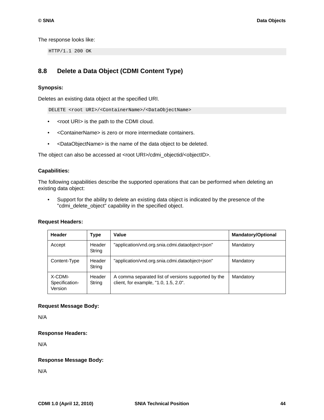The response looks like:

HTTP/1.1 200 OK

# **8.8 Delete a Data Object (CDMI Content Type)**

#### **Synopsis:**

Deletes an existing data object at the specified URI.

DELETE <root URI>/<ContainerName>/<DataObjectName>

- <root URI> is the path to the CDMI cloud.
- <ContainerName> is zero or more intermediate containers.
- <DataObjectName> is the name of the data object to be deleted.

The object can also be accessed at <root URI>/cdmi\_objectid/<objectID>.

#### **Capabilities:**

The following capabilities describe the supported operations that can be performed when deleting an existing data object:

• Support for the ability to delete an existing data object is indicated by the presence of the "cdmi\_delete\_object" capability in the specified object.

#### **Request Headers:**

| Header                               | Type             | Value                                                                                        | <b>Mandatory/Optional</b> |
|--------------------------------------|------------------|----------------------------------------------------------------------------------------------|---------------------------|
| Accept                               | Header<br>String | "application/vnd.org.snia.cdmi.dataobject+json"                                              | Mandatory                 |
| Content-Type                         | Header<br>String | "application/vnd.org.snia.cdmi.dataobject+json"                                              | Mandatory                 |
| X-CDMI-<br>Specification-<br>Version | Header<br>String | A comma separated list of versions supported by the<br>client, for example, "1.0, 1.5, 2.0". | Mandatory                 |

#### **Request Message Body:**

N/A

#### **Response Headers:**

N/A

#### **Response Message Body:**

N/A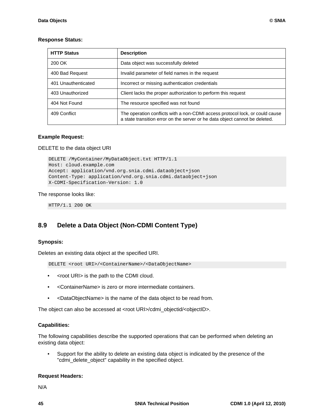### **Response Status:**

| <b>HTTP Status</b>  | <b>Description</b>                                                                                                                                          |
|---------------------|-------------------------------------------------------------------------------------------------------------------------------------------------------------|
| 200 OK              | Data object was successfully deleted                                                                                                                        |
| 400 Bad Request     | Invalid parameter of field names in the request                                                                                                             |
| 401 Unauthenticated | Incorrect or missing authentication credentials                                                                                                             |
| 403 Unauthorized    | Client lacks the proper authorization to perform this request                                                                                               |
| 404 Not Found       | The resource specified was not found                                                                                                                        |
| 409 Conflict        | The operation conflicts with a non-CDMI access protocol lock, or could cause<br>a state transition error on the server or he data object cannot be deleted. |

### **Example Request:**

DELETE to the data object URI

```
DELETE /MyContainer/MyDataObject.txt HTTP/1.1
Host: cloud.example.com
Accept: application/vnd.org.snia.cdmi.dataobject+json
Content-Type: application/vnd.org.snia.cdmi.dataobject+json
X-CDMI-Specification-Version: 1.0
```
The response looks like:

HTTP/1.1 200 OK

# **8.9 Delete a Data Object (Non-CDMI Content Type)**

#### **Synopsis:**

Deletes an existing data object at the specified URI.

DELETE <root URI>/<ContainerName>/<DataObjectName>

- <root URI> is the path to the CDMI cloud.
- <ContainerName> is zero or more intermediate containers.
- <DataObjectName> is the name of the data object to be read from.

The object can also be accessed at <root URI>/cdmi\_objectid/<objectID>.

#### **Capabilities:**

The following capabilities describe the supported operations that can be performed when deleting an existing data object:

• Support for the ability to delete an existing data object is indicated by the presence of the "cdmi\_delete\_object" capability in the specified object.

#### **Request Headers:**

N/A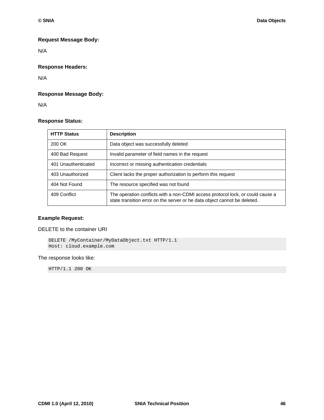### **Request Message Body:**

N/A

# **Response Headers:**

N/A

### **Response Message Body:**

N/A

# **Response Status:**

| <b>HTTP Status</b>  | <b>Description</b>                                                                                                                                          |
|---------------------|-------------------------------------------------------------------------------------------------------------------------------------------------------------|
| 200 OK              | Data object was successfully deleted                                                                                                                        |
| 400 Bad Request     | Invalid parameter of field names in the request                                                                                                             |
| 401 Unauthenticated | Incorrect or missing authentication credentials                                                                                                             |
| 403 Unauthorized    | Client lacks the proper authorization to perform this request                                                                                               |
| 404 Not Found       | The resource specified was not found                                                                                                                        |
| 409 Conflict        | The operation conflicts with a non-CDMI access protocol lock, or could cause a<br>state transition error on the server or he data object cannot be deleted. |

### **Example Request:**

DELETE to the container URI

DELETE /MyContainer/MyDataObject.txt HTTP/1.1 Host: cloud.example.com

#### The response looks like:

HTTP/1.1 200 OK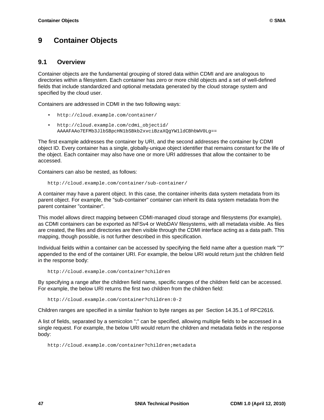# **9 Container Objects**

# **9.1 Overview**

Container objects are the fundamental grouping of stored data within CDMI and are analogous to directories within a filesystem. Each container has zero or more child objects and a set of well-defined fields that include standardized and optional metadata generated by the cloud storage system and specified by the cloud user.

Containers are addressed in CDMI in the two following ways:

- http://cloud.example.com/container/
- http://cloud.example.com/cdmi\_objectid/ AAAAFAAo7EFMb3JlbSBpcHN1bSBkb2xvciBzaXQgYW1ldCBhbWV0Lg==

The first example addresses the container by URI, and the second addresses the container by CDMI object ID. Every container has a single, globally-unique object identifier that remains constant for the life of the object. Each container may also have one or more URI addresses that allow the container to be accessed.

Containers can also be nested, as follows:

http://cloud.example.com/container/sub-container/

A container may have a parent object. In this case, the container inherits data system metadata from its parent object. For example, the "sub-container" container can inherit its data system metadata from the parent container "container".

This model allows direct mapping between CDMI-managed cloud storage and filesystems (for example), as CDMI containers can be exported as NFSv4 or WebDAV filesystems, with all metadata visible. As files are created, the files and directories are then visible through the CDMI interface acting as a data path. This mapping, though possible, is not further described in this specification.

Individual fields within a container can be accessed by specifying the field name after a question mark "?" appended to the end of the container URI. For example, the below URI would return just the children field in the response body:

http://cloud.example.com/container?children

By specifying a range after the children field name, specific ranges of the children field can be accessed. For example, the below URI returns the first two children from the children field:

http://cloud.example.com/container?children:0-2

Children ranges are specified in a similar fashion to byte ranges as per Section 14.35.1 of RFC2616.

A list of fields, separated by a semicolon ";" can be specified, allowing multiple fields to be accessed in a single request. For example, the below URI would return the children and metadata fields in the response body:

http://cloud.example.com/container?children;metadata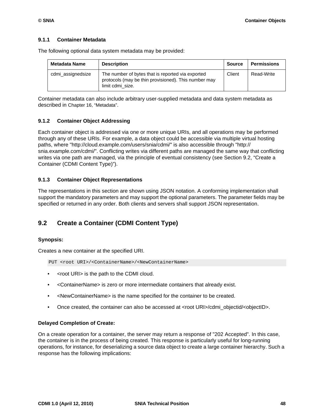### **9.1.1 Container Metadata**

| Metadata Name     | <b>Description</b>                                                                                                            | <b>Source</b> | <b>Permissions</b> |
|-------------------|-------------------------------------------------------------------------------------------------------------------------------|---------------|--------------------|
| cdmi_assignedsize | The number of bytes that is reported via exported<br>protocols (may be thin provisioned). This number may<br>limit cdmi size. | Client        | Read-Write         |

The following optional data system metadata may be provided:

Container metadata can also include arbitrary user-supplied metadata and data system metadata as described in [Chapter 16, "Metadata"](#page-143-0).

### **9.1.2 Container Object Addressing**

Each container object is addressed via one or more unique URIs, and all operations may be performed through any of these URIs. For example, a data object could be accessible via multiple virtual hosting paths, where "http://cloud.example.com/users/snia/cdmi/" is also accessible through "http:// snia.example.com/cdmi/". Conflicting writes via different paths are managed the same way that conflicting writes via one path are managed, via the principle of eventual consistency (see [Section 9.2, "Create a](#page-58-0)  [Container \(CDMI Content Type\)"](#page-58-0)).

### **9.1.3 Container Object Representations**

The representations in this section are shown using JSON notation. A conforming implementation shall support the mandatory parameters and may support the optional parameters. The parameter fields may be specified or returned in any order. Both clients and servers shall support JSON representation.

# <span id="page-58-0"></span>**9.2 Create a Container (CDMI Content Type)**

#### **Synopsis:**

Creates a new container at the specified URI.

PUT <root URI>/<ContainerName>/<NewContainerName>

- <root URI> is the path to the CDMI cloud.
- <ContainerName> is zero or more intermediate containers that already exist.
- <NewContainerName> is the name specified for the container to be created.
- Once created, the container can also be accessed at <root URI>/cdmi\_objectid/<objectID>.

#### **Delayed Completion of Create:**

On a create operation for a container, the server may return a response of "202 Accepted". In this case, the container is in the process of being created. This response is particularly useful for long-running operations, for instance, for deserializing a source data object to create a large container hierarchy. Such a response has the following implications: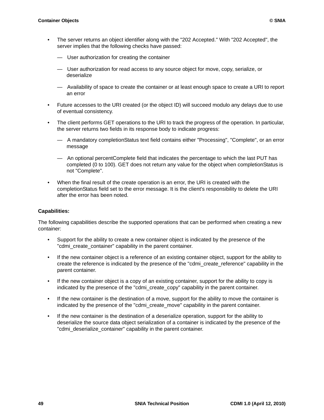- The server returns an object identifier along with the "202 Accepted." With "202 Accepted", the server implies that the following checks have passed:
	- User authorization for creating the container
	- User authorization for read access to any source object for move, copy, serialize, or deserialize
	- Availability of space to create the container or at least enough space to create a URI to report an error
- Future accesses to the URI created (or the object ID) will succeed modulo any delays due to use of eventual consistency.
- The client performs GET operations to the URI to track the progress of the operation. In particular, the server returns two fields in its response body to indicate progress:
	- A mandatory completionStatus text field contains either "Processing", "Complete", or an error message
	- An optional percentComplete field that indicates the percentage to which the last PUT has completed (0 to 100). GET does not return any value for the object when completionStatus is not "Complete".
- When the final result of the create operation is an error, the URI is created with the completionStatus field set to the error message. It is the client's responsibility to delete the URI after the error has been noted.

#### **Capabilities:**

The following capabilities describe the supported operations that can be performed when creating a new container:

- Support for the ability to create a new container object is indicated by the presence of the "cdmi\_create\_container" capability in the parent container.
- If the new container object is a reference of an existing container object, support for the ability to create the reference is indicated by the presence of the "cdmi\_create\_reference" capability in the parent container.
- If the new container object is a copy of an existing container, support for the ability to copy is indicated by the presence of the "cdmi\_create\_copy" capability in the parent container.
- If the new container is the destination of a move, support for the ability to move the container is indicated by the presence of the "cdmi\_create\_move" capability in the parent container.
- If the new container is the destination of a deserialize operation, support for the ability to deserialize the source data object serialization of a container is indicated by the presence of the "cdmi\_deserialize\_container" capability in the parent container.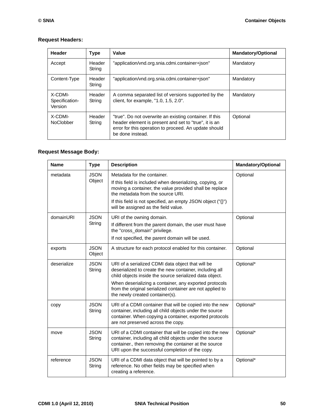# **Request Headers:**

| Header                               | <b>Type</b>      | Value                                                                                                                                                                                         | <b>Mandatory/Optional</b> |
|--------------------------------------|------------------|-----------------------------------------------------------------------------------------------------------------------------------------------------------------------------------------------|---------------------------|
| Accept                               | Header<br>String | "application/vnd.org.snia.cdmi.container+json"                                                                                                                                                | Mandatory                 |
| Content-Type                         | Header<br>String | "application/vnd.org.snia.cdmi.container+json"                                                                                                                                                | Mandatory                 |
| X-CDMI-<br>Specification-<br>Version | Header<br>String | A comma separated list of versions supported by the<br>client, for example, "1.0, 1.5, 2.0".                                                                                                  | Mandatory                 |
| X-CDMI-<br><b>NoClobber</b>          | Header<br>String | "true". Do not overwrite an existing container. If this<br>header element is present and set to "true", it is an<br>error for this operation to proceed. An update should<br>be done instead. | Optional                  |

# **Request Message Body:**

| <b>Name</b> | <b>Type</b>           | <b>Description</b>                                                                                                                                                                                                                                                                                                                | <b>Mandatory/Optional</b> |
|-------------|-----------------------|-----------------------------------------------------------------------------------------------------------------------------------------------------------------------------------------------------------------------------------------------------------------------------------------------------------------------------------|---------------------------|
| metadata    | <b>JSON</b><br>Object | Metadata for the container.<br>If this field is included when deserializing, copying, or<br>moving a container, the value provided shall be replace<br>the metadata from the source URI.<br>If this field is not specified, an empty JSON object ("{}")<br>will be assigned as the field value.                                   | Optional                  |
| domainURI   | <b>JSON</b><br>String | URI of the owning domain.<br>If different from the parent domain, the user must have<br>the "cross_domain" privilege.<br>If not specified, the parent domain will be used.                                                                                                                                                        | Optional                  |
| exports     | <b>JSON</b><br>Object | A structure for each protocol enabled for this container.                                                                                                                                                                                                                                                                         | Optional                  |
| deserialize | <b>JSON</b><br>String | URI of a serialized CDMI data object that will be<br>deserialized to create the new container, including all<br>child objects inside the source serialized data object.<br>When deserializing a container, any exported protocols<br>from the original serialized container are not applied to<br>the newly created container(s). | Optional*                 |
| copy        | <b>JSON</b><br>String | URI of a CDMI container that will be copied into the new<br>container, including all child objects under the source<br>container. When copying a container, exported protocols<br>are not preserved across the copy.                                                                                                              | Optional*                 |
| move        | <b>JSON</b><br>String | URI of a CDMI container that will be copied into the new<br>container, including all child objects under the source<br>container., then removing the container at the source<br>URI upon the successful completion of the copy.                                                                                                   | Optional*                 |
| reference   | <b>JSON</b><br>String | URI of a CDMI data object that will be pointed to by a<br>reference. No other fields may be specified when<br>creating a reference.                                                                                                                                                                                               | Optional*                 |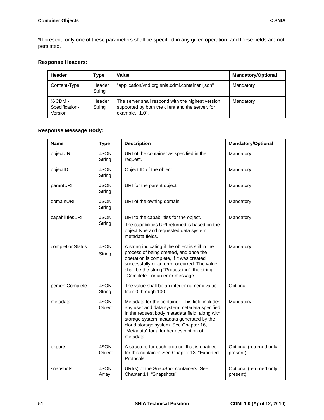\*If present, only one of these parameters shall be specified in any given operation, and these fields are not persisted.

# **Response Headers:**

| Header                               | Type             | Value                                                                                                                    | <b>Mandatory/Optional</b> |
|--------------------------------------|------------------|--------------------------------------------------------------------------------------------------------------------------|---------------------------|
| Content-Type                         | Header<br>String | "application/vnd.org.snia.cdmi.container+json"                                                                           | Mandatory                 |
| X-CDMI-<br>Specification-<br>Version | Header<br>String | The server shall respond with the highest version<br>supported by both the client and the server, for<br>example, "1.0". | Mandatory                 |

# **Response Message Body:**

| <b>Name</b>      | <b>Type</b>           | <b>Description</b>                                                                                                                                                                                                                                                                            | <b>Mandatory/Optional</b>              |
|------------------|-----------------------|-----------------------------------------------------------------------------------------------------------------------------------------------------------------------------------------------------------------------------------------------------------------------------------------------|----------------------------------------|
| objectURI        | <b>JSON</b><br>String | URI of the container as specified in the<br>request.                                                                                                                                                                                                                                          | Mandatory                              |
| objectID         | <b>JSON</b><br>String | Object ID of the object                                                                                                                                                                                                                                                                       | Mandatory                              |
| parentURI        | <b>JSON</b><br>String | URI for the parent object                                                                                                                                                                                                                                                                     | Mandatory                              |
| domainURI        | <b>JSON</b><br>String | URI of the owning domain                                                                                                                                                                                                                                                                      | Mandatory                              |
| capabilitiesURI  | <b>JSON</b><br>String | URI to the capabilities for the object.<br>The capabilities URI returned is based on the<br>object type and requested data system<br>metadata fields.                                                                                                                                         | Mandatory                              |
| completionStatus | <b>JSON</b><br>String | A string indicating if the object is still in the<br>process of being created, and once the<br>operation is complete, if it was created<br>successfully or an error occurred. The value<br>shall be the string "Processing", the string<br>"Complete", or an error message.                   | Mandatory                              |
| percentComplete  | <b>JSON</b><br>String | The value shall be an integer numeric value<br>from 0 through 100                                                                                                                                                                                                                             | Optional                               |
| metadata         | <b>JSON</b><br>Object | Metadata for the container. This field includes<br>any user and data system metadata specified<br>in the request body metadata field, along with<br>storage system metadata generated by the<br>cloud storage system. See Chapter 16,<br>"Metadata" for a further description of<br>metadata. | Mandatory                              |
| exports          | <b>JSON</b><br>Object | A structure for each protocol that is enabled<br>for this container. See Chapter 13, "Exported<br>Protocols".                                                                                                                                                                                 | Optional (returned only if<br>present) |
| snapshots        | <b>JSON</b><br>Array  | URI(s) of the SnapShot containers. See<br>Chapter 14, "Snapshots".                                                                                                                                                                                                                            | Optional (returned only if<br>present) |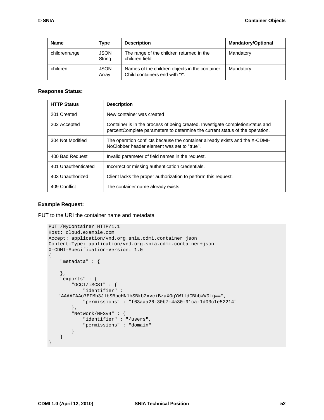| <b>Name</b>   | Type                  | <b>Description</b>                                                                | <b>Mandatory/Optional</b> |
|---------------|-----------------------|-----------------------------------------------------------------------------------|---------------------------|
| childrenrange | <b>JSON</b><br>String | The range of the children returned in the<br>children field.                      | Mandatory                 |
| children      | <b>JSON</b><br>Arrav  | Names of the children objects in the container.<br>Child containers end with "/". | Mandatory                 |

#### **Response Status:**

| <b>HTTP Status</b>  | <b>Description</b>                                                                                                                                              |
|---------------------|-----------------------------------------------------------------------------------------------------------------------------------------------------------------|
| 201 Created         | New container was created                                                                                                                                       |
| 202 Accepted        | Container is in the process of being created. Investigate completion Status and<br>percentComplete parameters to determine the current status of the operation. |
| 304 Not Modified    | The operation conflicts because the container already exists and the X-CDMI-<br>NoClobber header element was set to "true".                                     |
| 400 Bad Request     | Invalid parameter of field names in the request.                                                                                                                |
| 401 Unauthenticated | Incorrect or missing authentication credentials.                                                                                                                |
| 403 Unauthorized    | Client lacks the proper authorization to perform this request.                                                                                                  |
| 409 Conflict        | The container name already exists.                                                                                                                              |

#### **Example Request:**

PUT to the URI the container name and metadata

```
PUT /MyContainer HTTP/1.1
Host: cloud.example.com
Accept: application/vnd.org.snia.cdmi.container+json
Content-Type: application/vnd.org.snia.cdmi.container+json
X-CDMI-Specification-Version: 1.0
{
     "metadata" : {
     },
     "exports" : {
         "OCCI/iSCSI" : {
             "identifier" : 
    "AAAAFAAo7EFMb3JlbSBpcHN1bSBkb2xvciBzaXQgYW1ldCBhbWV0Lg==",
             "permissions" : "f63aaa26-30b7-4a30-91ca-1d03c1e52214" 
         },
         "Network/NFSv4" : {
             "identifier" : "/users",
             "permissions" : "domain" 
         } 
     }
}
```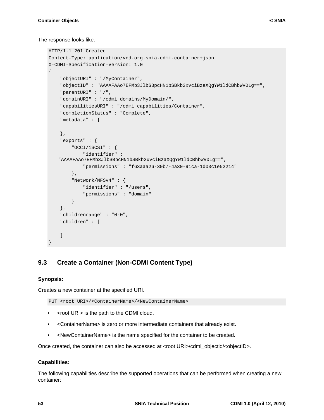### The response looks like:

```
HTTP/1.1 201 Created
Content-Type: application/vnd.org.snia.cdmi.container+json
X-CDMI-Specification-Version: 1.0
{
     "objectURI" : "/MyContainer",
     "objectID" : "AAAAFAAo7EFMb3JlbSBpcHN1bSBkb2xvciBzaXQgYW1ldCBhbWV0Lg==",
     "parentURI" : "/",
     "domainURI" : "/cdmi_domains/MyDomain/",
     "capabilitiesURI" : "/cdmi_capabilities/Container",
     "completionStatus" : "Complete",
     "metadata" : {
     },
     "exports" : {
         "OCCI/iSCSI" : {
              "identifier" : 
    "AAAAFAAo7EFMb3JlbSBpcHN1bSBkb2xvciBzaXQgYW1ldCBhbWV0Lg==",
              "permissions" : "f63aaa26-30b7-4a30-91ca-1d03c1e52214" 
         },
         "Network/NFSv4" : {
             "identifier" : "/users",
             "permissions" : "domain" 
         } 
     },
     "childrenrange" : "0-0",
     "children" : [
     ]
}
```
# **9.3 Create a Container (Non-CDMI Content Type)**

# **Synopsis:**

Creates a new container at the specified URI.

PUT <root URI>/<ContainerName>/<NewContainerName>

- <root URI> is the path to the CDMI cloud.
- <ContainerName> is zero or more intermediate containers that already exist.
- <NewContainerName> is the name specified for the container to be created.

Once created, the container can also be accessed at <root URI>/cdmi\_objectid/<objectID>.

# **Capabilities:**

The following capabilities describe the supported operations that can be performed when creating a new container: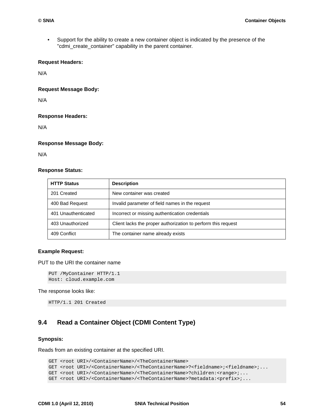• Support for the ability to create a new container object is indicated by the presence of the "cdmi\_create\_container" capability in the parent container.

#### **Request Headers:**

N/A

**Request Message Body:** 

N/A

#### **Response Headers:**

N/A

# **Response Message Body:**

N/A

### **Response Status:**

| <b>HTTP Status</b>  | <b>Description</b>                                            |
|---------------------|---------------------------------------------------------------|
| 201 Created         | New container was created                                     |
| 400 Bad Request     | Invalid parameter of field names in the request               |
| 401 Unauthenticated | Incorrect or missing authentication credentials               |
| 403 Unauthorized    | Client lacks the proper authorization to perform this request |
| 409 Conflict        | The container name already exists                             |

### **Example Request:**

PUT to the URI the container name

PUT /MyContainer HTTP/1.1 Host: cloud.example.com

#### The response looks like:

HTTP/1.1 201 Created

# **9.4 Read a Container Object (CDMI Content Type)**

#### **Synopsis:**

Reads from an existing container at the specified URI.

```
GET <root URI>/<ContainerName>/<TheContainerName>
GET <root URI>/<ContainerName>/<TheContainerName>?<fieldname>;<fieldname>;...
GET <root URI>/<ContainerName>/<TheContainerName>?children:<range>;...
GET <root URI>/<ContainerName>/<TheContainerName>?metadata:<prefix>;...
```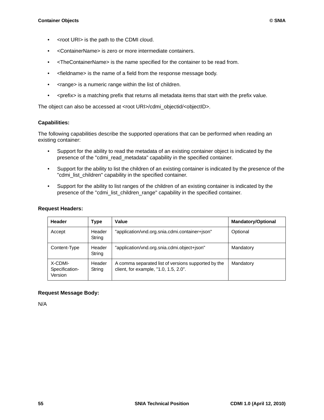- <root URI> is the path to the CDMI cloud.
- <ContainerName> is zero or more intermediate containers.
- <TheContainerName> is the name specified for the container to be read from.
- <fieldname> is the name of a field from the response message body.
- <range> is a numeric range within the list of children.
- < prefix> is a matching prefix that returns all metadata items that start with the prefix value.

The object can also be accessed at <root URI>/cdmi\_objectid/<objectID>.

#### **Capabilities:**

The following capabilities describe the supported operations that can be performed when reading an existing container:

- Support for the ability to read the metadata of an existing container object is indicated by the presence of the "cdmi\_read\_metadata" capability in the specified container.
- Support for the ability to list the children of an existing container is indicated by the presence of the "cdmi\_list\_children" capability in the specified container.
- Support for the ability to list ranges of the children of an existing container is indicated by the presence of the "cdmi\_list\_children\_range" capability in the specified container.

#### **Request Headers:**

| <b>Header</b>                        | <b>Type</b>      | Value                                                                                        | <b>Mandatory/Optional</b> |
|--------------------------------------|------------------|----------------------------------------------------------------------------------------------|---------------------------|
| Accept                               | Header<br>String | "application/vnd.org.snia.cdmi.container+json"                                               | Optional                  |
| Content-Type                         | Header<br>String | "application/vnd.org.snia.cdmi.object+json"                                                  | Mandatory                 |
| X-CDMI-<br>Specification-<br>Version | Header<br>String | A comma separated list of versions supported by the<br>client, for example, "1.0, 1.5, 2.0". | Mandatory                 |

# **Request Message Body:**

N/A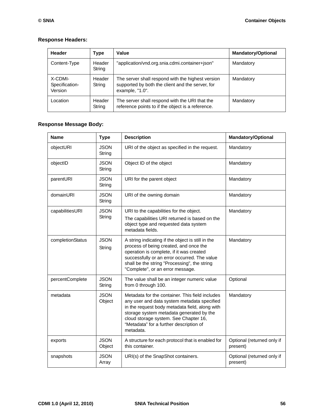# **Response Headers:**

| Header                               | Type             | Value                                                                                                                    | <b>Mandatory/Optional</b> |
|--------------------------------------|------------------|--------------------------------------------------------------------------------------------------------------------------|---------------------------|
| Content-Type                         | Header<br>String | "application/vnd.org.snia.cdmi.container+json"                                                                           | Mandatory                 |
| X-CDMI-<br>Specification-<br>Version | Header<br>String | The server shall respond with the highest version<br>supported by both the client and the server, for<br>example, "1.0". | Mandatory                 |
| Location                             | Header<br>String | The server shall respond with the URI that the<br>reference points to if the object is a reference.                      | Mandatory                 |

# **Response Message Body:**

| <b>Name</b>      | <b>Type</b>           | <b>Description</b>                                                                                                                                                                                                                                                                            | <b>Mandatory/Optional</b>              |
|------------------|-----------------------|-----------------------------------------------------------------------------------------------------------------------------------------------------------------------------------------------------------------------------------------------------------------------------------------------|----------------------------------------|
| objectURI        | <b>JSON</b><br>String | URI of the object as specified in the request.                                                                                                                                                                                                                                                | Mandatory                              |
| objectID         | <b>JSON</b><br>String | Object ID of the object                                                                                                                                                                                                                                                                       | Mandatory                              |
| parentURI        | <b>JSON</b><br>String | URI for the parent object                                                                                                                                                                                                                                                                     | Mandatory                              |
| domainURI        | <b>JSON</b><br>String | URI of the owning domain                                                                                                                                                                                                                                                                      | Mandatory                              |
| capabilitiesURI  | <b>JSON</b><br>String | URI to the capabilities for the object.<br>The capabilities URI returned is based on the<br>object type and requested data system<br>metadata fields.                                                                                                                                         | Mandatory                              |
| completionStatus | <b>JSON</b><br>String | A string indicating if the object is still in the<br>process of being created, and once the<br>operation is complete, if it was created<br>successfully or an error occurred. The value<br>shall be the string "Processing", the string<br>"Complete", or an error message.                   | Mandatory                              |
| percentComplete  | <b>JSON</b><br>String | The value shall be an integer numeric value<br>from 0 through 100.                                                                                                                                                                                                                            | Optional                               |
| metadata         | <b>JSON</b><br>Object | Metadata for the container. This field includes<br>any user and data system metadata specified<br>in the request body metadata field, along with<br>storage system metadata generated by the<br>cloud storage system. See Chapter 16,<br>"Metadata" for a further description of<br>metadata. | Mandatory                              |
| exports          | <b>JSON</b><br>Object | A structure for each protocol that is enabled for<br>this container.                                                                                                                                                                                                                          | Optional (returned only if<br>present) |
| snapshots        | <b>JSON</b><br>Array  | URI(s) of the SnapShot containers.                                                                                                                                                                                                                                                            | Optional (returned only if<br>present) |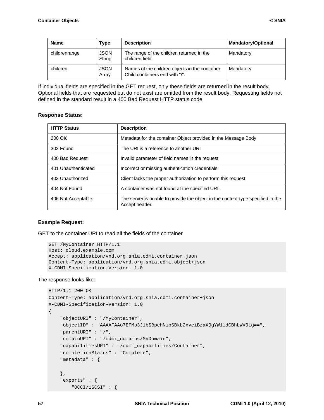| <b>Name</b>   | Type                  | <b>Description</b>                                                                | <b>Mandatory/Optional</b> |
|---------------|-----------------------|-----------------------------------------------------------------------------------|---------------------------|
| childrenrange | <b>JSON</b><br>String | The range of the children returned in the<br>children field.                      | Mandatory                 |
| children      | <b>JSON</b><br>Array  | Names of the children objects in the container.<br>Child containers end with "/". | Mandatory                 |

If individual fields are specified in the GET request, only these fields are returned in the result body. Optional fields that are requested but do not exist are omitted from the result body. Requesting fields not defined in the standard result in a 400 Bad Request HTTP status code.

### **Response Status:**

| <b>HTTP Status</b>  | <b>Description</b>                                                                                |
|---------------------|---------------------------------------------------------------------------------------------------|
| 200 OK              | Metadata for the container Object provided in the Message Body                                    |
| 302 Found           | The URI is a reference to another URI                                                             |
| 400 Bad Request     | Invalid parameter of field names in the request                                                   |
| 401 Unauthenticated | Incorrect or missing authentication credentials                                                   |
| 403 Unauthorized    | Client lacks the proper authorization to perform this request                                     |
| 404 Not Found       | A container was not found at the specified URI.                                                   |
| 406 Not Acceptable  | The server is unable to provide the object in the content-type specified in the<br>Accept header. |

#### **Example Request:**

GET to the container URI to read all the fields of the container

```
GET /MyContainer HTTP/1.1
Host: cloud.example.com
Accept: application/vnd.org.snia.cdmi.container+json
Content-Type: application/vnd.org.snia.cdmi.object+json
X-CDMI-Specification-Version: 1.0
```
#### The response looks like:

```
HTTP/1.1 200 OK
Content-Type: application/vnd.org.snia.cdmi.container+json
X-CDMI-Specification-Version: 1.0
{
     "objectURI" : "/MyContainer",
     "objectID" : "AAAAFAAo7EFMb3JlbSBpcHN1bSBkb2xvciBzaXQgYW1ldCBhbWV0Lg==",
     "parentURI" : "/",
     "domainURI" : "/cdmi_domains/MyDomain",
     "capabilitiesURI" : "/cdmi_capabilities/Container",
     "completionStatus" : "Complete",
     "metadata" : {
     },
     "exports" : {
         "OCCI/iSCSI" : {
```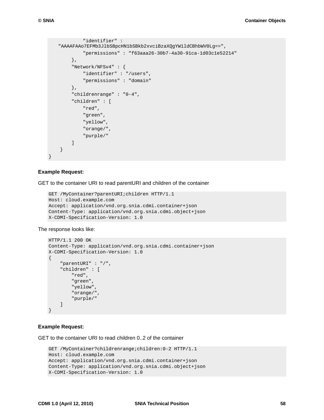```
 "identifier" : 
"AAAAFAAo7EFMb3JlbSBpcHN1bSBkb2xvciBzaXQgYW1ldCBhbWV0Lg==",
          "permissions" : "f63aaa26-30b7-4a30-91ca-1d03c1e52214" 
     },
     "Network/NFSv4" : {
          "identifier" : "/users",
          "permissions" : "domain" 
     },
      "childrenrange" : "0-4",
      "children" : [
          "red",
          "green",
          "yellow",
          "orange/",
          "purple/" 
     ] 
 }
```
#### **Example Request:**

}

GET to the container URI to read parentURI and children of the container

```
GET /MyContainer?parentURI;children HTTP/1.1
Host: cloud.example.com
Accept: application/vnd.org.snia.cdmi.container+json
Content-Type: application/vnd.org.snia.cdmi.object+json
X-CDMI-Specification-Version: 1.0
```
The response looks like:

```
HTTP/1.1 200 OK
Content-Type: application/vnd.org.snia.cdmi.container+json
X-CDMI-Specification-Version: 1.0
{
     "parentURI" : "/",
     "children" : [
         "red",
         "green",
         "yellow",
         "orange/",
         "purple/" 
     ]
}
```
#### **Example Request:**

GET to the container URI to read children 0..2 of the container

```
GET /MyContainer?childrenrange;children:0-2 HTTP/1.1
Host: cloud.example.com
Accept: application/vnd.org.snia.cdmi.container+json
Content-Type: application/vnd.org.snia.cdmi.object+json
X-CDMI-Specification-Version: 1.0
```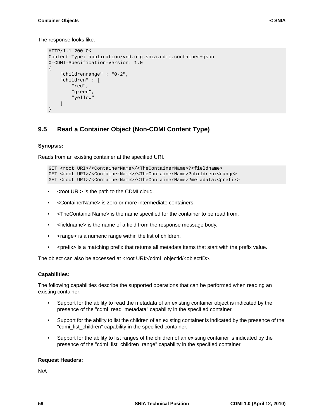The response looks like:

```
HTTP/1.1 200 OK
Content-Type: application/vnd.org.snia.cdmi.container+json
X-CDMI-Specification-Version: 1.0
{
     "childrenrange" : "0-2",
     "children" : [
         "red",
         "green",
          "yellow" 
     ]
}
```
# **9.5 Read a Container Object (Non-CDMI Content Type)**

### **Synopsis:**

Reads from an existing container at the specified URI.

```
GET <root URI>/<ContainerName>/<TheContainerName>?<fieldname>
GET <root URI>/<ContainerName>/<TheContainerName>?children:<range>
GET <root URI>/<ContainerName>/<TheContainerName>?metadata:<prefix>
```
- <root URI> is the path to the CDMI cloud.
- <ContainerName> is zero or more intermediate containers.
- <TheContainerName> is the name specified for the container to be read from.
- <fieldname> is the name of a field from the response message body.
- <range> is a numeric range within the list of children.
- < prefix > is a matching prefix that returns all metadata items that start with the prefix value.

The object can also be accessed at <root URI>/cdmi\_objectid/<objectID>.

#### **Capabilities:**

The following capabilities describe the supported operations that can be performed when reading an existing container:

- Support for the ability to read the metadata of an existing container object is indicated by the presence of the "cdmi\_read\_metadata" capability in the specified container.
- Support for the ability to list the children of an existing container is indicated by the presence of the "cdmi\_list\_children" capability in the specified container.
- Support for the ability to list ranges of the children of an existing container is indicated by the presence of the "cdmi\_list\_children\_range" capability in the specified container.

#### **Request Headers:**

N/A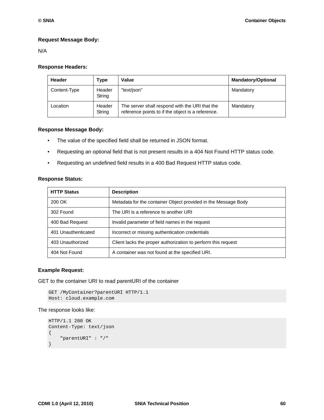### **Request Message Body:**

N/A

#### **Response Headers:**

| <b>Header</b> | Type             | Value                                                                                               | <b>Mandatory/Optional</b> |
|---------------|------------------|-----------------------------------------------------------------------------------------------------|---------------------------|
| Content-Type  | Header<br>String | "text/json"                                                                                         | Mandatory                 |
| Location      | Header<br>String | The server shall respond with the URI that the<br>reference points to if the object is a reference. | Mandatory                 |

#### **Response Message Body:**

- The value of the specified field shall be returned in JSON format.
- Requesting an optional field that is not present results in a 404 Not Found HTTP status code.
- Requesting an undefined field results in a 400 Bad Request HTTP status code.

#### **Response Status:**

| <b>HTTP Status</b>  | <b>Description</b>                                             |
|---------------------|----------------------------------------------------------------|
| 200 OK              | Metadata for the container Object provided in the Message Body |
| 302 Found           | The URI is a reference to another URI                          |
| 400 Bad Request     | Invalid parameter of field names in the request                |
| 401 Unauthenticated | Incorrect or missing authentication credentials                |
| 403 Unauthorized    | Client lacks the proper authorization to perform this request  |
| 404 Not Found       | A container was not found at the specified URI.                |

#### **Example Request:**

GET to the container URI to read parentURI of the container

```
GET /MyContainer?parentURI HTTP/1.1
Host: cloud.example.com
```
#### The response looks like:

```
HTTP/1.1 200 OK
Content-Type: text/json
{
     "parentURI" : "/"
}
```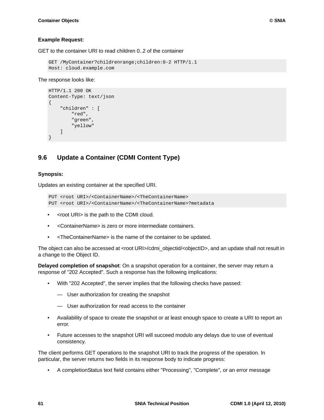#### **Example Request:**

GET to the container URI to read children 0..2 of the container

```
GET /MyContainer?childrenrange;children:0-2 HTTP/1.1
Host: cloud.example.com
```
#### The response looks like:

```
HTTP/1.1 200 OK
Content-Type: text/json
{
     "children" : [
          "red",
          "green",
          "yellow" 
    \Box}
```
# **9.6 Update a Container (CDMI Content Type)**

#### **Synopsis:**

Updates an existing container at the specified URI.

```
PUT <root URI>/<ContainerName>/<TheContainerName>
PUT <root URI>/<ContainerName>/<TheContainerName>?metadata
```
- <root URI> is the path to the CDMI cloud.
- <ContainerName> is zero or more intermediate containers.
- <TheContainerName> is the name of the container to be updated.

The object can also be accessed at <root URI>/cdmi\_objectid/<objectID>, and an update shall not result in a change to the Object ID.

**Delayed completion of snapshot**: On a snapshot operation for a container, the server may return a response of "202 Accepted". Such a response has the following implications:

- With "202 Accepted", the server implies that the following checks have passed:
	- User authorization for creating the snapshot
	- User authorization for read access to the container
- Availability of space to create the snapshot or at least enough space to create a URI to report an error.
- Future accesses to the snapshot URI will succeed modulo any delays due to use of eventual consistency.

The client performs GET operations to the snapshot URI to track the progress of the operation. In particular, the server returns two fields in its response body to indicate progress:

• A completionStatus text field contains either "Processing", "Complete", or an error message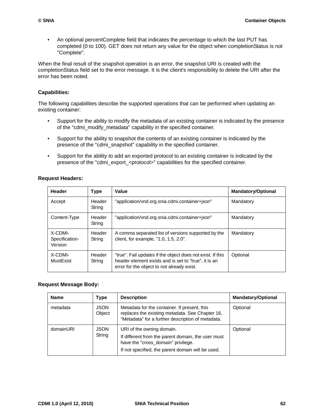• An optional percentComplete field that indicates the percentage to which the last PUT has completed (0 to 100). GET does not return any value for the object when completionStatus is not "Complete".

When the final result of the snapshot operation is an error, the snapshot URI is created with the completionStatus field set to the error message. It is the client's responsibility to delete the URI after the error has been noted.

### **Capabilities:**

The following capabilities describe the supported operations that can be performed when updating an existing container:

- Support for the ability to modify the metadata of an existing container is indicated by the presence of the "cdmi\_modify\_metadata" capability in the specified container.
- Support for the ability to snapshot the contents of an existing container is indicated by the presence of the "cdmi\_snapshot" capability in the specified container.
- Support for the ability to add an exported protocol to an existing container is indicated by the presence of the "cdmi\_export\_<protocol>" capabilities for the specified container.

### **Request Headers:**

| Header                               | <b>Type</b>      | Value                                                                                                                                                            | <b>Mandatory/Optional</b> |
|--------------------------------------|------------------|------------------------------------------------------------------------------------------------------------------------------------------------------------------|---------------------------|
| Accept                               | Header<br>String | "application/vnd.org.snia.cdmi.container+json"                                                                                                                   | Mandatory                 |
| Content-Type                         | Header<br>String | "application/vnd.org.snia.cdmi.container+json"                                                                                                                   | Mandatory                 |
| X-CDMI-<br>Specification-<br>Version | Header<br>String | A comma separated list of versions supported by the<br>client, for example, "1.0, 1.5, 2.0".                                                                     | Mandatory                 |
| X-CDMI-<br>MustExist                 | Header<br>String | "true". Fail updates if the object does not exist. If this<br>header element exists and is set to "true", it is an<br>error for the object to not already exist. | Optional                  |

### **Request Message Body:**

| <b>Name</b> | <b>Type</b>           | <b>Description</b>                                                                                                                                                         | <b>Mandatory/Optional</b> |
|-------------|-----------------------|----------------------------------------------------------------------------------------------------------------------------------------------------------------------------|---------------------------|
| metadata    | <b>JSON</b><br>Object | Metadata for the container. If present, this<br>replaces the existing metadata. See Chapter 16,<br>"Metadata" for a further description of metadata.                       | Optional                  |
| domainURI   | <b>JSON</b><br>String | URI of the owning domain.<br>If different from the parent domain, the user must<br>have the "cross_domain" privilege.<br>If not specified, the parent domain will be used. | Optional                  |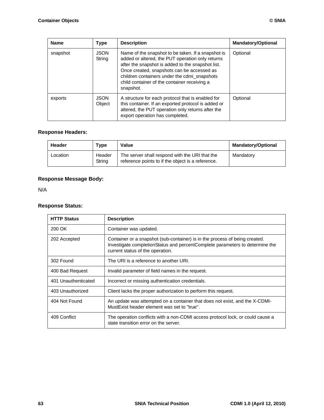| <b>Name</b> | <b>Type</b>           | <b>Description</b>                                                                                                                                                                                                                                                                                                     | <b>Mandatory/Optional</b> |
|-------------|-----------------------|------------------------------------------------------------------------------------------------------------------------------------------------------------------------------------------------------------------------------------------------------------------------------------------------------------------------|---------------------------|
| snapshot    | <b>JSON</b><br>String | Name of the snapshot to be taken. If a snapshot is<br>added or altered, the PUT operation only returns<br>after the snapshot is added to the snapshot list.<br>Once created, snapshots can be accessed as<br>children containers under the cdmi_snapshots<br>child container of the container receiving a<br>snapshot. | Optional                  |
| exports     | <b>JSON</b><br>Object | A structure for each protocol that is enabled for<br>this container. If an exported protocol is added or<br>altered, the PUT operation only returns after the<br>export operation has completed.                                                                                                                       | Optional                  |

## **Response Headers:**

| Header   | Type             | Value                                                                                               | <b>Mandatory/Optional</b> |
|----------|------------------|-----------------------------------------------------------------------------------------------------|---------------------------|
| Location | Header<br>String | The server shall respond with the URI that the<br>reference points to if the object is a reference. | Mandatory                 |

## **Response Message Body:**

N/A

## **Response Status:**

| <b>HTTP Status</b>  | <b>Description</b>                                                                                                                                                                              |
|---------------------|-------------------------------------------------------------------------------------------------------------------------------------------------------------------------------------------------|
| 200 OK              | Container was updated.                                                                                                                                                                          |
| 202 Accepted        | Container or a snapshot (sub-container) is in the process of being created.<br>Investigate completionStatus and percentComplete parameters to determine the<br>current status of the operation. |
| 302 Found           | The URI is a reference to another URI.                                                                                                                                                          |
| 400 Bad Request     | Invalid parameter of field names in the request.                                                                                                                                                |
| 401 Unauthenticated | Incorrect or missing authentication credentials.                                                                                                                                                |
| 403 Unauthorized    | Client lacks the proper authorization to perform this request.                                                                                                                                  |
| 404 Not Found       | An update was attempted on a container that does not exist, and the X-CDMI-<br>MustExist header element was set to "true".                                                                      |
| 409 Conflict        | The operation conflicts with a non-CDMI access protocol lock, or could cause a<br>state transition error on the server.                                                                         |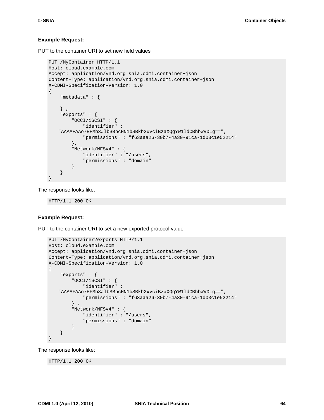#### **Example Request:**

PUT to the container URI to set new field values

```
PUT /MyContainer HTTP/1.1
Host: cloud.example.com
Accept: application/vnd.org.snia.cdmi.container+json
Content-Type: application/vnd.org.snia.cdmi.container+json
X-CDMI-Specification-Version: 1.0
{
     "metadata" : {
     } ,
     "exports" : {
         "OCCI/iSCSI" : {
              "identifier" : 
   "AAAAFAAo7EFMb3JlbSBpcHN1bSBkb2xvciBzaXQgYW1ldCBhbWV0Lg==",
              "permissions" : "f63aaa26-30b7-4a30-91ca-1d03c1e52214" 
         },
         "Network/NFSv4" : {
             "identifier" : "/users",
             "permissions" : "domain" 
         } 
     }
}
```
The response looks like:

HTTP/1.1 200 OK

#### **Example Request:**

PUT to the container URI to set a new exported protocol value

```
PUT /MyContainer?exports HTTP/1.1
Host: cloud.example.com
Accept: application/vnd.org.snia.cdmi.container+json
Content-Type: application/vnd.org.snia.cdmi.container+json
X-CDMI-Specification-Version: 1.0
{
     "exports" : {
         "OCCI/iSCSI" : {
             "identifier" : 
   "AAAAFAAo7EFMb3JlbSBpcHN1bSBkb2xvciBzaXQgYW1ldCBhbWV0Lg==",
             "permissions" : "f63aaa26-30b7-4a30-91ca-1d03c1e52214" 
         } ,
         "Network/NFSv4" : {
             "identifier" : "/users",
              "permissions" : "domain" 
         } 
     }
}
```
The response looks like:

HTTP/1.1 200 OK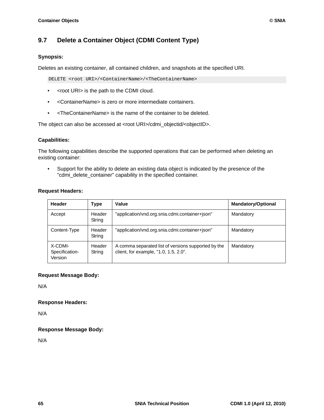## **9.7 Delete a Container Object (CDMI Content Type)**

### **Synopsis:**

Deletes an existing container, all contained children, and snapshots at the specified URI.

DELETE <root URI>/<ContainerName>/<TheContainerName>

- <root URI> is the path to the CDMI cloud.
- <ContainerName> is zero or more intermediate containers.
- <TheContainerName> is the name of the container to be deleted.

The object can also be accessed at <root URI>/cdmi\_objectid/<objectID>.

### **Capabilities:**

The following capabilities describe the supported operations that can be performed when deleting an existing container:

• Support for the ability to delete an existing data object is indicated by the presence of the "cdmi\_delete\_container" capability in the specified container.

### **Request Headers:**

| Header                               | <b>Type</b>      | Value                                                                                        | <b>Mandatory/Optional</b> |
|--------------------------------------|------------------|----------------------------------------------------------------------------------------------|---------------------------|
| Accept                               | Header<br>String | "application/vnd.org.snia.cdmi.container+json"                                               | Mandatory                 |
| Content-Type                         | Header<br>String | "application/vnd.org.snia.cdmi.container+json"                                               | Mandatory                 |
| X-CDMI-<br>Specification-<br>Version | Header<br>String | A comma separated list of versions supported by the<br>client, for example, "1.0, 1.5, 2.0". | Mandatory                 |

### **Request Message Body:**

N/A

### **Response Headers:**

N/A

### **Response Message Body:**

N/A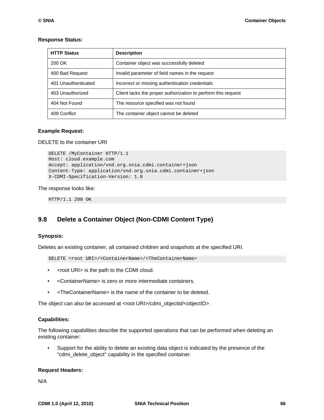| <b>HTTP Status</b>  | <b>Description</b>                                            |
|---------------------|---------------------------------------------------------------|
| 200 OK              | Container object was successfully deleted                     |
| 400 Bad Request     | Invalid parameter of field names in the request               |
| 401 Unauthenticated | Incorrect or missing authentication credentials               |
| 403 Unauthorized    | Client lacks the proper authorization to perform this request |
| 404 Not Found       | The resource specified was not found                          |
| 409 Conflict        | The container object cannot be deleted                        |

#### **Response Status:**

#### **Example Request:**

DELETE to the container URI

```
DELETE /MyContainer HTTP/1.1
Host: cloud.example.com
Accept: application/vnd.org.snia.cdmi.container+json
Content-Type: application/vnd.org.snia.cdmi.container+json
X-CDMI-Specification-Version: 1.0
```
#### The response looks like:

HTTP/1.1 200 OK

### **9.8 Delete a Container Object (Non-CDMI Content Type)**

#### **Synopsis:**

Deletes an existing container, all contained children and snapshots at the specified URI.

DELETE <root URI>/<ContainerName>/<TheContainerName>

- <root URI> is the path to the CDMI cloud.
- <ContainerName> is zero or more intermediate containers.
- <TheContainerName> is the name of the container to be deleted.

The object can also be accessed at <root URI>/cdmi\_objectid/<objectID>.

#### **Capabilities:**

The following capabilities describe the supported operations that can be performed when deleting an existing container:

• Support for the ability to delete an existing data object is indicated by the presence of the "cdmi\_delete\_object" capability in the specified container.

#### **Request Headers:**

N/A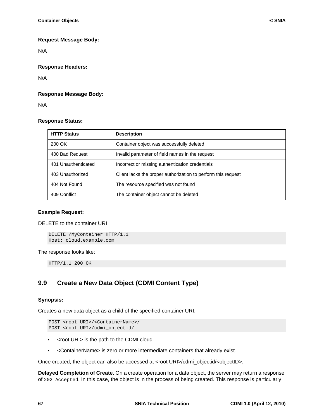### **Request Message Body:**

N/A

### **Response Headers:**

N/A

### **Response Message Body:**

N/A

### **Response Status:**

| <b>HTTP Status</b>  | <b>Description</b>                                            |
|---------------------|---------------------------------------------------------------|
| 200 OK              | Container object was successfully deleted                     |
| 400 Bad Request     | Invalid parameter of field names in the request               |
| 401 Unauthenticated | Incorrect or missing authentication credentials               |
| 403 Unauthorized    | Client lacks the proper authorization to perform this request |
| 404 Not Found       | The resource specified was not found                          |
| 409 Conflict        | The container object cannot be deleted                        |

### **Example Request:**

DELETE to the container URI

```
DELETE /MyContainer HTTP/1.1
Host: cloud.example.com
```
The response looks like:

HTTP/1.1 200 OK

## **9.9 Create a New Data Object (CDMI Content Type)**

### **Synopsis:**

Creates a new data object as a child of the specified container URI.

```
POST <root URI>/<ContainerName>/
POST <root URI>/cdmi_objectid/
```
- <root URI> is the path to the CDMI cloud.
- <ContainerName> is zero or more intermediate containers that already exist.

Once created, the object can also be accessed at <root URI>/cdmi\_objectid/<objectID>.

**Delayed Completion of Create**. On a create operation for a data object, the server may return a response of 202 Accepted. In this case, the object is in the process of being created. This response is particularly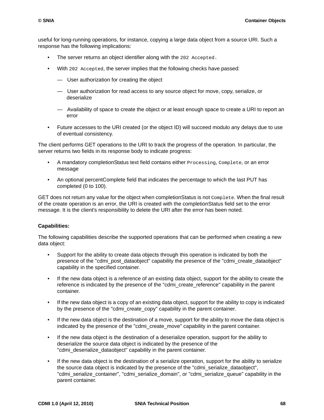useful for long-running operations, for instance, copying a large data object from a source URI. Such a response has the following implications:

- The server returns an object identifier along with the 202 Accepted.
- With 202 Accepted, the server implies that the following checks have passed:
	- User authorization for creating the object
	- User authorization for read access to any source object for move, copy, serialize, or deserialize
	- Availability of space to create the object or at least enough space to create a URI to report an error
- Future accesses to the URI created (or the object ID) will succeed modulo any delays due to use of eventual consistency.

The client performs GET operations to the URI to track the progress of the operation. In particular, the server returns two fields in its response body to indicate progress:

- A mandatory completionStatus text field contains either **Processing, Complete, or an error** message
- An optional percentComplete field that indicates the percentage to which the last PUT has completed (0 to 100).

GET does not return any value for the object when completionStatus is not Complete. When the final result of the create operation is an error, the URI is created with the completionStatus field set to the error message. It is the client's responsibility to delete the URI after the error has been noted.

### **Capabilities:**

The following capabilities describe the supported operations that can be performed when creating a new data object:

- Support for the ability to create data objects through this operation is indicated by both the presence of the "cdmi\_post\_dataobject" capability the presence of the "cdmi\_create\_dataobject" capability in the specified container.
- If the new data object is a reference of an existing data object, support for the ability to create the reference is indicated by the presence of the "cdmi\_create\_reference" capability in the parent container.
- If the new data object is a copy of an existing data object, support for the ability to copy is indicated by the presence of the "cdmi\_create\_copy" capability in the parent container.
- If the new data object is the destination of a move, support for the ability to move the data object is indicated by the presence of the "cdmi\_create\_move" capability in the parent container.
- If the new data object is the destination of a deserialize operation, support for the ability to deserialize the source data object is indicated by the presence of the "cdmi\_deserialize\_dataobject" capability in the parent container.
- If the new data object is the destination of a serialize operation, support for the ability to serialize the source data object is indicated by the presence of the "cdmi\_serialize\_dataobject", "cdmi\_serialize\_container", "cdmi\_serialize\_domain", or "cdmi\_serialize\_queue" capability in the parent container.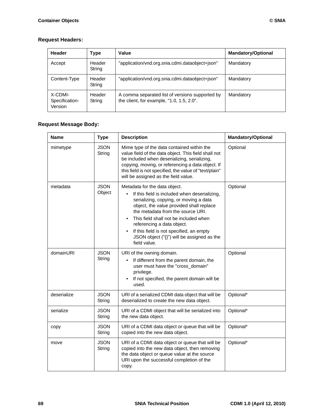### **Request Headers:**

| Header                               | <b>Type</b>      | Value                                                                                        | <b>Mandatory/Optional</b> |
|--------------------------------------|------------------|----------------------------------------------------------------------------------------------|---------------------------|
| Accept                               | Header<br>String | "application/vnd.org.snia.cdmi.dataobject+json"                                              | Mandatory                 |
| Content-Type                         | Header<br>String | "application/vnd.org.snia.cdmi.dataobject+json"                                              | Mandatory                 |
| X-CDMI-<br>Specification-<br>Version | Header<br>String | A comma separated list of versions supported by<br>the client, for example, "1.0, 1.5, 2.0". | Mandatory                 |

## **Request Message Body:**

| <b>Name</b> | <b>Type</b>           | <b>Description</b>                                                                                                                                                                                                                                                                                                                                                                             | <b>Mandatory/Optional</b> |
|-------------|-----------------------|------------------------------------------------------------------------------------------------------------------------------------------------------------------------------------------------------------------------------------------------------------------------------------------------------------------------------------------------------------------------------------------------|---------------------------|
| mimetype    | <b>JSON</b><br>String | Mime type of the data contained within the<br>value field of the data object. This field shall not<br>be included when deserializing, serializing,<br>copying, moving, or referencing a data object. If<br>this field is not specified, the value of "text/plain"<br>will be assigned as the field value.                                                                                      | Optional                  |
| metadata    | <b>JSON</b><br>Object | Metadata for the data object.<br>If this field is included when deserializing,<br>serializing, copying, or moving a data<br>object, the value provided shall replace<br>the metadata from the source URI.<br>This field shall not be included when<br>referencing a data object.<br>If this field is not specified, an empty<br>JSON object $("{}$ }") will be assigned as the<br>field value. | Optional                  |
| domainURI   | <b>JSON</b><br>String | URI of the owning domain.<br>If different from the parent domain, the<br>user must have the "cross_domain"<br>privilege.<br>If not specified, the parent domain will be<br>used.                                                                                                                                                                                                               | Optional                  |
| deserialize | <b>JSON</b><br>String | URI of a serialized CDMI data object that will be<br>deserialized to create the new data object.                                                                                                                                                                                                                                                                                               | Optional*                 |
| serialize   | <b>JSON</b><br>String | URI of a CDMI object that will be serialized into<br>the new data object.                                                                                                                                                                                                                                                                                                                      | Optional*                 |
| copy        | <b>JSON</b><br>String | URI of a CDMI data object or queue that will be<br>copied into the new data object.                                                                                                                                                                                                                                                                                                            | Optional*                 |
| move        | <b>JSON</b><br>String | URI of a CDMI data object or queue that will be<br>copied into the new data object, then removing<br>the data object or queue value at the source<br>URI upon the successful completion of the<br>copy.                                                                                                                                                                                        | Optional*                 |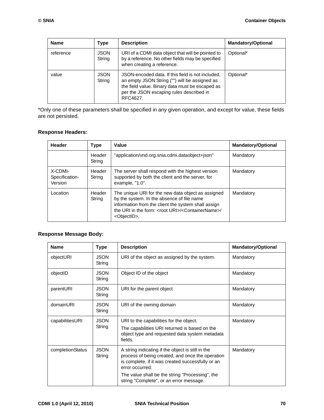| <b>Name</b> | <b>Type</b>           | <b>Description</b>                                                                                                                                                                                            | <b>Mandatory/Optional</b> |
|-------------|-----------------------|---------------------------------------------------------------------------------------------------------------------------------------------------------------------------------------------------------------|---------------------------|
| reference   | <b>JSON</b><br>String | URI of a CDMI data object that will be pointed to<br>by a reference. No other fields may be specified<br>when creating a reference.                                                                           | Optional*                 |
| value       | <b>JSON</b><br>String | JSON-encoded data. If this field is not included,<br>an empty JSON String ("") will be assigned as<br>the field value. Binary data must be escaped as<br>per the JSON escaping rules described in<br>RFC4627. | Optional*                 |

\*Only one of these parameters shall be specified in any given operation, and except for value, these fields are not persisted.

### **Response Headers:**

| Header                               | <b>Type</b>      | Value                                                                                                                                                                                                                                                            | <b>Mandatory/Optional</b> |
|--------------------------------------|------------------|------------------------------------------------------------------------------------------------------------------------------------------------------------------------------------------------------------------------------------------------------------------|---------------------------|
|                                      | Header<br>String | "application/vnd.org.snia.cdmi.dataobject+json"                                                                                                                                                                                                                  | Mandatory                 |
| X-CDMI-<br>Specification-<br>Version | Header<br>String | The server shall respond with the highest version<br>supported by both the client and the server, for<br>example, "1.0".                                                                                                                                         | Mandatory                 |
| Location                             | Header<br>String | The unique URI for the new data object as assigned<br>by the system. In the absence of file name<br>information from the client the system shall assign<br>the URI in the form: <root uri="">/<containername>/<br/><objectid>.</objectid></containername></root> | Mandatory                 |

### **Response Message Body:**

| <b>Name</b>      | <b>Type</b>           | <b>Description</b>                                                                                                                                                                                                                                                          | <b>Mandatory/Optional</b> |
|------------------|-----------------------|-----------------------------------------------------------------------------------------------------------------------------------------------------------------------------------------------------------------------------------------------------------------------------|---------------------------|
| objectURI        | <b>JSON</b><br>String | URI of the object as assigned by the system.                                                                                                                                                                                                                                | Mandatory                 |
| objectID         | <b>JSON</b><br>String | Object ID of the object                                                                                                                                                                                                                                                     | Mandatory                 |
| parentURI        | <b>JSON</b><br>String | URI for the parent object                                                                                                                                                                                                                                                   | Mandatory                 |
| domainURI        | <b>JSON</b><br>String | URI of the owning domain                                                                                                                                                                                                                                                    | Mandatory                 |
| capabilitiesURI  | <b>JSON</b><br>String | URI to the capabilities for the object.<br>The capabilities URI returned is based on the<br>object type and requested data system metadata<br>fields.                                                                                                                       | Mandatory                 |
| completionStatus | <b>JSON</b><br>String | A string indicating if the object is still in the<br>process of being created, and once the operation<br>is complete, if it was created successfully or an<br>error occurred.<br>The value shall be the string "Processing", the<br>string "Complete", or an error message. | Mandatory                 |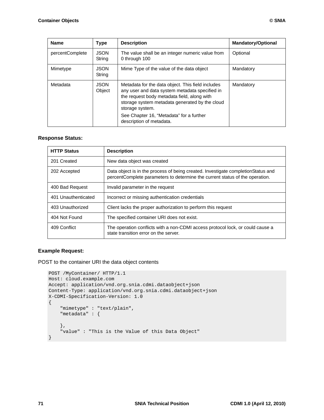| <b>Name</b>     | <b>Type</b>           | <b>Description</b>                                                                                                                                                                                                                                                                              | <b>Mandatory/Optional</b> |
|-----------------|-----------------------|-------------------------------------------------------------------------------------------------------------------------------------------------------------------------------------------------------------------------------------------------------------------------------------------------|---------------------------|
| percentComplete | <b>JSON</b><br>String | The value shall be an integer numeric value from<br>0 through 100                                                                                                                                                                                                                               | Optional                  |
| Mimetype        | <b>JSON</b><br>String | Mime Type of the value of the data object                                                                                                                                                                                                                                                       | Mandatory                 |
| Metadata        | <b>JSON</b><br>Obiect | Metadata for the data object. This field includes<br>any user and data system metadata specified in<br>the request body metadata field, along with<br>storage system metadata generated by the cloud<br>storage system.<br>See Chapter 16, "Metadata" for a further<br>description of metadata. | Mandatory                 |

### **Response Status:**

| <b>HTTP Status</b>  | <b>Description</b>                                                                                                                                                |
|---------------------|-------------------------------------------------------------------------------------------------------------------------------------------------------------------|
| 201 Created         | New data object was created                                                                                                                                       |
| 202 Accepted        | Data object is in the process of being created. Investigate completion Status and<br>percentComplete parameters to determine the current status of the operation. |
| 400 Bad Request     | Invalid parameter in the request                                                                                                                                  |
| 401 Unauthenticated | Incorrect or missing authentication credentials                                                                                                                   |
| 403 Unauthorized    | Client lacks the proper authorization to perform this request                                                                                                     |
| 404 Not Found       | The specified container URI does not exist.                                                                                                                       |
| 409 Conflict        | The operation conflicts with a non-CDMI access protocol lock, or could cause a<br>state transition error on the server.                                           |

### **Example Request:**

POST to the container URI the data object contents

```
POST /MyContainer/ HTTP/1.1
Host: cloud.example.com
Accept: application/vnd.org.snia.cdmi.dataobject+json
Content-Type: application/vnd.org.snia.cdmi.dataobject+json
X-CDMI-Specification-Version: 1.0
{
     "mimetype" : "text/plain",
     "metadata" : {
     },
     "value" : "This is the Value of this Data Object"
}
```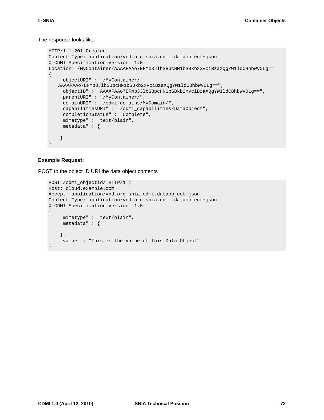#### The response looks like:

```
HTTP/1.1 201 Created
Content-Type: application/vnd.org.snia.cdmi.dataobject+json
X-CDMI-Specification-Version: 1.0
Location: /MyContainer/AAAAFAAo7EFMb3JlbSBpcHN1bSBkb2xvciBzaXQgYW1ldCBhbWV0Lg==
{
     "objectURI" : "/MyContainer/
   AAAAFAAo7EFMb3JlbSBpcHN1bSBkb2xvciBzaXQgYW1ldCBhbWV0Lg==",
     "objectID" : "AAAAFAAo7EFMb3JlbSBpcHN1bSBkb2xvciBzaXQgYW1ldCBhbWV0Lg==",
     "parentURI" : "/MyContainer/",
     "domainURI" : "/cdmi_domains/MyDomain/",
     "capabilitiesURI" : "/cdmi_capabilities/DataObject",
     "completionStatus" : "Complete",
     "mimetype" : "text/plain",
     "metadata" : {
     }
}
```
#### **Example Request:**

POST to the object ID URI the data object contents

```
POST /cdmi_objectid/ HTTP/1.1
Host: cloud.example.com
Accept: application/vnd.org.snia.cdmi.dataobject+json
Content-Type: application/vnd.org.snia.cdmi.dataobject+json
X-CDMI-Specification-Version: 1.0
{
     "mimetype" : "text/plain",
     "metadata" : {
     },
     "value" : "This is the Value of this Data Object"
}
```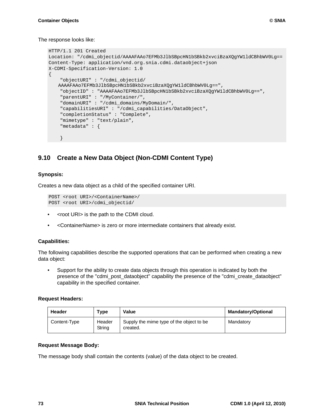The response looks like:

```
HTTP/1.1 201 Created
Location: "/cdmi_objectid/AAAAFAAo7EFMb3JlbSBpcHN1bSBkb2xvciBzaXQgYW1ldCBhbWV0Lg==
Content-Type: application/vnd.org.snia.cdmi.dataobject+json
X-CDMI-Specification-Version: 1.0
{
     "objectURI" : "/cdmi_objectid/
   AAAAFAAo7EFMb3JlbSBpcHN1bSBkb2xvciBzaXQgYW1ldCBhbWV0Lg==",
     "objectID" : "AAAAFAAo7EFMb3JlbSBpcHN1bSBkb2xvciBzaXQgYW1ldCBhbWV0Lg==",
     "parentURI" : "/MyContainer/",
     "domainURI" : "/cdmi_domains/MyDomain/",
     "capabilitiesURI" : "/cdmi_capabilities/DataObject",
     "completionStatus" : "Complete",
     "mimetype" : "text/plain",
     "metadata" : {
     }
```
## **9.10 Create a New Data Object (Non-CDMI Content Type)**

### **Synopsis:**

Creates a new data object as a child of the specified container URI.

```
POST <root URI>/<ContainerName>/
POST <root URI>/cdmi_objectid/
```
- <root URI> is the path to the CDMI cloud.
- <ContainerName> is zero or more intermediate containers that already exist.

### **Capabilities:**

The following capabilities describe the supported operations that can be performed when creating a new data object:

• Support for the ability to create data objects through this operation is indicated by both the presence of the "cdmi\_post\_dataobject" capability the presence of the "cdmi\_create\_dataobject" capability in the specified container.

### **Request Headers:**

| <b>Header</b> | Type             | Value                                                | <b>Mandatory/Optional</b> |  |
|---------------|------------------|------------------------------------------------------|---------------------------|--|
| Content-Type  | Header<br>String | Supply the mime type of the object to be<br>created. | Mandatory                 |  |

### **Request Message Body:**

The message body shall contain the contents (value) of the data object to be created.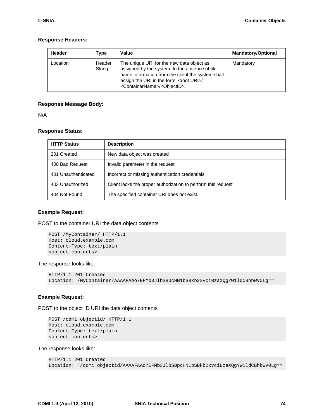#### **Response Headers:**

| <b>Header</b> | Type             | Value                                                                                                                                                                                                                                                            | <b>Mandatory/Optional</b> |
|---------------|------------------|------------------------------------------------------------------------------------------------------------------------------------------------------------------------------------------------------------------------------------------------------------------|---------------------------|
| Location      | Header<br>String | The unique URI for the new data object as<br>assigned by the system. In the absence of file<br>name information from the client the system shall<br>assign the URI in the form: <root uri="">/<br/><containername>/<objectid>.</objectid></containername></root> | Mandatory                 |

#### **Response Message Body:**

N/A

#### **Response Status:**

| <b>HTTP Status</b>  | <b>Description</b>                                            |
|---------------------|---------------------------------------------------------------|
| 201 Created         | New data object was created                                   |
| 400 Bad Request     | Invalid parameter in the request                              |
| 401 Unauthenticated | Incorrect or missing authentication credentials               |
| 403 Unauthorized    | Client lacks the proper authorization to perform this request |
| 404 Not Found       | The specified container URI does not exist.                   |

#### **Example Request:**

POST to the container URI the data object contents

```
POST /MyContainer/ HTTP/1.1
Host: cloud.example.com
Content-Type: text/plain
<object contents>
```
The response looks like:

```
HTTP/1.1 201 Created
Location: /MyContainer/AAAAFAAo7EFMb3JlbSBpcHN1bSBkb2xvciBzaXQgYW1ldCBhbWV0Lg==
```
#### **Example Request:**

POST to the object ID URI the data object contents

```
POST /cdmi_objectid/ HTTP/1.1
Host: cloud.example.com
Content-Type: text/plain
<object contents>
```
The response looks like:

```
HTTP/1.1 201 Created
Location: "/cdmi_objectid/AAAAFAAo7EFMb3JlbSBpcHN1bSBkb2xvciBzaXQgYW1ldCBhbWV0Lg==
```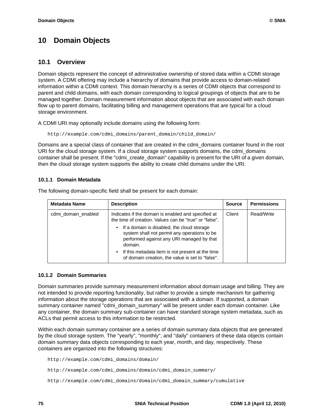# **10 Domain Objects**

### **10.1 Overview**

Domain objects represent the concept of administrative ownership of stored data within a CDMI storage system. A CDMI offering may include a hierarchy of domains that provide access to domain-related information within a CDMI context. This domain hierarchy is a series of CDMI objects that correspond to parent and child domains, with each domain corresponding to logical groupings of objects that are to be managed together. Domain measurement information about objects that are associated with each domain flow up to parent domains, facilitating billing and management operations that are typical for a cloud storage environment.

A CDMI URI may optionally include domains using the following form:

http://example.com/cdmi\_domains/parent\_domain/child\_domain/

Domains are a special class of container that are created in the cdmi\_domains container found in the root URI for the cloud storage system. If a cloud storage system supports domains, the cdmi\_domains container shall be present. If the "cdmi\_create\_domain" capability is present for the URI of a given domain, then the cloud storage system supports the ability to create child domains under the URI.

### **10.1.1 Domain Metadata**

| <b>Metadata Name</b> | <b>Description</b>                                                                                                                                              | <b>Source</b> | <b>Permissions</b> |
|----------------------|-----------------------------------------------------------------------------------------------------------------------------------------------------------------|---------------|--------------------|
| cdmi domain enabled  | Indicates if the domain is enabled and specified at<br>the time of creation. Values can be "true" or "false".                                                   | Client        | Read/Write         |
|                      | If a domain is disabled, the cloud storage<br>$\bullet$<br>system shall not permit any operations to be<br>performed against any URI managed by that<br>domain. |               |                    |
|                      | If this metadata item is not present at the time<br>$\bullet$<br>of domain creation, the value is set to "false".                                               |               |                    |

The following domain-specific field shall be present for each domain:

### **10.1.2 Domain Summaries**

Domain summaries provide summary measurement information about domain usage and billing. They are not intended to provide reporting functionality, but rather to provide a simple mechanism for gathering information about the storage operations that are associated with a domain. If supported, a domain summary container named "cdmi\_domain\_summary" will be present under each domain container. Like any container, the domain summary sub-container can have standard storage system metadata, such as ACLs that permit access to this information to be restricted.

Within each domain summary container are a series of domain summary data objects that are generated by the cloud storage system. The "yearly", "monthly", and "daily" containers of these data objects contain domain summary data objects corresponding to each year, month, and day, respectively. These containers are organized into the following structures:

```
http://example.com/cdmi_domains/domain/
http://example.com/cdmi_domains/domain/cdmi_domain_summary/
http://example.com/cdmi_domains/domain/cdmi_domain_summary/cumulative
```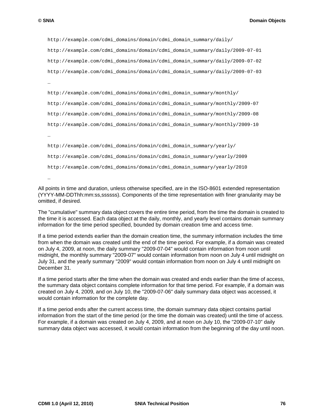…

```
http://example.com/cdmi_domains/domain/cdmi_domain_summary/daily/
http://example.com/cdmi_domains/domain/cdmi_domain_summary/daily/2009-07-01
http://example.com/cdmi_domains/domain/cdmi_domain_summary/daily/2009-07-02
http://example.com/cdmi_domains/domain/cdmi_domain_summary/daily/2009-07-03
…
http://example.com/cdmi_domains/domain/cdmi_domain_summary/monthly/
http://example.com/cdmi_domains/domain/cdmi_domain_summary/monthly/2009-07
http://example.com/cdmi_domains/domain/cdmi_domain_summary/monthly/2009-08
http://example.com/cdmi_domains/domain/cdmi_domain_summary/monthly/2009-10
…
http://example.com/cdmi_domains/domain/cdmi_domain_summary/yearly/
http://example.com/cdmi_domains/domain/cdmi_domain_summary/yearly/2009
http://example.com/cdmi_domains/domain/cdmi_domain_summary/yearly/2010
```
All points in time and duration, unless otherwise specified, are in the ISO-8601 extended representation (YYYY-MM-DDThh:mm:ss,ssssss). Components of the time representation with finer granularity may be omitted, if desired.

The "cumulative" summary data object covers the entire time period, from the time the domain is created to the time it is accessed. Each data object at the daily, monthly, and yearly level contains domain summary information for the time period specified, bounded by domain creation time and access time.

If a time period extends earlier than the domain creation time, the summary information includes the time from when the domain was created until the end of the time period. For example, if a domain was created on July 4, 2009, at noon, the daily summary "2009-07-04" would contain information from noon until midnight, the monthly summary "2009-07" would contain information from noon on July 4 until midnight on July 31, and the yearly summary "2009" would contain information from noon on July 4 until midnight on December 31.

If a time period starts after the time when the domain was created and ends earlier than the time of access, the summary data object contains complete information for that time period. For example, if a domain was created on July 4, 2009, and on July 10, the "2009-07-06" daily summary data object was accessed, it would contain information for the complete day.

If a time period ends after the current access time, the domain summary data object contains partial information from the start of the time period (or the time the domain was created) until the time of access. For example, if a domain was created on July 4, 2009, and at noon on July 10, the "2009-07-10" daily summary data object was accessed, it would contain information from the beginning of the day until noon.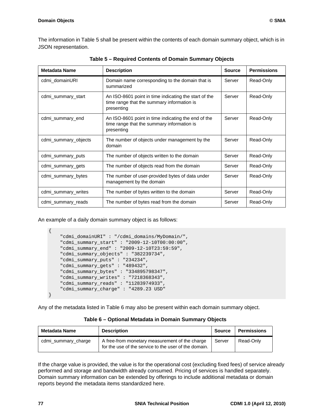The information in [Table 5](#page-87-0) shall be present within the contents of each domain summary object, which is in JSON representation.

<span id="page-87-0"></span>

| <b>Metadata Name</b> | <b>Description</b>                                                                                                | <b>Source</b> | <b>Permissions</b> |
|----------------------|-------------------------------------------------------------------------------------------------------------------|---------------|--------------------|
| cdmi_domainURI       | Domain name corresponding to the domain that is<br>summarized                                                     | Server        | Read-Only          |
| cdmi_summary_start   | An ISO-8601 point in time indicating the start of the<br>time range that the summary information is<br>presenting | Server        | Read-Only          |
| cdmi_summary_end     | An ISO-8601 point in time indicating the end of the<br>time range that the summary information is<br>presenting   | Server        | Read-Only          |
| cdmi_summary_objects | The number of objects under management by the<br>domain                                                           | Server        | Read-Only          |
| cdmi_summary_puts    | The number of objects written to the domain                                                                       | Server        | Read-Only          |
| cdmi summary gets    | The number of objects read from the domain                                                                        | Server        | Read-Only          |
| cdmi_summary_bytes   | The number of user-provided bytes of data under<br>management by the domain                                       | Server        | Read-Only          |
| cdmi_summary_writes  | The number of bytes written to the domain                                                                         | Server        | Read-Only          |
| cdmi_summary_reads   | The number of bytes read from the domain                                                                          | Server        | Read-Only          |

**Table 5 – Required Contents of Domain Summary Objects**

An example of a daily domain summary object is as follows:

```
 "cdmi_domainURI" : "/cdmi_domains/MyDomain/",
 "cdmi_summary_start" : "2009-12-10T00:00:00",
 "cdmi_summary_end" : "2009-12-10T23:59:59",
 "cdmi_summary_objects" : "382239734",
 "cdmi_summary_puts" : "234234",
 "cdmi_summary_gets" : "489432",
 "cdmi_summary_bytes" : "334895798347",
 "cdmi_summary_writes" : "7218368343",
 "cdmi_summary_reads" : "11283974933",
 "cdmi_summary_charge" : "4289.23 USD"
```
Any of the metadata listed in [Table 6](#page-87-1) may also be present within each domain summary object.

<span id="page-87-1"></span>

| Metadata Name       | <b>Description</b>                                                                                      | Source | <b>Permissions</b> |
|---------------------|---------------------------------------------------------------------------------------------------------|--------|--------------------|
| cdmi_summary_charge | A free-from monetary measurement of the charge<br>for the use of the service to the user of the domain. | Server | Read-Only          |

If the charge value is provided, the value is for the operational cost (excluding fixed fees) of service already performed and storage and bandwidth already consumed. Pricing of services is handled separately. Domain summary information can be extended by offerings to include additional metadata or domain reports beyond the metadata items standardized here.

{

}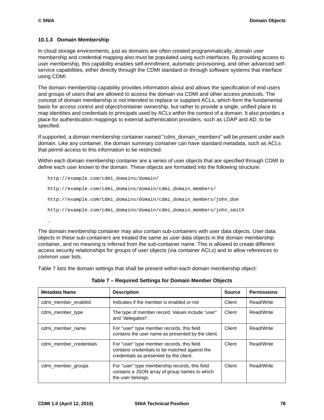### **10.1.3 Domain Membership**

In cloud storage environments, just as domains are often created programmatically, domain user membership and credential mapping also must be populated using such interfaces. By providing access to user membership, this capability enables self-enrollment, automatic provisioning, and other advanced selfservice capabilities, either directly through the CDMI standard or through software systems that interface using CDMI.

The domain membership capability provides information about and allows the specification of end users and groups of users that are allowed to access the domain via CDMI and other access protocols. The concept of domain membership is not intended to replace or supplant ACLs, which form the fundamental basis for access control and object/container ownership, but rather to provide a single, unified place to map identities and credentials to principals used by ACLs within the context of a domain. It also provides a place for authentication mappings to external authentication providers, such as LDAP and AD, to be specified.

If supported, a domain membership container named "cdmi\_domain\_members" will be present under each domain. Like any container, the domain summary container can have standard metadata, such as ACLs that permit access to this information to be restricted.

Within each domain membership container are a series of user objects that are specified through CDMI to define each user known to the domain. These objects are formatted into the following structure:

```
http://example.com/cdmi_domains/domain/
http://example.com/cdmi_domains/domain/cdmi_domain_members/
http://example.com/cdmi_domains/domain/cdmi_domain_members/john_doe
http://example.com/cdmi_domains/domain/cdmi_domain_members/john_smith
…
```
The domain membership container may also contain sub-containers with user data objects. User data objects in these sub-containers are treated the same as user data objects in the domain membership container, and no meaning is inferred from the sub-container name. This is allowed to create different access security relationships for groups of user objects (via container ACLs) and to allow references to common user lists.

[Table 7](#page-88-0) lists the domain settings that shall be present within each domain membership object:

<span id="page-88-0"></span>

| <b>Metadata Name</b>    | <b>Description</b>                                                                                                                      | <b>Source</b> | <b>Permissions</b> |
|-------------------------|-----------------------------------------------------------------------------------------------------------------------------------------|---------------|--------------------|
| cdmi member enabled     | Indicates if the member is enabled or not                                                                                               | Client        | Read/Write         |
| cdmi member type        | The type of member record. Values include "user"<br>and "delegation".                                                                   | Client        | Read/Write         |
| cdmi member name        | For "user" type member records, this field<br>contains the user name as presented by the client.                                        | Client        | Read/Write         |
| cdmi member credentials | For "user" type member records, this field<br>contains credentials to be matched against the<br>credentials as presented by the client. | Client        | Read/Write         |
| cdmi member groups      | For "user" type membership records, this field<br>contains a JSON array of group names to which<br>the user belongs.                    | Client        | Read/Write         |

**Table 7 – Required Settings for Domain Member Objects**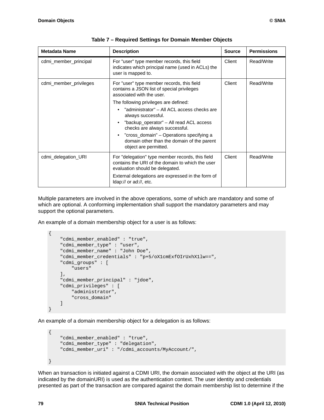| <b>Metadata Name</b>   | <b>Description</b>                                                                                                                      | <b>Source</b> | <b>Permissions</b> |
|------------------------|-----------------------------------------------------------------------------------------------------------------------------------------|---------------|--------------------|
| cdmi_member_principal  | For "user" type member records, this field<br>indicates which principal name (used in ACLs) the<br>user is mapped to.                   | Client        | Read/Write         |
| cdmi_member_privileges | For "user" type member records, this field<br>contains a JSON list of special privileges<br>associated with the user.                   | Client        | Read/Write         |
|                        | The following privileges are defined:                                                                                                   |               |                    |
|                        | "administrator" - All ACL access checks are<br>always successful.                                                                       |               |                    |
|                        | "backup_operator" - All read ACL access<br>checks are always successful.                                                                |               |                    |
|                        | "cross_domain" – Operations specifying a<br>domain other than the domain of the parent<br>object are permitted.                         |               |                    |
| cdmi_delegation_URI    | For "delegation" type member records, this field<br>contains the URI of the domain to which the user<br>evaluation should be delegated. | Client        | Read/Write         |
|                        | External delegations are expressed in the form of<br>Idap:// or ad://, etc.                                                             |               |                    |

|  | Table 7 - Required Settings for Domain Member Objects |  |
|--|-------------------------------------------------------|--|
|--|-------------------------------------------------------|--|

Multiple parameters are involved in the above operations, some of which are mandatory and some of which are optional. A conforming implementation shall support the mandatory parameters and may support the optional parameters.

An example of a domain membership object for a user is as follows:

```
 "cdmi_member_enabled" : "true",
 "cdmi_member_type" : "user",
 "cdmi_member_name" : "John Doe",
 "cdmi_member_credentials" : "p+5/oX1cmExfOIrUxhX1lw==",
 "cdmi_groups" : [
     "users" 
 ],
 "cdmi_member_principal" : "jdoe",
 "cdmi_privileges" : [
    "administrator",
    "cross_domain"
 ]
```
An example of a domain membership object for a delegation is as follows:

```
{
     "cdmi_member_enabled" : "true",
     "cdmi_member_type" : "delegation",
     "cdmi_member_uri" : "/cdmi_accounts/MyAccount/",
```
When an transaction is initiated against a CDMI URI, the domain associated with the object at the URI (as indicated by the domainURI) is used as the authentication context. The user identity and credentials presented as part of the transaction are compared against the domain membership list to determine if the

 $\left\{ \right.$ 

}

}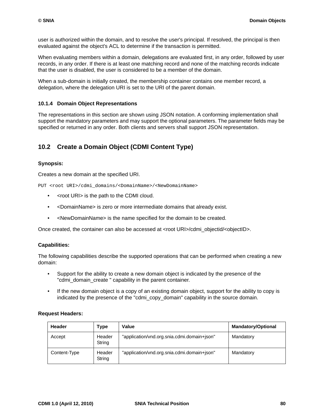user is authorized within the domain, and to resolve the user's principal. If resolved, the principal is then evaluated against the object's ACL to determine if the transaction is permitted.

When evaluating members within a domain, delegations are evaluated first, in any order, followed by user records, in any order. If there is at least one matching record and none of the matching records indicate that the user is disabled, the user is considered to be a member of the domain.

When a sub-domain is initially created, the membership container contains one member record, a delegation, where the delegation URI is set to the URI of the parent domain.

### **10.1.4 Domain Object Representations**

The representations in this section are shown using JSON notation. A conforming implementation shall support the mandatory parameters and may support the optional parameters. The parameter fields may be specified or returned in any order. Both clients and servers shall support JSON representation.

## **10.2 Create a Domain Object (CDMI Content Type)**

### **Synopsis:**

Creates a new domain at the specified URI.

PUT <root URI>/cdmi\_domains/<DomainName>/<NewDomainName>

- <root URI> is the path to the CDMI cloud.
- <DomainName> is zero or more intermediate domains that already exist.
- <NewDomainName> is the name specified for the domain to be created.

Once created, the container can also be accessed at <root URI>/cdmi\_objectid/<objectID>.

### **Capabilities:**

The following capabilities describe the supported operations that can be performed when creating a new domain:

- Support for the ability to create a new domain object is indicated by the presence of the "cdmi\_domain\_create " capability in the parent container.
- If the new domain object is a copy of an existing domain object, support for the ability to copy is indicated by the presence of the "cdmi\_copy\_domain" capability in the source domain.

### **Request Headers:**

| Header       | Type             | Value                                       | <b>Mandatory/Optional</b> |
|--------------|------------------|---------------------------------------------|---------------------------|
| Accept       | Header<br>String | "application/vnd.org.snia.cdmi.domain+json" | Mandatory                 |
| Content-Type | Header<br>String | "application/vnd.org.snia.cdmi.domain+json" | Mandatory                 |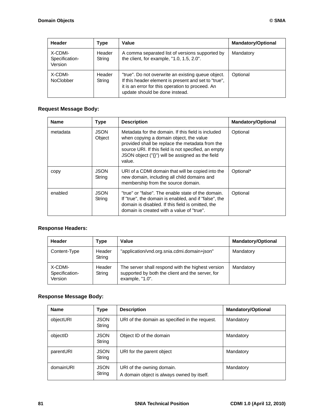| Header                               | Type             | Value                                                                                                                                                                                            | <b>Mandatory/Optional</b> |
|--------------------------------------|------------------|--------------------------------------------------------------------------------------------------------------------------------------------------------------------------------------------------|---------------------------|
| X-CDMI-<br>Specification-<br>Version | Header<br>String | A comma separated list of versions supported by<br>the client, for example, "1.0, 1.5, 2.0".                                                                                                     | Mandatory                 |
| X-CDMI-<br><b>NoClobber</b>          | Header<br>String | "true". Do not overwrite an existing queue object.<br>If this header element is present and set to "true",<br>it is an error for this operation to proceed. An<br>update should be done instead. | Optional                  |

## **Request Message Body:**

| <b>Name</b> | <b>Type</b>           | <b>Description</b>                                                                                                                                                                                                                                                     | <b>Mandatory/Optional</b> |
|-------------|-----------------------|------------------------------------------------------------------------------------------------------------------------------------------------------------------------------------------------------------------------------------------------------------------------|---------------------------|
| metadata    | <b>JSON</b><br>Object | Metadata for the domain. If this field is included<br>when copying a domain object, the value<br>provided shall be replace the metadata from the<br>source URI. If this field is not specified, an empty<br>JSON object ("{}") will be assigned as the field<br>value. | Optional                  |
| copy        | <b>JSON</b><br>String | URI of a CDMI domain that will be copied into the<br>new domain, including all child domains and<br>membership from the source domain.                                                                                                                                 | Optional*                 |
| enabled     | <b>JSON</b><br>String | "true" or "false". The enable state of the domain.<br>If "true", the domain is enabled, and if "false", the<br>domain is disabled. If this field is omitted, the<br>domain is created with a value of "true".                                                          | Optional                  |

## **Response Headers:**

| Header                               | Type             | Value                                                                                                                    | <b>Mandatory/Optional</b> |
|--------------------------------------|------------------|--------------------------------------------------------------------------------------------------------------------------|---------------------------|
| Content-Type                         | Header<br>String | "application/vnd.org.snia.cdmi.domain+json"                                                                              | Mandatory                 |
| X-CDMI-<br>Specification-<br>Version | Header<br>String | The server shall respond with the highest version<br>supported by both the client and the server, for<br>example, "1.0". | Mandatory                 |

## **Response Message Body:**

| <b>Name</b> | Type                  | <b>Description</b>                                                      | <b>Mandatory/Optional</b> |
|-------------|-----------------------|-------------------------------------------------------------------------|---------------------------|
| objectURI   | <b>JSON</b><br>String | URI of the domain as specified in the request.                          | Mandatory                 |
| objectID    | <b>JSON</b><br>String | Object ID of the domain                                                 | Mandatory                 |
| parentURI   | <b>JSON</b><br>String | URI for the parent object                                               | Mandatory                 |
| domainURI   | <b>JSON</b><br>String | URI of the owning domain.<br>A domain object is always owned by itself. | Mandatory                 |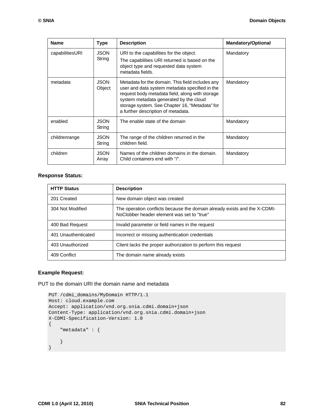| <b>Name</b>     | <b>Type</b>           | <b>Description</b>                                                                                                                                                                                                                                                                      | <b>Mandatory/Optional</b> |
|-----------------|-----------------------|-----------------------------------------------------------------------------------------------------------------------------------------------------------------------------------------------------------------------------------------------------------------------------------------|---------------------------|
| capabilitiesURI | <b>JSON</b><br>String | URI to the capabilities for the object.<br>The capabilities URI returned is based on the<br>object type and requested data system<br>metadata fields.                                                                                                                                   | Mandatory                 |
| metadata        | <b>JSON</b><br>Object | Metadata for the domain. This field includes any<br>user and data system metadata specified in the<br>request body metadata field, along with storage<br>system metadata generated by the cloud<br>storage system. See Chapter 16, "Metadata" for<br>a further description of metadata. | Mandatory                 |
| enabled         | <b>JSON</b><br>String | The enable state of the domain                                                                                                                                                                                                                                                          | Mandatory                 |
| childrenrange   | <b>JSON</b><br>String | The range of the children returned in the<br>children field.                                                                                                                                                                                                                            | Mandatory                 |
| children        | <b>JSON</b><br>Array  | Names of the children domains in the domain.<br>Child containers end with "/".                                                                                                                                                                                                          | Mandatory                 |

### **Response Status:**

| <b>HTTP Status</b>  | <b>Description</b>                                                                                                      |
|---------------------|-------------------------------------------------------------------------------------------------------------------------|
| 201 Created         | New domain object was created                                                                                           |
| 304 Not Modified    | The operation conflicts because the domain already exists and the X-CDMI-<br>NoClobber header element was set to "true" |
| 400 Bad Request     | Invalid parameter or field names in the request                                                                         |
| 401 Unauthenticated | Incorrect or missing authentication credentials                                                                         |
| 403 Unauthorized    | Client lacks the proper authorization to perform this request                                                           |
| 409 Conflict        | The domain name already exists                                                                                          |

### **Example Request:**

PUT to the domain URI the domain name and metadata

```
PUT /cdmi_domains/MyDomain HTTP/1.1
Host: cloud.example.com
Accept: application/vnd.org.snia.cdmi.domain+json
Content-Type: application/vnd.org.snia.cdmi.domain+json
X-CDMI-Specification-Version: 1.0
{
     "metadata" : {
     }
}
```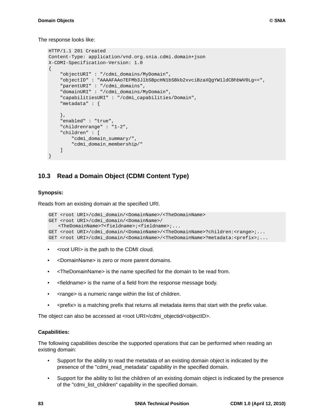```
HTTP/1.1 201 Created
Content-Type: application/vnd.org.snia.cdmi.domain+json
X-CDMI-Specification-Version: 1.0
{
     "objectURI" : "/cdmi_domains/MyDomain",
     "objectID" : "AAAAFAAo7EFMb3JlbSBpcHN1bSBkb2xvciBzaXQgYW1ldCBhbWV0Lg==",
     "parentURI" : "/cdmi_domains",
     "domainURI" : "/cdmi_domains/MyDomain",
     "capabilitiesURI" : "/cdmi_capabilities/Domain",
     "metadata" : {
     },
     "enabled" : "true",
     "childrenrange" : "1-2",
     "children" : [
         "cdmi_domain_summary/",
         "cdmi_domain_membership/"
     ] 
}
```
## **10.3 Read a Domain Object (CDMI Content Type)**

### **Synopsis:**

Reads from an existing domain at the specified URI.

```
GET <root URI>/cdmi_domain/<DomainName>/<TheDomainName>
GET <root URI>/cdmi_domain/<DomainName>/
   <TheDomainName>?<fieldname>;<fieldname>;...
GET <root URI>/cdmi_domain/<DomainName>/<TheDomainName>?children:<range>;...
GET <root URI>/cdmi_domain/<DomainName>/<TheDomainName>?metadata:<prefix>;...
```
- <root URI> is the path to the CDMI cloud.
- <DomainName> is zero or more parent domains.
- <TheDomainName> is the name specified for the domain to be read from.
- <fieldname> is the name of a field from the response message body.
- <range> is a numeric range within the list of children.
- <prefix> is a matching prefix that returns all metadata items that start with the prefix value.

The object can also be accessed at <root URI>/cdmi\_objectid/<objectID>.

### **Capabilities:**

The following capabilities describe the supported operations that can be performed when reading an existing domain:

- Support for the ability to read the metadata of an existing domain object is indicated by the presence of the "cdmi\_read\_metadata" capability in the specified domain.
- Support for the ability to list the children of an existing domain object is indicated by the presence of the "cdmi\_list\_children" capability in the specified domain.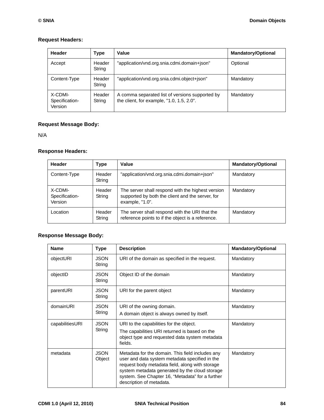### **Request Headers:**

| Header                               | Type             | Value                                                                                        | <b>Mandatory/Optional</b> |
|--------------------------------------|------------------|----------------------------------------------------------------------------------------------|---------------------------|
| Accept                               | Header<br>String | "application/vnd.org.snia.cdmi.domain+json"                                                  | Optional                  |
| Content-Type                         | Header<br>String | "application/vnd.org.snia.cdmi.object+json"                                                  | Mandatory                 |
| X-CDMI-<br>Specification-<br>Version | Header<br>String | A comma separated list of versions supported by<br>the client, for example, "1.0, 1.5, 2.0". | Mandatory                 |

## **Request Message Body:**

N/A

### **Response Headers:**

| Header                               | Type             | Value                                                                                                                    | <b>Mandatory/Optional</b> |
|--------------------------------------|------------------|--------------------------------------------------------------------------------------------------------------------------|---------------------------|
| Content-Type                         | Header<br>String | "application/vnd.org.snia.cdmi.domain+json"                                                                              | Mandatory                 |
| X-CDMI-<br>Specification-<br>Version | Header<br>String | The server shall respond with the highest version<br>supported by both the client and the server, for<br>example, "1.0". | Mandatory                 |
| Location                             | Header<br>String | The server shall respond with the URI that the<br>reference points to if the object is a reference.                      | Mandatory                 |

## **Response Message Body:**

| <b>Name</b>     | <b>Type</b>           | <b>Description</b>                                                                                                                                                                                                                                                                      | <b>Mandatory/Optional</b> |
|-----------------|-----------------------|-----------------------------------------------------------------------------------------------------------------------------------------------------------------------------------------------------------------------------------------------------------------------------------------|---------------------------|
| objectURI       | <b>JSON</b><br>String | URI of the domain as specified in the request.                                                                                                                                                                                                                                          | Mandatory                 |
| objectID        | <b>JSON</b><br>String | Object ID of the domain                                                                                                                                                                                                                                                                 | Mandatory                 |
| parentURI       | <b>JSON</b><br>String | URI for the parent object                                                                                                                                                                                                                                                               | Mandatory                 |
| domainURI       | <b>JSON</b><br>String | URI of the owning domain.<br>A domain object is always owned by itself.                                                                                                                                                                                                                 | Mandatory                 |
| capabilitiesURI | <b>JSON</b><br>String | URI to the capabilities for the object.<br>The capabilities URI returned is based on the<br>object type and requested data system metadata<br>fields.                                                                                                                                   | Mandatory                 |
| metadata        | <b>JSON</b><br>Object | Metadata for the domain. This field includes any<br>user and data system metadata specified in the<br>request body metadata field, along with storage<br>system metadata generated by the cloud storage<br>system. See Chapter 16, "Metadata" for a further<br>description of metadata. | Mandatory                 |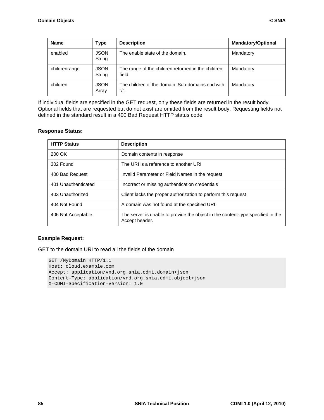| <b>Name</b>   | <b>Type</b>           | <b>Description</b>                                           | <b>Mandatory/Optional</b> |
|---------------|-----------------------|--------------------------------------------------------------|---------------------------|
| enabled       | <b>JSON</b><br>String | The enable state of the domain.                              | Mandatory                 |
| childrenrange | <b>JSON</b><br>String | The range of the children returned in the children<br>field. | Mandatory                 |
| children      | <b>JSON</b><br>Array  | The children of the domain. Sub-domains end with<br>"/".     | Mandatory                 |

If individual fields are specified in the GET request, only these fields are returned in the result body. Optional fields that are requested but do not exist are omitted from the result body. Requesting fields not defined in the standard result in a 400 Bad Request HTTP status code.

### **Response Status:**

| <b>HTTP Status</b>  | <b>Description</b>                                                                                |
|---------------------|---------------------------------------------------------------------------------------------------|
| 200 OK              | Domain contents in response                                                                       |
| 302 Found           | The URI is a reference to another URI                                                             |
| 400 Bad Request     | Invalid Parameter or Field Names in the request                                                   |
| 401 Unauthenticated | Incorrect or missing authentication credentials                                                   |
| 403 Unauthorized    | Client lacks the proper authorization to perform this request                                     |
| 404 Not Found       | A domain was not found at the specified URI.                                                      |
| 406 Not Acceptable  | The server is unable to provide the object in the content-type specified in the<br>Accept header. |

### **Example Request:**

GET to the domain URI to read all the fields of the domain

```
GET /MyDomain HTTP/1.1
Host: cloud.example.com
Accept: application/vnd.org.snia.cdmi.domain+json
Content-Type: application/vnd.org.snia.cdmi.object+json
X-CDMI-Specification-Version: 1.0
```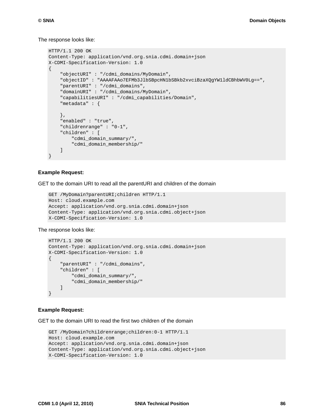The response looks like:

```
HTTP/1.1 200 OK
Content-Type: application/vnd.org.snia.cdmi.domain+json
X-CDMI-Specification-Version: 1.0
{
     "objectURI" : "/cdmi_domains/MyDomain",
     "objectID" : "AAAAFAAo7EFMb3JlbSBpcHN1bSBkb2xvciBzaXQgYW1ldCBhbWV0Lg==",
     "parentURI" : "/cdmi_domains",
     "domainURI" : "/cdmi_domains/MyDomain",
     "capabilitiesURI" : "/cdmi_capabilities/Domain",
     "metadata" : {
     },
     "enabled" : "true",
     "childrenrange" : "0-1",
     "children" : [
         "cdmi_domain_summary/",
         "cdmi_domain_membership/" 
     ]
}
```
#### **Example Request:**

GET to the domain URI to read all the parentURI and children of the domain

```
GET /MyDomain?parentURI;children HTTP/1.1
Host: cloud.example.com
Accept: application/vnd.org.snia.cdmi.domain+json
Content-Type: application/vnd.org.snia.cdmi.object+json
X-CDMI-Specification-Version: 1.0
```
The response looks like:

```
HTTP/1.1 200 OK
Content-Type: application/vnd.org.snia.cdmi.domain+json
X-CDMI-Specification-Version: 1.0
{
     "parentURI" : "/cdmi_domains",
     "children" : [
         "cdmi_domain_summary/",
         "cdmi_domain_membership/" 
    \mathbf{I}}
```
#### **Example Request:**

GET to the domain URI to read the first two children of the domain

```
GET /MyDomain?childrenrange;children:0-1 HTTP/1.1
Host: cloud.example.com
Accept: application/vnd.org.snia.cdmi.domain+json
Content-Type: application/vnd.org.snia.cdmi.object+json
X-CDMI-Specification-Version: 1.0
```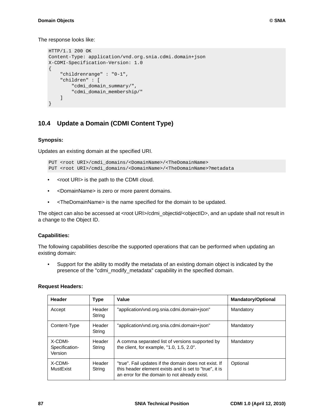The response looks like:

```
HTTP/1.1 200 OK
Content-Type: application/vnd.org.snia.cdmi.domain+json
X-CDMI-Specification-Version: 1.0
{
     "childrenrange" : "0-1",
     "children" : [
         "cdmi_domain_summary/",
         "cdmi_domain_membership/" 
     ]
}
```
## **10.4 Update a Domain (CDMI Content Type)**

### **Synopsis:**

Updates an existing domain at the specified URI.

```
PUT <root URI>/cmdi_domains/<DomainName>/<TheDomainName>
PUT <root URI>/cmdi_domains/<DomainName>/<TheDomainName>?metadata
```
- <root URI> is the path to the CDMI cloud.
- <DomainName> is zero or more parent domains.
- <TheDomainName> is the name specified for the domain to be updated.

The object can also be accessed at <root URI>/cdmi\_objectid/<objectID>, and an update shall not result in a change to the Object ID.

### **Capabilities:**

The following capabilities describe the supported operations that can be performed when updating an existing domain:

• Support for the ability to modify the metadata of an existing domain object is indicated by the presence of the "cdmi\_modify\_metadata" capability in the specified domain.

#### **Request Headers:**

| Header                               | <b>Type</b>      | Value                                                                                                                                                            | <b>Mandatory/Optional</b> |
|--------------------------------------|------------------|------------------------------------------------------------------------------------------------------------------------------------------------------------------|---------------------------|
| Accept                               | Header<br>String | "application/vnd.org.snia.cdmi.domain+json"                                                                                                                      | Mandatory                 |
| Content-Type                         | Header<br>String | "application/vnd.org.snia.cdmi.domain+json"                                                                                                                      | Mandatory                 |
| X-CDMI-<br>Specification-<br>Version | Header<br>String | A comma separated list of versions supported by<br>the client, for example, "1.0, 1.5, 2.0".                                                                     | Mandatory                 |
| X-CDMI-<br>MustExist                 | Header<br>String | "true". Fail updates if the domain does not exist. If<br>this header element exists and is set to "true", it is<br>an error for the domain to not already exist. | Optional                  |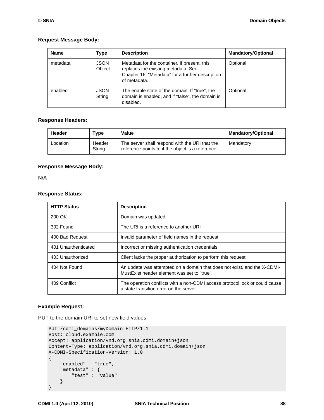### **Request Message Body:**

| <b>Name</b> | <b>Type</b>           | <b>Description</b><br><b>Mandatory/Optional</b>                                                                                                         |          |
|-------------|-----------------------|---------------------------------------------------------------------------------------------------------------------------------------------------------|----------|
| metadata    | <b>JSON</b><br>Object | Metadata for the container. If present, this<br>replaces the existing metadata. See<br>Chapter 16, "Metadata" for a further description<br>of metadata. | Optional |
| enabled     | <b>JSON</b><br>String | The enable state of the domain. If "true", the<br>domain is enabled, and if "false", the domain is<br>disabled.                                         | Optional |

### **Response Headers:**

| Header   | Type             | Value                                                                                               | <b>Mandatory/Optional</b> |
|----------|------------------|-----------------------------------------------------------------------------------------------------|---------------------------|
| Location | Header<br>String | The server shall respond with the URI that the<br>reference points to if the object is a reference. | Mandatory                 |

### **Response Message Body:**

N/A

### **Response Status:**

| <b>HTTP Status</b>  | <b>Description</b>                                                                                                      |
|---------------------|-------------------------------------------------------------------------------------------------------------------------|
| 200 OK              | Domain was updated                                                                                                      |
| 302 Found           | The URL is a reference to another URL                                                                                   |
| 400 Bad Request     | Invalid parameter of field names in the request                                                                         |
| 401 Unauthenticated | Incorrect or missing authentication credentials                                                                         |
| 403 Unauthorized    | Client lacks the proper authorization to perform this request.                                                          |
| 404 Not Found       | An update was attempted on a domain that does not exist, and the X-CDMI-<br>MustExist header element was set to "true". |
| 409 Conflict        | The operation conflicts with a non-CDMI access protocol lock or could cause<br>a state transition error on the server.  |

### **Example Request:**

PUT to the domain URI to set new field values

```
PUT /cdmi_domains/myDomain HTTP/1.1
Host: cloud.example.com
Accept: application/vnd.org.snia.cdmi.domain+json
Content-Type: application/vnd.org.snia.cdmi.domain+json
X-CDMI-Specification-Version: 1.0
{
     "enabled" : "true",
     "metadata" : {
        "test" : "value" 
     }
}
```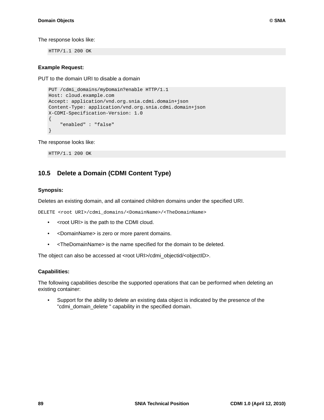The response looks like:

HTTP/1.1 200 OK

### **Example Request:**

PUT to the domain URI to disable a domain

```
PUT /cdmi_domains/myDomain?enable HTTP/1.1
Host: cloud.example.com
Accept: application/vnd.org.snia.cdmi.domain+json
Content-Type: application/vnd.org.snia.cdmi.domain+json
X-CDMI-Specification-Version: 1.0
{
     "enabled" : "false"
}
```
The response looks like:

HTTP/1.1 200 OK

## **10.5 Delete a Domain (CDMI Content Type)**

### **Synopsis:**

Deletes an existing domain, and all contained children domains under the specified URI.

DELETE <root URI>/cdmi\_domains/<DomainName>/<TheDomainName>

- <root URI> is the path to the CDMI cloud.
- <DomainName> is zero or more parent domains.
- <TheDomainName> is the name specified for the domain to be deleted.

The object can also be accessed at <root URI>/cdmi\_objectid/<objectID>.

### **Capabilities:**

The following capabilities describe the supported operations that can be performed when deleting an existing container:

• Support for the ability to delete an existing data object is indicated by the presence of the "cdmi\_domain\_delete " capability in the specified domain.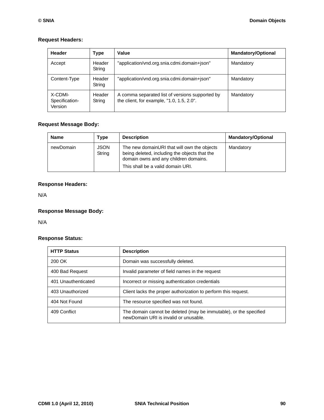### **Request Headers:**

| Header                               | <b>Type</b>      | Value                                                                                        | <b>Mandatory/Optional</b> |
|--------------------------------------|------------------|----------------------------------------------------------------------------------------------|---------------------------|
| Accept                               | Header<br>String | "application/vnd.org.snia.cdmi.domain+json"                                                  | Mandatory                 |
| Content-Type                         | Header<br>String | "application/vnd.org.snia.cdmi.domain+json"                                                  | Mandatory                 |
| X-CDMI-<br>Specification-<br>Version | Header<br>String | A comma separated list of versions supported by<br>the client, for example, "1.0, 1.5, 2.0". | Mandatory                 |

## **Request Message Body:**

| <b>Name</b> | Type                  | <b>Description</b>                                                                                                                                                         | <b>Mandatory/Optional</b> |
|-------------|-----------------------|----------------------------------------------------------------------------------------------------------------------------------------------------------------------------|---------------------------|
| newDomain   | <b>JSON</b><br>String | The new domainURI that will own the objects<br>being deleted, including the objects that the<br>domain owns and any children domains.<br>This shall be a valid domain URI. | Mandatory                 |

## **Response Headers:**

N/A

## **Response Message Body:**

N/A

### **Response Status:**

| <b>HTTP Status</b>  | <b>Description</b>                                                                                         |
|---------------------|------------------------------------------------------------------------------------------------------------|
| 200 OK              | Domain was successfully deleted.                                                                           |
| 400 Bad Request     | Invalid parameter of field names in the request                                                            |
| 401 Unauthenticated | Incorrect or missing authentication credentials                                                            |
| 403 Unauthorized    | Client lacks the proper authorization to perform this request.                                             |
| 404 Not Found       | The resource specified was not found.                                                                      |
| 409 Conflict        | The domain cannot be deleted (may be immutable), or the specified<br>newDomain URI is invalid or unusable. |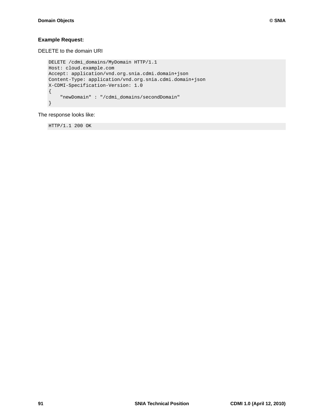## **Example Request:**

DELETE to the domain URI

```
DELETE /cdmi_domains/MyDomain HTTP/1.1
Host: cloud.example.com
Accept: application/vnd.org.snia.cdmi.domain+json
Content-Type: application/vnd.org.snia.cdmi.domain+json
X-CDMI-Specification-Version: 1.0
{
     "newDomain" : "/cdmi_domains/secondDomain"
}
```
The response looks like:

HTTP/1.1 200 OK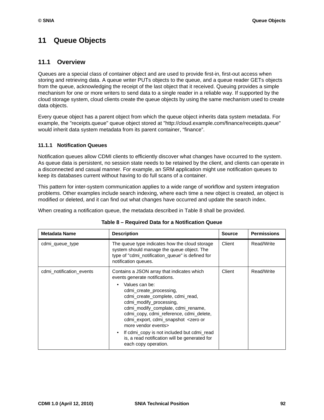# **11 Queue Objects**

### **11.1 Overview**

Queues are a special class of container object and are used to provide first-in, first-out access when storing and retrieving data. A queue writer PUTs objects to the queue, and a queue reader GETs objects from the queue, acknowledging the receipt of the last object that it received. Queuing provides a simple mechanism for one or more writers to send data to a single reader in a reliable way. If supported by the cloud storage system, cloud clients create the queue objects by using the same mechanism used to create data objects.

Every queue object has a parent object from which the queue object inherits data system metadata. For example, the "receipts.queue" queue object stored at "http://cloud.example.com/finance/receipts.queue" would inherit data system metadata from its parent container, "finance".

### **11.1.1 Notification Queues**

Notification queues allow CDMI clients to efficiently discover what changes have occurred to the system. As queue data is persistent, no session state needs to be retained by the client, and clients can operate in a disconnected and casual manner. For example, an SRM application might use notification queues to keep its databases current without having to do full scans of a container.

This pattern for inter-system communication applies to a wide range of workflow and system integration problems. Other examples include search indexing, where each time a new object is created, an object is modified or deleted, and it can find out what changes have occurred and update the search index.

When creating a notification queue, the metadata described in [Table 8](#page-102-0) shall be provided.

<span id="page-102-0"></span>

| <b>Metadata Name</b>     | <b>Description</b>                                                                                                                                                                                                                                                                                                                                                                              | <b>Source</b> | <b>Permissions</b> |
|--------------------------|-------------------------------------------------------------------------------------------------------------------------------------------------------------------------------------------------------------------------------------------------------------------------------------------------------------------------------------------------------------------------------------------------|---------------|--------------------|
| cdmi queue type          | The queue type indicates how the cloud storage<br>system should manage the queue object. The<br>type of "cdmi_notification_queue" is defined for<br>notification queues.                                                                                                                                                                                                                        | Client        | Read/Write         |
| cdmi_notification_events | Contains a JSON array that indicates which<br>events generate notifications.                                                                                                                                                                                                                                                                                                                    | Client        | Read/Write         |
|                          | Values can be:<br>cdmi_create_processing,<br>cdmi create complete, cdmi read,<br>cdmi_modify_processing,<br>cdmi_modify_complate, cdmi_rename,<br>cdmi_copy, cdmi_reference, cdmi_delete,<br>cdmi_export, cdmi_snapshot_ <zero or<br="">more vendor events&gt;<br/>If cdmi copy is not included but cdmi read<br/>is, a read notification will be generated for<br/>each copy operation.</zero> |               |                    |

### **Table 8 – Required Data for a Notification Queue**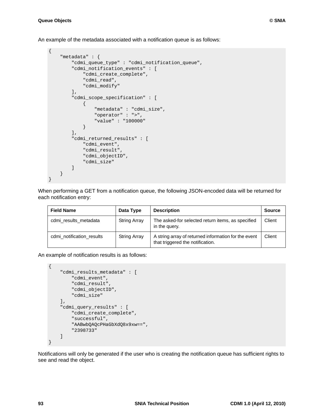An example of the metadata associated with a notification queue is as follows:

```
{
     "metadata" : {
         "cdmi_queue_type" : "cdmi_notification_queue",
         "cdmi_notification_events" : [
              "cdmi_create_complete",
              "cdmi_read",
              "cdmi_modify" 
         ],
         "cdmi_scope_specification" : [
             {
                  "metadata" : "cdmi_size",
                  "operator" : ">",
                  "value" : "100000" 
 } 
        \mathbf{1},
         "cdmi_returned_results" : [
              "cdmi_event",
             "cdmi_result",
             "cdmi_objectID",
             "cdmi_size" 
         ] 
     }
}
```
When performing a GET from a notification queue, the following JSON-encoded data will be returned for each notification entry:

| <b>Field Name</b>         | Data Type           | <b>Description</b>                                                                       | <b>Source</b> |
|---------------------------|---------------------|------------------------------------------------------------------------------------------|---------------|
| cdmi results metadata     | <b>String Array</b> | The asked-for selected return items, as specified<br>in the query.                       | Client        |
| cdmi_notification_results | <b>String Array</b> | A string array of returned information for the event<br>that triggered the notification. | Client        |

An example of notification results is as follows:

```
 "cdmi_results_metadata" : [
     "cdmi_event",
     "cdmi_result",
     "cdmi_objectID",
     "cdmi_size" 
\mathbf{1},
 "cdmi_query_results" : [
     "cdmi_create_complete",
     "successful",
     "AABwbQAQcPHaGbXdQ8x9xw==",
     "2398733" 
 ]
```
Notifications will only be generated if the user who is creating the notification queue has sufficient rights to see and read the object.

{

}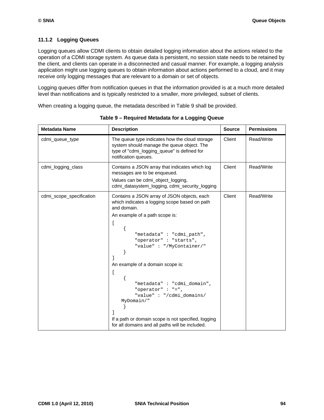### **11.1.2 Logging Queues**

Logging queues allow CDMI clients to obtain detailed logging information about the actions related to the operation of a CDMI storage system. As queue data is persistent, no session state needs to be retained by the client, and clients can operate in a disconnected and casual manner. For example, a logging analysis application might use logging queues to obtain information about actions performed to a cloud, and it may receive only logging messages that are relevant to a domain or set of objects.

Logging queues differ from notification queues in that the information provided is at a much more detailed level than notifications and is typically restricted to a smaller, more privileged, subset of clients.

<span id="page-104-0"></span>When creating a logging queue, the metadata described in [Table 9](#page-104-0) shall be provided.

| <b>Metadata Name</b>     | <b>Description</b>                                                                                                                                                                                                                                                                                                                                                                                                                                                                          | <b>Source</b> | <b>Permissions</b> |
|--------------------------|---------------------------------------------------------------------------------------------------------------------------------------------------------------------------------------------------------------------------------------------------------------------------------------------------------------------------------------------------------------------------------------------------------------------------------------------------------------------------------------------|---------------|--------------------|
| cdmi_queue_type          | The queue type indicates how the cloud storage<br>system should manage the queue object. The<br>type of "cdmi_logging_queue" is defined for<br>notification queues.                                                                                                                                                                                                                                                                                                                         | Client        | Read/Write         |
| cdmi_logging_class       | Contains a JSON array that indicates which log<br>messages are to be enqueued.<br>Values can be cdmi_object_logging,<br>cdmi_datasystem_logging, cdmi_security_logging                                                                                                                                                                                                                                                                                                                      | Client        | Read/Write         |
| cdmi_scope_specification | Contains a JSON array of JSON objects, each<br>which indicates a logging scope based on path<br>and domain.<br>An example of a path scope is:<br>"metadata": "cdmi_path",<br>"operator": "starts",<br>"value": "/MyContainer/"<br>An example of a domain scope is:<br>$\overline{1}$<br>"metadata": "cdmi_domain",<br>"operator" : "=",<br>"value": "/cdmi domains/<br>MyDomain/"<br>If a path or domain scope is not specified, logging<br>for all domains and all paths will be included. | Client        | Read/Write         |

**Table 9 – Required Metadata for a Logging Queue**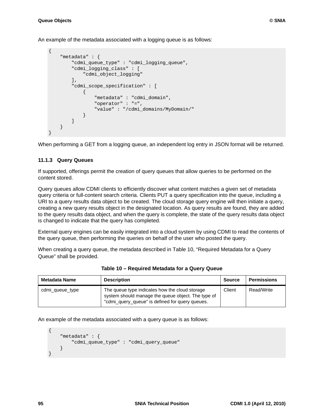An example of the metadata associated with a logging queue is as follows:

```
{
          "metadata" : {
                  "cdmi_queue_type" : "cdmi_logging_queue",
                   "cdmi_logging_class" : [
                            "cdmi_object_logging" 
                   ],
                   "cdmi_scope_specification" : [
\left\{ \begin{array}{cc} 0 & 0 & 0 \\ 0 & 0 & 0 \\ 0 & 0 & 0 \\ 0 & 0 & 0 \\ 0 & 0 & 0 \\ 0 & 0 & 0 \\ 0 & 0 & 0 \\ 0 & 0 & 0 \\ 0 & 0 & 0 \\ 0 & 0 & 0 \\ 0 & 0 & 0 \\ 0 & 0 & 0 & 0 \\ 0 & 0 & 0 & 0 \\ 0 & 0 & 0 & 0 \\ 0 & 0 & 0 & 0 & 0 \\ 0 & 0 & 0 & 0 & 0 \\ 0 & 0 & 0 & 0 & 0 \\ 0 & 0 & 0 & 0 & 0 \\ 0 & 0 & 0 & 0 & 0 "metadata" : "cdmi_domain",
                                     "operator" : "=",
                                     "value" : "/cdmi_domains/MyDomain/" 
 } 
                   ] 
          }
}
```
When performing a GET from a logging queue, an independent log entry in JSON format will be returned.

### **11.1.3 Query Queues**

If supported, offerings permit the creation of query queues that allow queries to be performed on the content stored.

Query queues allow CDMI clients to efficiently discover what content matches a given set of metadata query criteria or full-content search criteria. Clients PUT a query specification into the queue, including a URI to a query results data object to be created. The cloud storage query engine will then initiate a query, creating a new query results object in the designated location. As query results are found, they are added to the query results data object, and when the query is complete, the state of the query results data object is changed to indicate that the query has completed.

External query engines can be easily integrated into a cloud system by using CDMI to read the contents of the query queue, then performing the queries on behalf of the user who posted the query.

When creating a query queue, the metadata described in [Table 10, "Required Metadata for a Query](#page-105-0)  [Queue"](#page-105-0) shall be provided.

<span id="page-105-0"></span>

| <b>Metadata Name</b> | <b>Description</b>                                                                                                                                      | <b>Source</b> | <b>Permissions</b> |
|----------------------|---------------------------------------------------------------------------------------------------------------------------------------------------------|---------------|--------------------|
| cdmi_queue_type      | The queue type indicates how the cloud storage<br>system should manage the queue object. The type of<br>"cdmi_query_queue" is defined for query queues. | Client        | Read/Write         |

**Table 10 – Required Metadata for a Query Queue**

An example of the metadata associated with a query queue is as follows:

```
{
     "metadata" : {
         "cdmi_queue_type" : "cdmi_query_queue" 
     }
}
```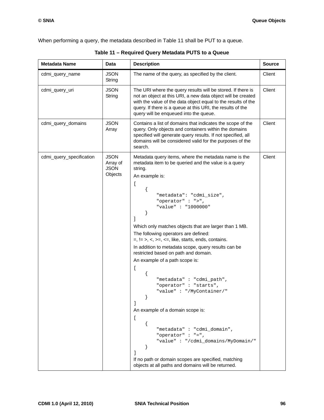When performing a query, the metadata described in [Table 11](#page-106-0) shall be PUT to a queue.

<span id="page-106-0"></span>

| <b>Metadata Name</b>     | Data                                              | <b>Description</b>                                                                                                                                                                                                                                                                                                                                                                                                                                                                                                                                                                                                                                                                                                                                                                                                                                                                  | <b>Source</b> |
|--------------------------|---------------------------------------------------|-------------------------------------------------------------------------------------------------------------------------------------------------------------------------------------------------------------------------------------------------------------------------------------------------------------------------------------------------------------------------------------------------------------------------------------------------------------------------------------------------------------------------------------------------------------------------------------------------------------------------------------------------------------------------------------------------------------------------------------------------------------------------------------------------------------------------------------------------------------------------------------|---------------|
| cdmi_query_name          | <b>JSON</b><br>String                             | The name of the query, as specified by the client.                                                                                                                                                                                                                                                                                                                                                                                                                                                                                                                                                                                                                                                                                                                                                                                                                                  | Client        |
| cdmi_query_uri           | <b>JSON</b><br>String                             | The URI where the query results will be stored. If there is<br>not an object at this URI, a new data object will be created<br>with the value of the data object equal to the results of the<br>query. If there is a queue at this URI, the results of the<br>query will be enqueued into the queue.                                                                                                                                                                                                                                                                                                                                                                                                                                                                                                                                                                                | Client        |
| cdmi_query_domains       | <b>JSON</b><br>Array                              | Contains a list of domains that indicates the scope of the<br>query. Only objects and containers within the domains<br>specified will generate query results. If not specified, all<br>domains will be considered valid for the purposes of the<br>search.                                                                                                                                                                                                                                                                                                                                                                                                                                                                                                                                                                                                                          | Client        |
| cdmi_query_specification | <b>JSON</b><br>Array of<br><b>JSON</b><br>Objects | Metadata query items, where the metadata name is the<br>metadata item to be queried and the value is a query<br>string.<br>An example is:<br>ſ<br>"metadata": "cdmi_size",<br>"operator" : ">",<br>"value" : "1000000"<br>}<br>Which only matches objects that are larger than 1 MB.<br>The following operators are defined:<br>$=$ , $!=$ >, <, >=, <=, like, starts, ends, contains.<br>In addition to metadata scope, query results can be<br>restricted based on path and domain.<br>An example of a path scope is:<br>ſ<br>"metadata": "cdmi_path",<br>"operator": "starts",<br>"value": "/MyContainer/"<br>1<br>An example of a domain scope is:<br>$\mathfrak l$<br>"metadata" : "cdmi_domain",<br>"operator" : "=",<br>"value": "/cdmi_domains/MyDomain/"<br>1<br>If no path or domain scopes are specified, matching<br>objects at all paths and domains will be returned. | Client        |

**Table 11 – Required Query Metadata PUTS to a Queue**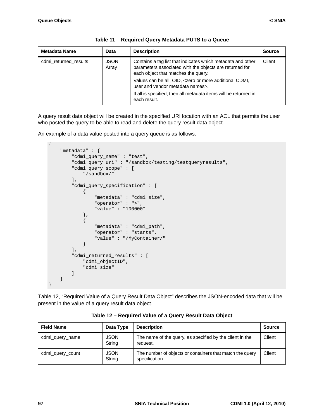| <b>Metadata Name</b>  | Data                 | <b>Description</b>                                                                                                                                            | <b>Source</b> |
|-----------------------|----------------------|---------------------------------------------------------------------------------------------------------------------------------------------------------------|---------------|
| cdmi returned results | <b>JSON</b><br>Array | Contains a tag list that indicates which metadata and other<br>parameters associated with the objects are returned for<br>each object that matches the query. | Client        |
|                       |                      | Values can be all, OID, <zero additional="" cdmi,<br="" more="" or="">user and vendor metadata names&gt;.</zero>                                              |               |
|                       |                      | If all is specified, then all metadata items will be returned in<br>each result.                                                                              |               |

| Table 11 – Required Query Metadata PUTS to a Queue |  |  |
|----------------------------------------------------|--|--|
|----------------------------------------------------|--|--|

A query result data object will be created in the specified URI location with an ACL that permits the user who posted the query to be able to read and delete the query result data object.

An example of a data value posted into a query queue is as follows:

```
{
           "metadata" : {
                      "cdmi_query_name" : "test",
                      "cdmi_query_uri" : "/sandbox/testing/testqueryresults",
                      "cdmi_query_scope" : [
                              "/sandbox/" 
                      ],
                      "cdmi_query_specification" : [
\left\{ \begin{array}{cc} 0 & 0 & 0 \\ 0 & 0 & 0 \\ 0 & 0 & 0 \\ 0 & 0 & 0 \\ 0 & 0 & 0 \\ 0 & 0 & 0 \\ 0 & 0 & 0 \\ 0 & 0 & 0 \\ 0 & 0 & 0 \\ 0 & 0 & 0 \\ 0 & 0 & 0 \\ 0 & 0 & 0 & 0 \\ 0 & 0 & 0 & 0 \\ 0 & 0 & 0 & 0 \\ 0 & 0 & 0 & 0 & 0 \\ 0 & 0 & 0 & 0 & 0 \\ 0 & 0 & 0 & 0 & 0 \\ 0 & 0 & 0 & 0 & 0 \\ 0 & 0 & 0 & 0 & 0 "metadata" : "cdmi_size",
                                          "operator" : ">",
                                          "value" : "100000" 
                                },
\left\{ \begin{array}{cc} 0 & 0 & 0 \\ 0 & 0 & 0 \\ 0 & 0 & 0 \\ 0 & 0 & 0 \\ 0 & 0 & 0 \\ 0 & 0 & 0 \\ 0 & 0 & 0 \\ 0 & 0 & 0 \\ 0 & 0 & 0 \\ 0 & 0 & 0 \\ 0 & 0 & 0 \\ 0 & 0 & 0 & 0 \\ 0 & 0 & 0 & 0 \\ 0 & 0 & 0 & 0 \\ 0 & 0 & 0 & 0 & 0 \\ 0 & 0 & 0 & 0 & 0 \\ 0 & 0 & 0 & 0 & 0 \\ 0 & 0 & 0 & 0 & 0 \\ 0 & 0 & 0 & 0 & 0 "metadata" : "cdmi_path",
                                           "operator" : "starts",
                                          "value" : "/MyContainer/" 
 } 
                      ],
                      "cdmi_returned_results" : [
                               "cdmi_objectID",
                                "cdmi_size" 
                      ] 
           }
}
```
[Table 12, "Required Value of a Query Result Data Object"](#page-107-0) describes the JSON-encoded data that will be present in the value of a query result data object.

<span id="page-107-0"></span>

| <b>Field Name</b> | Data Type             | <b>Description</b>                                                         | <b>Source</b> |
|-------------------|-----------------------|----------------------------------------------------------------------------|---------------|
| cdmi_query_name   | <b>JSON</b><br>String | The name of the query, as specified by the client in the<br>request.       | Client        |
| cdmi query count  | <b>JSON</b><br>String | The number of objects or containers that match the query<br>specification. | Client        |

#### **Table 12 – Required Value of a Query Result Data Object**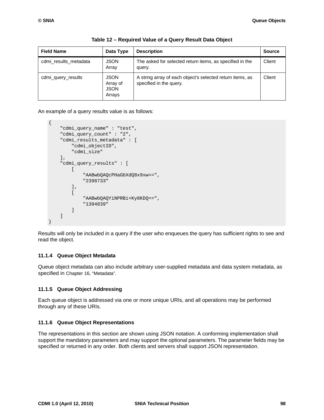| <b>Field Name</b>     | Data Type                                        | <b>Description</b>                                                                   | <b>Source</b> |
|-----------------------|--------------------------------------------------|--------------------------------------------------------------------------------------|---------------|
| cdmi results metadata | <b>JSON</b><br>Array                             | The asked for selected return items, as specified in the<br>query.                   | Client        |
| cdmi query results    | <b>JSON</b><br>Array of<br><b>JSON</b><br>Arrays | A string array of each object's selected return items, as<br>specified in the query. | Client        |

**Table 12 – Required Value of a Query Result Data Object**

An example of a query results value is as follows:

```
{
     "cdmi_query_name" : "test",
     "cdmi_query_count" : "2",
     "cdmi_results_metadata" : [
          "cdmi_objectID",
          "cdmi_size" 
     ],
     "cdmi_query_results" : [
         \lceil "AABwbQAQcPHaGbXdQ8x9xw==",
              "2398733" 
         \cdot\sqrt{2} "AABwbQAQYiNPRBi+Ky8KDQ==",
               "1394839" 
          ] 
     ]
}
```
Results will only be included in a query if the user who enqueues the query has sufficient rights to see and read the object.

#### **11.1.4 Queue Object Metadata**

Queue object metadata can also include arbitrary user-supplied metadata and data system metadata, as specified in [Chapter 16, "Metadata"](#page-143-0).

#### **11.1.5 Queue Object Addressing**

Each queue object is addressed via one or more unique URIs, and all operations may be performed through any of these URIs.

#### **11.1.6 Queue Object Representations**

The representations in this section are shown using JSON notation. A conforming implementation shall support the mandatory parameters and may support the optional parameters. The parameter fields may be specified or returned in any order. Both clients and servers shall support JSON representation.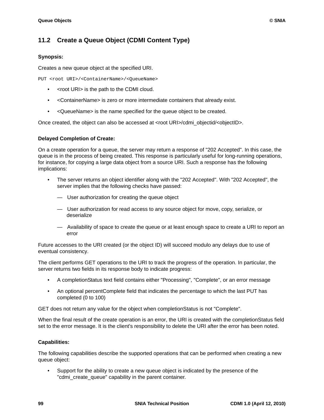# **11.2 Create a Queue Object (CDMI Content Type)**

### **Synopsis:**

Creates a new queue object at the specified URI.

PUT <root URI>/<ContainerName>/<QueueName>

- <root URI> is the path to the CDMI cloud.
- <ContainerName> is zero or more intermediate containers that already exist.
- <QueueName> is the name specified for the queue object to be created.

Once created, the object can also be accessed at <root URI>/cdmi\_objectid/<objectID>.

#### **Delayed Completion of Create:**

On a create operation for a queue, the server may return a response of "202 Accepted". In this case, the queue is in the process of being created. This response is particularly useful for long-running operations, for instance, for copying a large data object from a source URI. Such a response has the following implications:

- The server returns an object identifier along with the "202 Accepted". With "202 Accepted", the server implies that the following checks have passed:
	- User authorization for creating the queue object
	- User authorization for read access to any source object for move, copy, serialize, or deserialize
	- Availability of space to create the queue or at least enough space to create a URI to report an error

Future accesses to the URI created (or the object ID) will succeed modulo any delays due to use of eventual consistency.

The client performs GET operations to the URI to track the progress of the operation. In particular, the server returns two fields in its response body to indicate progress:

- A completionStatus text field contains either "Processing", "Complete", or an error message
- An optional percentComplete field that indicates the percentage to which the last PUT has completed (0 to 100)

GET does not return any value for the object when completionStatus is not "Complete".

When the final result of the create operation is an error, the URI is created with the completionStatus field set to the error message. It is the client's responsibility to delete the URI after the error has been noted.

#### **Capabilities:**

The following capabilities describe the supported operations that can be performed when creating a new queue object:

• Support for the ability to create a new queue object is indicated by the presence of the "cdmi\_create\_queue" capability in the parent container.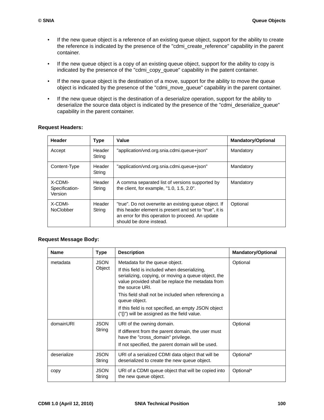- If the new queue object is a reference of an existing queue object, support for the ability to create the reference is indicated by the presence of the "cdmi\_create\_reference" capability in the parent container.
- If the new queue object is a copy of an existing queue object, support for the ability to copy is indicated by the presence of the "cdmi\_copy\_queue" capability in the patent container.
- If the new queue object is the destination of a move, support for the ability to move the queue object is indicated by the presence of the "cdmi\_move\_queue" capability in the parent container.
- If the new queue object is the destination of a deserialize operation, support for the ability to deserialize the source data object is indicated by the presence of the "cdmi\_deserialize\_queue" capability in the parent container.

#### **Request Headers:**

| Header                               | <b>Type</b>      | Value                                                                                                                                                                                            | <b>Mandatory/Optional</b> |
|--------------------------------------|------------------|--------------------------------------------------------------------------------------------------------------------------------------------------------------------------------------------------|---------------------------|
| Accept                               | Header<br>String | "application/vnd.org.snia.cdmi.queue+json"                                                                                                                                                       | Mandatory                 |
| Content-Type                         | Header<br>String | "application/vnd.org.snia.cdmi.queue+json"                                                                                                                                                       | Mandatory                 |
| X-CDMI-<br>Specification-<br>Version | Header<br>String | A comma separated list of versions supported by<br>the client, for example, "1.0, 1.5, 2.0".                                                                                                     | Mandatory                 |
| X-CDMI-<br><b>NoClobber</b>          | Header<br>String | "true". Do not overwrite an existing queue object. If<br>this header element is present and set to "true", it is<br>an error for this operation to proceed. An update<br>should be done instead. | Optional                  |

## **Request Message Body:**

| <b>Name</b> | <b>Type</b>           | <b>Description</b>                                                                                                                                                                                            | <b>Mandatory/Optional</b> |
|-------------|-----------------------|---------------------------------------------------------------------------------------------------------------------------------------------------------------------------------------------------------------|---------------------------|
| metadata    | <b>JSON</b><br>Object | Metadata for the queue object.<br>If this field is included when deserializing,<br>serializing, copying, or moving a queue object, the<br>value provided shall be replace the metadata from<br>the source URL | Optional                  |
|             |                       | This field shall not be included when referencing a<br>queue object.<br>If this field is not specified, an empty JSON object                                                                                  |                           |
|             |                       | $(\lceil \{\} \rceil)$ will be assigned as the field value.                                                                                                                                                   |                           |
| domainURI   | <b>JSON</b><br>String | URI of the owning domain.<br>If different from the parent domain, the user must<br>have the "cross_domain" privilege.<br>If not specified, the parent domain will be used.                                    | Optional                  |
| deserialize | <b>JSON</b><br>String | URI of a serialized CDMI data object that will be<br>deserialized to create the new queue object.                                                                                                             | Optional*                 |
| copy        | <b>JSON</b><br>String | URI of a CDMI queue object that will be copied into<br>the new queue object.                                                                                                                                  | Optional*                 |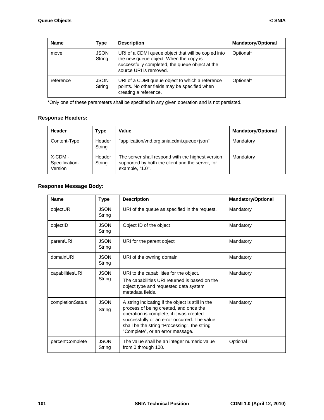| <b>Name</b> | Type                  | <b>Description</b>                                                                                                                                                         | <b>Mandatory/Optional</b> |
|-------------|-----------------------|----------------------------------------------------------------------------------------------------------------------------------------------------------------------------|---------------------------|
| move        | <b>JSON</b><br>String | URI of a CDMI queue object that will be copied into<br>the new queue object. When the copy is<br>successfully completed, the queue object at the<br>source URI is removed. | Optional*                 |
| reference   | <b>JSON</b><br>String | URI of a CDMI queue object to which a reference<br>points. No other fields may be specified when<br>creating a reference.                                                  | Optional*                 |

\*Only one of these parameters shall be specified in any given operation and is not persisted.

#### **Response Headers:**

| Header                               | Type             | Value                                                                                                                    | <b>Mandatory/Optional</b> |
|--------------------------------------|------------------|--------------------------------------------------------------------------------------------------------------------------|---------------------------|
| Content-Type                         | Header<br>String | "application/vnd.org.snia.cdmi.queue+json"                                                                               | Mandatory                 |
| X-CDMI-<br>Specification-<br>Version | Header<br>String | The server shall respond with the highest version<br>supported by both the client and the server, for<br>example, "1.0". | Mandatory                 |

## **Response Message Body:**

| <b>Name</b>      | <b>Type</b>           | <b>Description</b>                                                                                                                                                                                                                                                          | <b>Mandatory/Optional</b> |
|------------------|-----------------------|-----------------------------------------------------------------------------------------------------------------------------------------------------------------------------------------------------------------------------------------------------------------------------|---------------------------|
| objectURI        | <b>JSON</b><br>String | URI of the queue as specified in the request.                                                                                                                                                                                                                               | Mandatory                 |
| objectID         | <b>JSON</b><br>String | Object ID of the object                                                                                                                                                                                                                                                     | Mandatory                 |
| parentURI        | <b>JSON</b><br>String | URI for the parent object                                                                                                                                                                                                                                                   | Mandatory                 |
| domainURI        | <b>JSON</b><br>String | URI of the owning domain                                                                                                                                                                                                                                                    | Mandatory                 |
| capabilitiesURI  | <b>JSON</b><br>String | URI to the capabilities for the object.<br>The capabilities URI returned is based on the<br>object type and requested data system<br>metadata fields.                                                                                                                       | Mandatory                 |
| completionStatus | <b>JSON</b><br>String | A string indicating if the object is still in the<br>process of being created, and once the<br>operation is complete, if it was created<br>successfully or an error occurred. The value<br>shall be the string "Processing", the string<br>"Complete", or an error message. | Mandatory                 |
| percentComplete  | <b>JSON</b><br>String | The value shall be an integer numeric value<br>from 0 through 100.                                                                                                                                                                                                          | Optional                  |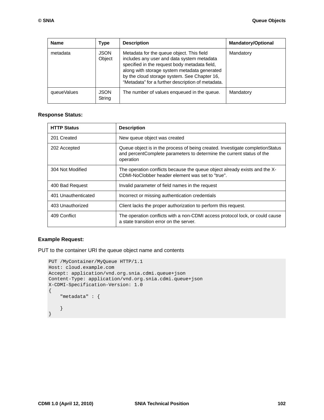| <b>Name</b> | <b>Type</b>           | <b>Description</b>                                                                                                                                                                                                                                                                            | <b>Mandatory/Optional</b> |
|-------------|-----------------------|-----------------------------------------------------------------------------------------------------------------------------------------------------------------------------------------------------------------------------------------------------------------------------------------------|---------------------------|
| metadata    | <b>JSON</b><br>Object | Metadata for the queue object. This field<br>includes any user and data system metadata<br>specified in the request body metadata field,<br>along with storage system metadata generated<br>by the cloud storage system. See Chapter 16,<br>"Metadata" for a further description of metadata. | Mandatory                 |
| queueValues | <b>JSON</b><br>String | The number of values enqueued in the queue.                                                                                                                                                                                                                                                   | Mandatory                 |

#### **Response Status:**

| <b>HTTP Status</b>  | <b>Description</b>                                                                                                                                                   |
|---------------------|----------------------------------------------------------------------------------------------------------------------------------------------------------------------|
| 201 Created         | New queue object was created                                                                                                                                         |
| 202 Accepted        | Queue object is in the process of being created. Investigate completion Status<br>and percentComplete parameters to determine the current status of the<br>operation |
| 304 Not Modified    | The operation conflicts because the queue object already exists and the X-<br>CDMI-NoClobber header element was set to "true".                                       |
| 400 Bad Request     | Invalid parameter of field names in the request                                                                                                                      |
| 401 Unauthenticated | Incorrect or missing authentication credentials                                                                                                                      |
| 403 Unauthorized    | Client lacks the proper authorization to perform this request.                                                                                                       |
| 409 Conflict        | The operation conflicts with a non-CDMI access protocol lock, or could cause<br>a state transition error on the server.                                              |

#### **Example Request:**

PUT to the container URI the queue object name and contents

```
PUT /MyContainer/MyQueue HTTP/1.1
Host: cloud.example.com
Accept: application/vnd.org.snia.cdmi.queue+json
Content-Type: application/vnd.org.snia.cdmi.queue+json
X-CDMI-Specification-Version: 1.0
{
     "metadata" : {
     }
}
```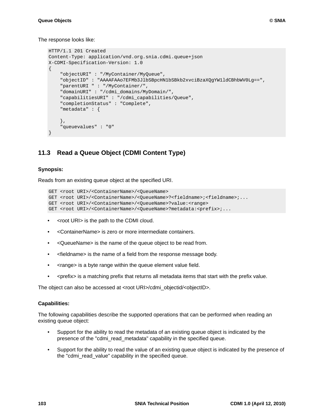The response looks like:

```
HTTP/1.1 201 Created
Content-Type: application/vnd.org.snia.cdmi.queue+json
X-CDMI-Specification-Version: 1.0
{
     "objectURI" : "/MyContainer/MyQueue",
     "objectID" : "AAAAFAAo7EFMb3JlbSBpcHN1bSBkb2xvciBzaXQgYW1ldCBhbWV0Lg==",
     "parentURI " : "/MyContainer/",
     "domainURI" : "/cdmi_domains/MyDomain/",
     "capabilitiesURI" : "/cdmi_capabilities/Queue",
     "completionStatus" : "Complete",
     "metadata" : {
     },
     "queuevalues" : "0"
}
```
## **11.3 Read a Queue Object (CDMI Content Type)**

#### **Synopsis:**

Reads from an existing queue object at the specified URI.

```
GET <root URI>/<ContainerName>/<QueueName>
GET <root URI>/<ContainerName>/<QueueName>?<fieldname>;<fieldname>;...
GET <root URI>/<ContainerName>/<QueueName>?value:<range>
GET <root URI>/<ContainerName>/<QueueName>?metadata:<prefix>;...
```
- <root URI> is the path to the CDMI cloud.
- <ContainerName> is zero or more intermediate containers.
- <QueueName> is the name of the queue object to be read from.
- <fieldname> is the name of a field from the response message body.
- < range> is a byte range within the queue element value field.
- <prefix> is a matching prefix that returns all metadata items that start with the prefix value.

The object can also be accessed at <root URI>/cdmi\_objectid/<objectID>.

#### **Capabilities:**

The following capabilities describe the supported operations that can be performed when reading an existing queue object:

- Support for the ability to read the metadata of an existing queue object is indicated by the presence of the "cdmi\_read\_metadata" capability in the specified queue.
- Support for the ability to read the value of an existing queue object is indicated by the presence of the "cdmi\_read\_value" capability in the specified queue.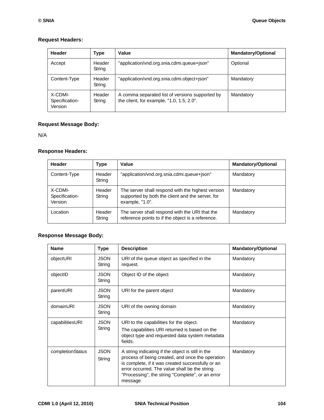### **Request Headers:**

| Header                               | Type             | Value                                                                                        | <b>Mandatory/Optional</b> |
|--------------------------------------|------------------|----------------------------------------------------------------------------------------------|---------------------------|
| Accept                               | Header<br>String | "application/vnd.org.snia.cdmi.queue+json"                                                   | Optional                  |
| Content-Type                         | Header<br>String | "application/vnd.org.snia.cdmi.object+json"                                                  | Mandatory                 |
| X-CDMI-<br>Specification-<br>Version | Header<br>String | A comma separated list of versions supported by<br>the client, for example, "1.0, 1.5, 2.0". | Mandatory                 |

## **Request Message Body:**

N/A

## **Response Headers:**

| Header                               | Type             | Value                                                                                                                    | <b>Mandatory/Optional</b> |
|--------------------------------------|------------------|--------------------------------------------------------------------------------------------------------------------------|---------------------------|
| Content-Type                         | Header<br>String | "application/vnd.org.snia.cdmi.queue+json"                                                                               | Mandatory                 |
| X-CDMI-<br>Specification-<br>Version | Header<br>String | The server shall respond with the highest version<br>supported by both the client and the server, for<br>example, "1.0". | Mandatory                 |
| Location                             | Header<br>String | The server shall respond with the URI that the<br>reference points to if the object is a reference.                      | Mandatory                 |

## **Response Message Body:**

| <b>Name</b>      | <b>Type</b>           | <b>Description</b>                                                                                                                                                                                                                                                          | <b>Mandatory/Optional</b> |
|------------------|-----------------------|-----------------------------------------------------------------------------------------------------------------------------------------------------------------------------------------------------------------------------------------------------------------------------|---------------------------|
| objectURI        | <b>JSON</b><br>String | URI of the queue object as specified in the<br>request.                                                                                                                                                                                                                     | Mandatory                 |
| objectID         | <b>JSON</b><br>String | Object ID of the object                                                                                                                                                                                                                                                     | Mandatory                 |
| parentURI        | <b>JSON</b><br>String | URI for the parent object                                                                                                                                                                                                                                                   | Mandatory                 |
| domainURI        | <b>JSON</b><br>String | URI of the owning domain                                                                                                                                                                                                                                                    | Mandatory                 |
| capabilitiesURI  | <b>JSON</b><br>String | URI to the capabilities for the object.<br>The capabilities URI returned is based on the<br>object type and requested data system metadata<br>fields.                                                                                                                       | Mandatory                 |
| completionStatus | <b>JSON</b><br>String | A string indicating if the object is still in the<br>process of being created, and once the operation<br>is complete, if it was created successfully or an<br>error occurred. The value shall be the string<br>"Processing", the string "Complete", or an error<br>message. | Mandatory                 |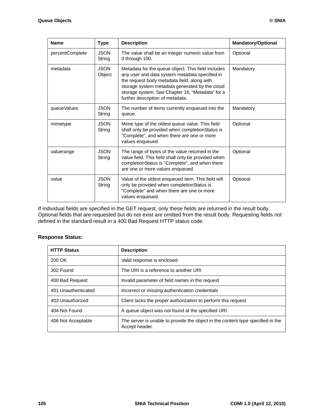| <b>Name</b>     | <b>Type</b>           | <b>Description</b>                                                                                                                                                                                                                                                                            | <b>Mandatory/Optional</b> |
|-----------------|-----------------------|-----------------------------------------------------------------------------------------------------------------------------------------------------------------------------------------------------------------------------------------------------------------------------------------------|---------------------------|
| percentComplete | <b>JSON</b><br>String | The value shall be an integer numeric value from<br>0 through 100.                                                                                                                                                                                                                            | Optional                  |
| metadata        | <b>JSON</b><br>Object | Metadata for the queue object. This field includes<br>any user and data system metadata specified in<br>the request body metadata field, along with<br>storage system metadata generated by the cloud<br>storage system. See Chapter 16, "Metadata" for a<br>further description of metadata. | Mandatory                 |
| queueValues     | <b>JSON</b><br>String | The number of items currently enqueued into the<br>queue.                                                                                                                                                                                                                                     | Mandatory                 |
| mimetype        | <b>JSON</b><br>String | Mime type of the oldest queue value. This field<br>shall only be provided when completionStatus is<br>"Complete", and when there are one or more<br>values enqueued.                                                                                                                          | Optional                  |
| valuerange      | <b>JSON</b><br>String | The range of bytes of the value returned in the<br>value field. This field shall only be provided when<br>completionStatus is "Complete", and when there<br>are one or more values enqueued.                                                                                                  | Optional                  |
| value           | <b>JSON</b><br>String | Value of the oldest enqueued item. This field will<br>only be provided when completionStatus is<br>"Complete" and when there are one or more<br>values enqueued.                                                                                                                              | Optional                  |

If individual fields are specified in the GET request, only these fields are returned in the result body. Optional fields that are requested but do not exist are omitted from the result body. Requesting fields not defined in the standard result in a 400 Bad Request HTTP status code.

#### **Response Status:**

| <b>HTTP Status</b>  | <b>Description</b>                                                                                |
|---------------------|---------------------------------------------------------------------------------------------------|
| 200 OK              | Valid response is enclosed                                                                        |
| 302 Found           | The URI is a reference to another URI                                                             |
| 400 Bad Request     | Invalid parameter of field names in the request                                                   |
| 401 Unauthenticated | Incorrect or missing authentication credentials                                                   |
| 403 Unauthorized    | Client lacks the proper authorization to perform this request                                     |
| 404 Not Found       | A queue object was not found at the specified URI.                                                |
| 406 Not Acceptable  | The server is unable to provide the object in the content-type specified in the<br>Accept header. |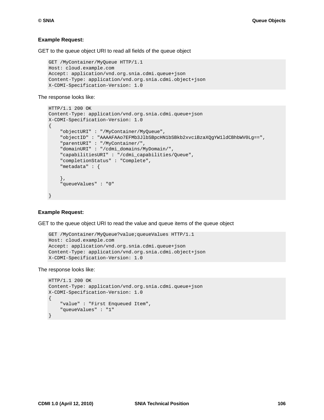#### **Example Request:**

GET to the queue object URI to read all fields of the queue object

```
GET /MyContainer/MyQueue HTTP/1.1
Host: cloud.example.com
Accept: application/vnd.org.snia.cdmi.queue+json
Content-Type: application/vnd.org.snia.cdmi.object+json
X-CDMI-Specification-Version: 1.0
```
#### The response looks like:

```
HTTP/1.1 200 OK
Content-Type: application/vnd.org.snia.cdmi.queue+json
X-CDMI-Specification-Version: 1.0
{
     "objectURI" : "/MyContainer/MyQueue",
     "objectID" : "AAAAFAAo7EFMb3JlbSBpcHN1bSBkb2xvciBzaXQgYW1ldCBhbWV0Lg==",
     "parentURI" : "/MyContainer/",
     "domainURI" : "/cdmi_domains/MyDomain/",
     "capabilitiesURI" : "/cdmi_capabilities/Queue",
     "completionStatus" : "Complete",
     "metadata" : {
     },
     "queueValues" : "0"
}
```
#### **Example Request:**

GET to the queue object URI to read the value and queue items of the queue object

```
GET /MyContainer/MyQueue?value;queueValues HTTP/1.1
Host: cloud.example.com
Accept: application/vnd.org.snia.cdmi.queue+json
Content-Type: application/vnd.org.snia.cdmi.object+json
X-CDMI-Specification-Version: 1.0
```
#### The response looks like:

```
HTTP/1.1 200 OK
Content-Type: application/vnd.org.snia.cdmi.queue+json
X-CDMI-Specification-Version: 1.0
{
     "value" : "First Enqueued Item",
     "queueValues" : "1"
}
```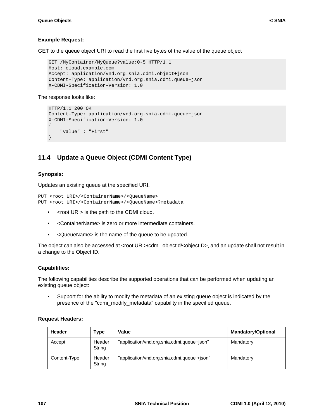#### **Example Request:**

GET to the queue object URI to read the first five bytes of the value of the queue object

```
GET /MyContainer/MyQueue?value:0-5 HTTP/1.1
Host: cloud.example.com
Accept: application/vnd.org.snia.cdmi.object+json
Content-Type: application/vnd.org.snia.cdmi.queue+json
X-CDMI-Specification-Version: 1.0
```
The response looks like:

```
HTTP/1.1 200 OK
Content-Type: application/vnd.org.snia.cdmi.queue+json
X-CDMI-Specification-Version: 1.0
{
     "value" : "First"
}
```
# **11.4 Update a Queue Object (CDMI Content Type)**

#### **Synopsis:**

Updates an existing queue at the specified URI.

```
PUT <root URI>/<ContainerName>/<QueueName>
PUT <root URI>/<ContainerName>/<QueueName>?metadata
```
- <root URI> is the path to the CDMI cloud.
- <ContainerName> is zero or more intermediate containers.
- <QueueName> is the name of the queue to be updated.

The object can also be accessed at <root URI>/cdmi\_objectid/<objectID>, and an update shall not result in a change to the Object ID.

#### **Capabilities:**

The following capabilities describe the supported operations that can be performed when updating an existing queue object:

• Support for the ability to modify the metadata of an existing queue object is indicated by the presence of the "cdmi\_modify\_metadata" capability in the specified queue.

#### **Request Headers:**

| Header       | Type             | Value                                       | <b>Mandatory/Optional</b> |
|--------------|------------------|---------------------------------------------|---------------------------|
| Accept       | Header<br>String | "application/vnd.org.snia.cdmi.queue+json"  | Mandatory                 |
| Content-Type | Header<br>String | "application/vnd.org.snia.cdmi.queue +json" | Mandatory                 |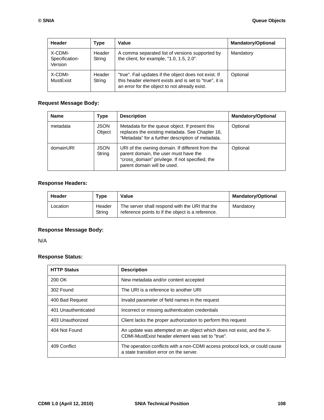| Header                               | Type             | Value                                                                                                                                                            | <b>Mandatory/Optional</b> |
|--------------------------------------|------------------|------------------------------------------------------------------------------------------------------------------------------------------------------------------|---------------------------|
| X-CDMI-<br>Specification-<br>Version | Header<br>String | A comma separated list of versions supported by<br>the client, for example, "1.0, 1.5, 2.0".                                                                     | Mandatory                 |
| X-CDMI-<br>MustExist                 | Header<br>String | "true". Fail updates if the object does not exist. If<br>this header element exists and is set to "true", it is<br>an error for the object to not already exist. | Optional                  |

## **Request Message Body:**

| <b>Name</b> | Type                  | <b>Description</b>                                                                                                                                                         | <b>Mandatory/Optional</b> |
|-------------|-----------------------|----------------------------------------------------------------------------------------------------------------------------------------------------------------------------|---------------------------|
| metadata    | <b>JSON</b><br>Object | Metadata for the queue object. If present this<br>replaces the existing metadata. See Chapter 16,<br>"Metadata" for a further description of metadata.                     | Optional                  |
| domainURI   | <b>JSON</b><br>String | URI of the owning domain. If different from the<br>parent domain, the user must have the<br>"cross_domain" privilege. If not specified, the<br>parent domain will be used. | Optional                  |

## **Response Headers:**

| Header   | Type             | Value                                                                                               | <b>Mandatory/Optional</b> |
|----------|------------------|-----------------------------------------------------------------------------------------------------|---------------------------|
| Location | Header<br>String | The server shall respond with the URI that the<br>reference points to if the object is a reference. | Mandatory                 |

## **Response Message Body:**

N/A

## **Response Status:**

| <b>HTTP Status</b>  | <b>Description</b>                                                                                                        |
|---------------------|---------------------------------------------------------------------------------------------------------------------------|
| 200 OK              | New metadata and/or content accepted                                                                                      |
| 302 Found           | The URI is a reference to another URI                                                                                     |
| 400 Bad Request     | Invalid parameter of field names in the request                                                                           |
| 401 Unauthenticated | Incorrect or missing authentication credentials                                                                           |
| 403 Unauthorized    | Client lacks the proper authorization to perform this request                                                             |
| 404 Not Found       | An update was attempted on an object which does not exist, and the X-<br>CDMI-MustExist header element was set to "true". |
| 409 Conflict        | The operation conflicts with a non-CDMI access protocol lock, or could cause<br>a state transition error on the server.   |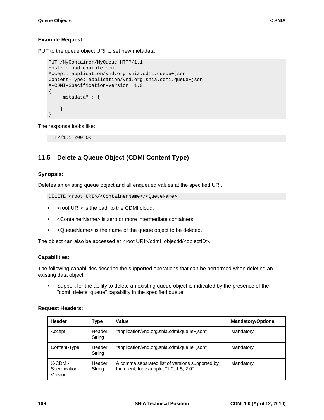#### **Example Request:**

PUT to the queue object URI to set new metadata

```
PUT /MyContainer/MyQueue HTTP/1.1
Host: cloud.example.com
Accept: application/vnd.org.snia.cdmi.queue+json
Content-Type: application/vnd.org.snia.cdmi.queue+json
X-CDMI-Specification-Version: 1.0
{
     "metadata" : {
     }
}
```
The response looks like:

HTTP/1.1 200 OK

## **11.5 Delete a Queue Object (CDMI Content Type)**

#### **Synopsis:**

Deletes an existing queue object and all enqueued values at the specified URI.

DELETE <root URI>/<ContainerName>/<QueueName>

- <root URI> is the path to the CDMI cloud.
- <ContainerName> is zero or more intermediate containers.
- <QueueName> is the name of the queue object to be deleted.

The object can also be accessed at <root URI>/cdmi\_objectid/<objectID>.

#### **Capabilities:**

The following capabilities describe the supported operations that can be performed when deleting an existing data object:

• Support for the ability to delete an existing queue object is indicated by the presence of the "cdmi\_delete\_queue" capability in the specified queue.

#### **Request Headers:**

| Header                               | Type             | Value                                                                                        | <b>Mandatory/Optional</b> |
|--------------------------------------|------------------|----------------------------------------------------------------------------------------------|---------------------------|
| Accept                               | Header<br>String | "application/vnd.org.snia.cdmi.queue+json"                                                   | Mandatory                 |
| Content-Type                         | Header<br>String | "application/vnd.org.snia.cdmi.queue+json"                                                   | Mandatory                 |
| X-CDMI-<br>Specification-<br>Version | Header<br>String | A comma separated list of versions supported by<br>the client, for example, "1.0, 1.5, 2.0". | Mandatory                 |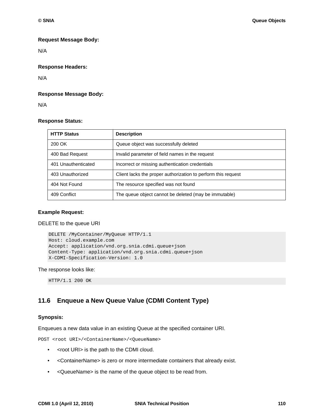#### **Request Message Body:**

N/A

#### **Response Headers:**

N/A

#### **Response Message Body:**

N/A

#### **Response Status:**

| <b>HTTP Status</b>  | <b>Description</b>                                            |
|---------------------|---------------------------------------------------------------|
| 200 OK              | Queue object was successfully deleted                         |
| 400 Bad Request     | Invalid parameter of field names in the request               |
| 401 Unauthenticated | Incorrect or missing authentication credentials               |
| 403 Unauthorized    | Client lacks the proper authorization to perform this request |
| 404 Not Found       | The resource specified was not found                          |
| 409 Conflict        | The queue object cannot be deleted (may be immutable)         |

#### **Example Request:**

DELETE to the queue URI

```
DELETE /MyContainer/MyQueue HTTP/1.1
Host: cloud.example.com
Accept: application/vnd.org.snia.cdmi.queue+json
Content-Type: application/vnd.org.snia.cdmi.queue+json
X-CDMI-Specification-Version: 1.0
```
#### The response looks like:

HTTP/1.1 200 OK

## **11.6 Enqueue a New Queue Value (CDMI Content Type)**

#### **Synopsis:**

Enqueues a new data value in an existing Queue at the specified container URI.

POST <root URI>/<ContainerName>/<QueueName>

- <root URI> is the path to the CDMI cloud.
- <ContainerName> is zero or more intermediate containers that already exist.
- <QueueName> is the name of the queue object to be read from.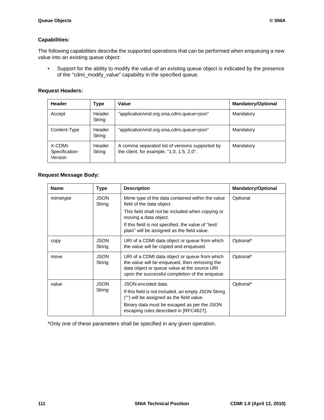#### **Capabilities:**

The following capabilities describe the supported operations that can be performed when enqueuing a new value into an existing queue object:

• Support for the ability to modify the value of an existing queue object is indicated by the presence of the "cdmi\_modify\_value" capability in the specified queue.

#### **Request Headers:**

| Header                               | Type             | Value                                                                                        | <b>Mandatory/Optional</b> |
|--------------------------------------|------------------|----------------------------------------------------------------------------------------------|---------------------------|
| Accept                               | Header<br>String | "application/vnd.org.snia.cdmi.queue+json"                                                   | Mandatory                 |
| Content-Type                         | Header<br>String | "application/vnd.org.snia.cdmi.queue+json"                                                   | Mandatory                 |
| X-CDMI-<br>Specification-<br>Version | Header<br>String | A comma separated list of versions supported by<br>the client, for example, "1.0, 1.5, 2.0". | Mandatory                 |

## **Request Message Body:**

| <b>Name</b> | <b>Type</b>           | <b>Description</b>                                                                                                                                                                                              | <b>Mandatory/Optional</b> |
|-------------|-----------------------|-----------------------------------------------------------------------------------------------------------------------------------------------------------------------------------------------------------------|---------------------------|
| mimetype    | <b>JSON</b><br>String | Mime type of the data contained within the value<br>field of the data object.<br>This field shall not be included when copying or<br>moving a data object.                                                      | Optional                  |
|             |                       | If this field is not specified, the value of "text/<br>plain" will be assigned as the field value.                                                                                                              |                           |
| copy        | <b>JSON</b><br>String | URI of a CDMI data object or queue from which<br>the value will be copied and enqueued.                                                                                                                         | Optional*                 |
| move        | <b>JSON</b><br>String | URI of a CDMI data object or queue from which<br>the value will be enqueued, then removing the<br>data object or queue value at the source URI<br>upon the successful completion of the enqueue.                | Optional*                 |
| value       | <b>JSON</b><br>String | JSON-encoded data.<br>If this field is not included, an empty JSON String<br>("") will be assigned as the field value.<br>Binary data must be escaped as per the JSON<br>escaping rules described in [RFC4627]. | Optional*                 |

\*Only one of these parameters shall be specified in any given operation.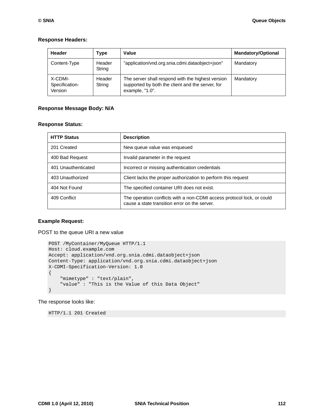#### **Response Headers:**

| Header                               | Type             | Value                                                                                                                    | <b>Mandatory/Optional</b> |
|--------------------------------------|------------------|--------------------------------------------------------------------------------------------------------------------------|---------------------------|
| Content-Type                         | Header<br>String | "application/vnd.org.snia.cdmi.dataobject+json"                                                                          | Mandatory                 |
| X-CDMI-<br>Specification-<br>Version | Header<br>String | The server shall respond with the highest version<br>supported by both the client and the server, for<br>example, "1.0". | Mandatory                 |

### **Response Message Body: N/A**

#### **Response Status:**

| <b>HTTP Status</b>  | <b>Description</b>                                                                                                      |
|---------------------|-------------------------------------------------------------------------------------------------------------------------|
| 201 Created         | New queue value was enqueued                                                                                            |
| 400 Bad Request     | Invalid parameter in the request                                                                                        |
| 401 Unauthenticated | Incorrect or missing authentication credentials                                                                         |
| 403 Unauthorized    | Client lacks the proper authorization to perform this request                                                           |
| 404 Not Found       | The specified container URI does not exist.                                                                             |
| 409 Conflict        | The operation conflicts with a non-CDMI access protocol lock, or could<br>cause a state transition error on the server. |

#### **Example Request:**

POST to the queue URI a new value

```
POST /MyContainer/MyQueue HTTP/1.1
Host: cloud.example.com
Accept: application/vnd.org.snia.cdmi.dataobject+json
Content-Type: application/vnd.org.snia.cdmi.dataobject+json
X-CDMI-Specification-Version: 1.0
{
     "mimetype" : "text/plain",
     "value" : "This is the Value of this Data Object"
}
```
The response looks like:

HTTP/1.1 201 Created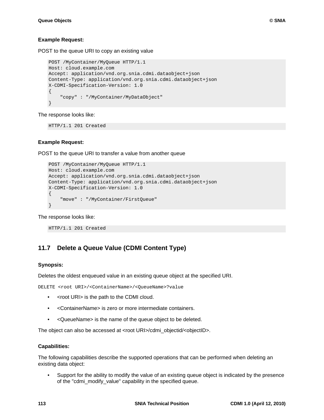#### **Example Request:**

POST to the queue URI to copy an existing value

```
POST /MyContainer/MyQueue HTTP/1.1
Host: cloud.example.com
Accept: application/vnd.org.snia.cdmi.dataobject+json
Content-Type: application/vnd.org.snia.cdmi.dataobject+json
X-CDMI-Specification-Version: 1.0
{
     "copy" : "/MyContainer/MyDataObject"
}
```
The response looks like:

HTTP/1.1 201 Created

#### **Example Request:**

POST to the queue URI to transfer a value from another queue

```
POST /MyContainer/MyQueue HTTP/1.1
Host: cloud.example.com
Accept: application/vnd.org.snia.cdmi.dataobject+json
Content-Type: application/vnd.org.snia.cdmi.dataobject+json
X-CDMI-Specification-Version: 1.0
\left\{ \right. "move" : "/MyContainer/FirstQueue"
}
```
The response looks like:

HTTP/1.1 201 Created

# **11.7 Delete a Queue Value (CDMI Content Type)**

#### **Synopsis:**

Deletes the oldest enqueued value in an existing queue object at the specified URI.

DELETE <root URI>/<ContainerName>/<QueueName>?value

- <root URI> is the path to the CDMI cloud.
- <ContainerName> is zero or more intermediate containers.
- <QueueName> is the name of the queue object to be deleted.

The object can also be accessed at <root URI>/cdmi\_objectid/<objectID>.

#### **Capabilities:**

The following capabilities describe the supported operations that can be performed when deleting an existing data object:

• Support for the ability to modify the value of an existing queue object is indicated by the presence of the "cdmi\_modify\_value" capability in the specified queue.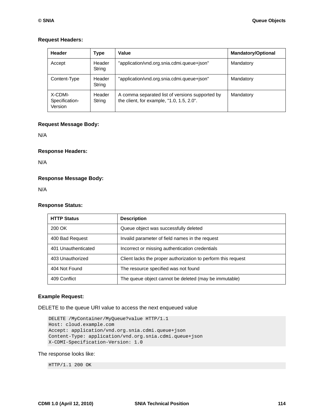#### **Request Headers:**

| Header                               | <b>Type</b>      | Value                                                                                        | <b>Mandatory/Optional</b> |
|--------------------------------------|------------------|----------------------------------------------------------------------------------------------|---------------------------|
| Accept                               | Header<br>String | "application/vnd.org.snia.cdmi.queue+json"                                                   | Mandatory                 |
| Content-Type                         | Header<br>String | "application/vnd.org.snia.cdmi.queue+json"                                                   | Mandatory                 |
| X-CDMI-<br>Specification-<br>Version | Header<br>String | A comma separated list of versions supported by<br>the client, for example, "1.0, 1.5, 2.0". | Mandatory                 |

#### **Request Message Body:**

N/A

**Response Headers:** 

N/A

#### **Response Message Body:**

N/A

#### **Response Status:**

| <b>HTTP Status</b>  | <b>Description</b>                                            |
|---------------------|---------------------------------------------------------------|
| 200 OK              | Queue object was successfully deleted                         |
| 400 Bad Request     | Invalid parameter of field names in the request               |
| 401 Unauthenticated | Incorrect or missing authentication credentials               |
| 403 Unauthorized    | Client lacks the proper authorization to perform this request |
| 404 Not Found       | The resource specified was not found                          |
| 409 Conflict        | The queue object cannot be deleted (may be immutable)         |

#### **Example Request:**

DELETE to the queue URI value to access the next enqueued value

```
DELETE /MyContainer/MyQueue?value HTTP/1.1
Host: cloud.example.com
Accept: application/vnd.org.snia.cdmi.queue+json
Content-Type: application/vnd.org.snia.cdmi.queue+json
X-CDMI-Specification-Version: 1.0
```
#### The response looks like:

HTTP/1.1 200 OK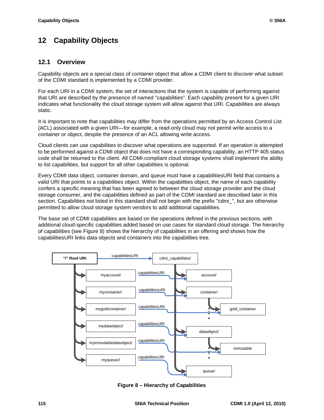# **12 Capability Objects**

## **12.1 Overview**

Capability objects are a special class of container object that allow a CDMI client to discover what subset of the CDMI standard is implemented by a CDMI provider.

For each URI in a CDMI system, the set of interactions that the system is capable of performing against that URI are described by the presence of named "capabilities". Each capability present for a given URI indicates what functionality the cloud storage system will allow against that URI. Capabilities are always static.

It is important to note that capabilities may differ from the operations permitted by an Access Control List (ACL) associated with a given URI—for example, a read-only cloud may not permit write access to a container or object, despite the presence of an ACL allowing write access.

Cloud clients can use capabilities to discover what operations are supported. If an operation is attempted to be performed against a CDMI object that does not have a corresponding capability, an HTTP 405 status code shall be returned to the client. All CDMI-compliant cloud storage systems shall implement the ability to list capabilities, but support for all other capabilities is optional.

Every CDMI data object, container domain, and queue must have a capabilitiesURI field that contains a valid URI that points to a capabilities object. Within the capabilities object, the name of each capability confers a specific meaning that has been agreed to between the cloud storage provider and the cloud storage consumer, and the capabilities defined as part of the CDMI standard are described later in this section. Capabilities not listed in this standard shall not begin with the prefix "cdmi\_", but are otherwise permitted to allow cloud storage system vendors to add additional capabilities.

The base set of CDMI capabilities are based on the operations defined in the previous sections, with additional cloud-specific capabilities added based on use cases for standard cloud storage. The hierarchy of capabilities (see [Figure 8](#page-125-0)) shows the hierarchy of capabilities in an offering and shows how the capabilitiesURI links data objects and containers into the capabilities tree.



<span id="page-125-0"></span>**Figure 8 – Hierarchy of Capabilities**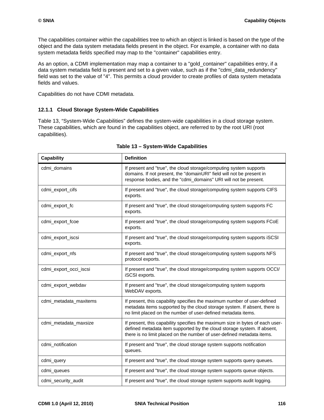The capabilities container within the capabilities tree to which an object is linked is based on the type of the object and the data system metadata fields present in the object. For example, a container with no data system metadata fields specified may map to the "container" capabilities entry.

As an option, a CDMI implementation may map a container to a "gold\_container" capabilities entry, if a data system metadata field is present and set to a given value, such as if the "cdmi\_data\_redundency" field was set to the value of "4". This permits a cloud provider to create profiles of data system metadata fields and values.

Capabilities do not have CDMI metadata.

## **12.1.1 Cloud Storage System-Wide Capabilities**

[Table 13, "System-Wide Capabilities"](#page-126-0) defines the system-wide capabilities in a cloud storage system. These capabilities, which are found in the capabilities object, are referred to by the root URI (root capabilities).

<span id="page-126-0"></span>

| <b>Capability</b>      | <b>Definition</b>                                                                                                                                                                                                                  |
|------------------------|------------------------------------------------------------------------------------------------------------------------------------------------------------------------------------------------------------------------------------|
| cdmi_domains           | If present and "true", the cloud storage/computing system supports<br>domains. If not present, the "domainURI" field will not be present in<br>response bodies, and the "cdmi_domains" URI will not be present.                    |
| cdmi_export_cifs       | If present and "true", the cloud storage/computing system supports CIFS<br>exports.                                                                                                                                                |
| cdmi_export_fc         | If present and "true", the cloud storage/computing system supports FC<br>exports.                                                                                                                                                  |
| cdmi_export_fcoe       | If present and "true", the cloud storage/computing system supports FCoE<br>exports.                                                                                                                                                |
| cdmi_export_iscsi      | If present and "true", the cloud storage/computing system supports iSCSI<br>exports.                                                                                                                                               |
| cdmi_export_nfs        | If present and "true", the cloud storage/computing system supports NFS<br>protocol exports.                                                                                                                                        |
| cdmi_export_occi_iscsi | If present and "true", the cloud storage/computing system supports OCCI/<br>iSCSI exports.                                                                                                                                         |
| cdmi_export_webdav     | If present and "true", the cloud storage/computing system supports<br>WebDAV exports.                                                                                                                                              |
| cdmi_metadata_maxitems | If present, this capability specifies the maximum number of user-defined<br>metadata items supported by the cloud storage system. If absent, there is<br>no limit placed on the number of user-defined metadata items.             |
| cdmi_metadata_maxsize  | If present, this capability specifies the maximum size in bytes of each user-<br>defined metadata item supported by the cloud storage system. If absent,<br>there is no limit placed on the number of user-defined metadata items. |
| cdmi_notification      | If present and "true", the cloud storage system supports notification<br>queues.                                                                                                                                                   |
| cdmi_query             | If present and "true", the cloud storage system supports query queues.                                                                                                                                                             |
| cdmi_queues            | If present and "true", the cloud storage system supports queue objects.                                                                                                                                                            |
| cdmi_security_audit    | If present and "true", the cloud storage system supports audit logging.                                                                                                                                                            |

#### **Table 13 – System-Wide Capabilities**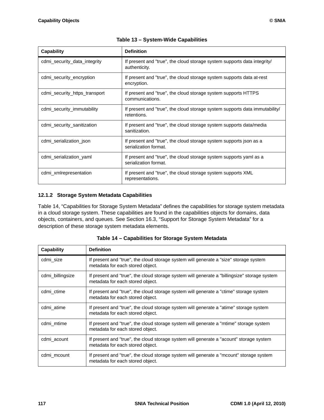| <b>Capability</b>             | <b>Definition</b>                                                                           |
|-------------------------------|---------------------------------------------------------------------------------------------|
| cdmi security data integrity  | If present and "true", the cloud storage system supports data integrity/<br>authenticity.   |
| cdmi security encryption      | If present and "true", the cloud storage system supports data at-rest<br>encryption.        |
| cdmi_security_https_transport | If present and "true", the cloud storage system supports HTTPS<br>communications.           |
| cdmi_security_immutability    | If present and "true", the cloud storage system supports data immutability/<br>retentions.  |
| cdmi security sanitization    | If present and "true", the cloud storage system supports data/media<br>sanitization.        |
| cdmi serialization json       | If present and "true", the cloud storage system supports json as a<br>serialization format. |
| cdmi_serialization_yaml       | If present and "true", the cloud storage system supports yaml as a<br>serialization format. |
| cdmi_xmlrepresentation        | If present and "true", the cloud storage system supports XML<br>representations.            |

| Table 13 - System-Wide Capabilities |
|-------------------------------------|
|-------------------------------------|

## **12.1.2 Storage System Metadata Capabilities**

[Table 14, "Capabilities for Storage System Metadata"](#page-127-0) defines the capabilities for storage system metadata in a cloud storage system. These capabilities are found in the capabilities objects for domains, data objects, containers, and queues. See [Section 16.3, "Support for Storage System Metadata"](#page-152-0) for a description of these storage system metadata elements.

<span id="page-127-0"></span>

| <b>Capability</b> | <b>Definition</b>                                                                                                                |
|-------------------|----------------------------------------------------------------------------------------------------------------------------------|
| cdmi_size         | If present and "true", the cloud storage system will generate a "size" storage system<br>metadata for each stored object.        |
| cdmi_billingsize  | If present and "true", the cloud storage system will generate a "billingsize" storage system<br>metadata for each stored object. |
| cdmi ctime        | If present and "true", the cloud storage system will generate a "ctime" storage system<br>metadata for each stored object.       |
| cdmi atime        | If present and "true", the cloud storage system will generate a "atime" storage system<br>metadata for each stored object.       |
| cdmi mtime        | If present and "true", the cloud storage system will generate a "mtime" storage system<br>metadata for each stored object.       |
| cdmi_acount       | If present and "true", the cloud storage system will generate a "acount" storage system<br>metadata for each stored object.      |
| cdmi mcount       | If present and "true", the cloud storage system will generate a "mcount" storage system<br>metadata for each stored object.      |

**Table 14 – Capabilities for Storage System Metadata**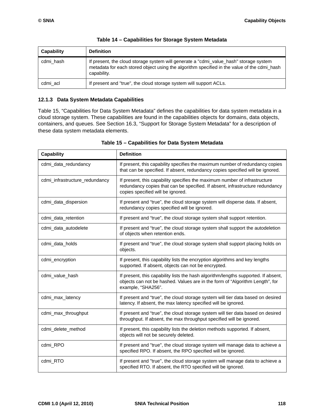| Capability | <b>Definition</b>                                                                                                                                                                                   |
|------------|-----------------------------------------------------------------------------------------------------------------------------------------------------------------------------------------------------|
| cdmi hash  | If present, the cloud storage system will generate a "cdmi_value_hash" storage system<br>metadata for each stored object using the algorithm specified in the value of the cdmi_hash<br>capability. |
| cdmi_acl   | If present and "true", the cloud storage system will support ACLs.                                                                                                                                  |

|  |  |  | Table 14 - Capabilities for Storage System Metadata |
|--|--|--|-----------------------------------------------------|
|  |  |  |                                                     |

### **12.1.3 Data System Metadata Capabilities**

[Table 15, "Capabilities for Data System Metadata"](#page-128-0) defines the capabilities for data system metadata in a cloud storage system. These capabilities are found in the capabilities objects for domains, data objects, containers, and queues. See [Section 16.3, "Support for Storage System Metadata"](#page-152-0) for a description of these data system metadata elements.

<span id="page-128-0"></span>

| <b>Capability</b>              | <b>Definition</b>                                                                                                                                                                                |
|--------------------------------|--------------------------------------------------------------------------------------------------------------------------------------------------------------------------------------------------|
| cdmi_data_redundancy           | If present, this capability specifies the maximum number of redundancy copies<br>that can be specified. If absent, redundancy copies specified will be ignored.                                  |
| cdmi_infrastructure_redundancy | If present, this capability specifies the maximum number of infrastructure<br>redundancy copies that can be specified. If absent, infrastructure redundancy<br>copies specified will be ignored. |
| cdmi_data_dispersion           | If present and "true", the cloud storage system will disperse data. If absent,<br>redundancy copies specified will be ignored.                                                                   |
| cdmi_data_retention            | If present and "true", the cloud storage system shall support retention.                                                                                                                         |
| cdmi_data_autodelete           | If present and "true", the cloud storage system shall support the autodeletion<br>of objects when retention ends.                                                                                |
| cdmi_data_holds                | If present and "true", the cloud storage system shall support placing holds on<br>objects.                                                                                                       |
| cdmi_encryption                | If present, this capability lists the encryption algorithms and key lengths<br>supported. If absent, objects can not be encrypted.                                                               |
| cdmi_value_hash                | If present, this capability lists the hash algorithm/lengths supported. If absent,<br>objects can not be hashed. Values are in the form of "Algorithm Length", for<br>example, "SHA256".         |
| cdmi_max_latency               | If present and "true", the cloud storage system will tier data based on desired<br>latency. If absent, the max latency specified will be ignored.                                                |
| cdmi_max_throughput            | If present and "true", the cloud storage system will tier data based on desired<br>throughput. If absent, the max throughput specified will be ignored.                                          |
| cdmi_delete_method             | If present, this capability lists the deletion methods supported. If absent,<br>objects will not be securely deleted.                                                                            |
| cdmi_RPO                       | If present and "true", the cloud storage system will manage data to achieve a<br>specified RPO. If absent, the RPO specified will be ignored.                                                    |
| cdmi_RTO                       | If present and "true", the cloud storage system will manage data to achieve a<br>specified RTO. If absent, the RTO specified will be ignored.                                                    |

#### **Table 15 – Capabilities for Data System Metadata**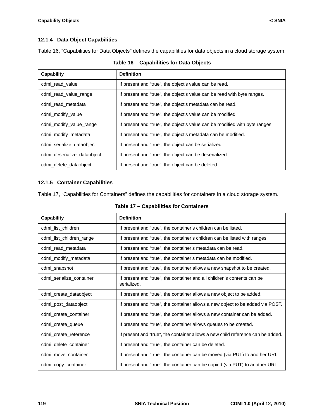## **12.1.4 Data Object Capabilities**

[Table 16, "Capabilities for Data Objects"](#page-129-0) defines the capabilities for data objects in a cloud storage system.

<span id="page-129-0"></span>

| Capability                  | <b>Definition</b>                                                           |
|-----------------------------|-----------------------------------------------------------------------------|
| cdmi read value             | If present and "true", the object's value can be read.                      |
| cdmi read value range       | If present and "true", the object's value can be read with byte ranges.     |
| cdmi read metadata          | If present and "true", the object's metadata can be read.                   |
| cdmi_modify_value           | If present and "true", the object's value can be modified.                  |
| cdmi_modify_value_range     | If present and "true", the object's value can be modified with byte ranges. |
| cdmi_modify_metadata        | If present and "true", the object's metadata can be modified.               |
| cdmi serialize dataobject   | If present and "true", the object can be serialized.                        |
| cdmi_deserialize_dataobject | If present and "true", the object can be deserialized.                      |
| cdmi_delete_dataobject      | If present and "true", the object can be deleted.                           |

## **Table 16 – Capabilities for Data Objects**

### **12.1.5 Container Capabilities**

[Table 17, "Capabilities for Containers"](#page-129-1) defines the capabilities for containers in a cloud storage system.

<span id="page-129-1"></span>

| <b>Capability</b>        | <b>Definition</b>                                                                      |
|--------------------------|----------------------------------------------------------------------------------------|
| cdmi_list_children       | If present and "true", the container's children can be listed.                         |
| cdmi_list_children_range | If present and "true", the container's children can be listed with ranges.             |
| cdmi_read_metadata       | If present and "true", the container's metadata can be read.                           |
| cdmi_modify_metadata     | If present and "true", the container's metadata can be modified.                       |
| cdmi_snapshot            | If present and "true", the container allows a new snapshot to be created.              |
| cdmi_serialize_container | If present and "true", the container and all children's contents can be<br>serialized. |
| cdmi_create_dataobject   | If present and "true", the container allows a new object to be added.                  |
| cdmi post dataobject     | If present and "true", the container allows a new object to be added via POST.         |
| cdmi_create_container    | If present and "true", the container allows a new container can be added.              |
| cdmi create queue        | If present and "true", the container allows queues to be created.                      |
| cdmi_create_reference    | If present and "true", the container allows a new child reference can be added.        |
| cdmi_delete_container    | If present and "true", the container can be deleted.                                   |
| cdmi move container      | If present and "true", the container can be moved (via PUT) to another URI.            |
| cdmi_copy_container      | If present and "true", the container can be copied (via PUT) to another URI.           |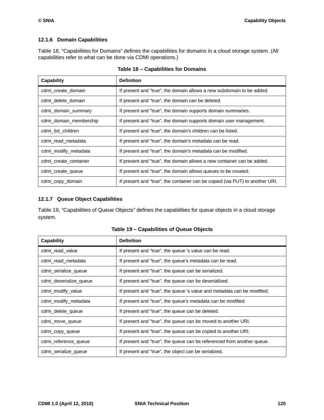## **12.1.6 Domain Capabilities**

[Table 18, "Capabilities for Domains"](#page-130-0) defines the capabilities for domains in a cloud storage system. (All capabilities refer to what can be done via CDMI operations.)

<span id="page-130-0"></span>

| <b>Capability</b>      | <b>Definition</b>                                                            |
|------------------------|------------------------------------------------------------------------------|
| cdmi create domain     | If present and "true", the domain allows a new subdomain to be added.        |
| cdmi delete domain     | If present and "true", the domain can be deleted.                            |
| cdmi_domain_summary    | If present and "true", the domain supports domain summaries.                 |
| cdmi_domain_membership | If present and "true", the domain supports domain user management.           |
| cdmi list children     | If present and "true", the domain's children can be listed.                  |
| cdmi read metadata     | If present and "true", the domain's metadata can be read.                    |
| cdmi_modify_metadata   | If present and "true", the domain's metadata can be modified.                |
| cdmi_create_container  | If present and "true", the domain allows a new container can be added.       |
| cdmi_create_queue      | If present and "true", the domain allows queues to be created.               |
| cdmi_copy_domain       | If present and "true", the container can be copied (via PUT) to another URI. |

|  |  |  |  | Table 18 - Capabilities for Domains |
|--|--|--|--|-------------------------------------|
|--|--|--|--|-------------------------------------|

## **12.1.7 Queue Object Capabilities**

[Table 19, "Capabilities of Queue Objects"](#page-130-1) defines the capabilities for queue objects in a cloud storage system.

<span id="page-130-1"></span>

| <b>Capability</b>      | <b>Definition</b>                                                       |
|------------------------|-------------------------------------------------------------------------|
| cdmi_read_value        | If present and "true", the queue 's value can be read.                  |
| cdmi_read_metadata     | If present and "true", the queue's metadata can be read.                |
| cdmi_serialize_queue   | If present and "true", the queue can be serialized.                     |
| cdmi deserialize queue | If present and "true", the queue can be deserialized.                   |
| cdmi_modify_value      | If present and "true", the queue 's value and metadata can be modified. |
| cdmi_modify_metadata   | If present and "true", the queue's metadata can be modified.            |
| cdmi delete queue      | If present and "true", the queue can be deleted.                        |
| cdmi_move_queue        | If present and "true", the queue can be moved to another URI.           |
| cdmi_copy_queue        | If present and "true", the queue can be copied to another URI.          |
| cdmi_reference_queue   | If present and "true", the queue can be referenced from another queue.  |
| cdmi_serialize_queue   | If present and "true", the object can be serialized.                    |

| Table 19 - Capabilities of Queue Objects |  |  |  |  |
|------------------------------------------|--|--|--|--|
|------------------------------------------|--|--|--|--|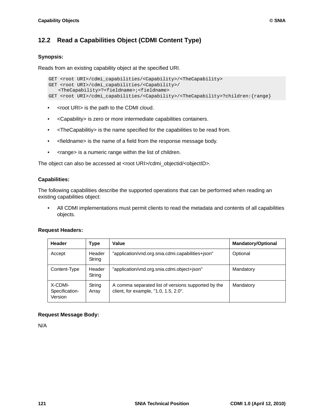# **12.2 Read a Capabilities Object (CDMI Content Type)**

## **Synopsis:**

Reads from an existing capability object at the specified URI.

```
GET <root URI>/cdmi_capabilities/<Capability>/<TheCapability>
GET <root URI>/cdmi_capabilities/<Capability>/ 
  <TheCapability>?<fieldname>;<fieldname>
GET <root URI>/cdmi_capabilities/<Capability>/<TheCapability>?children:{range}
```
- <root URI> is the path to the CDMI cloud.
- <Capability> is zero or more intermediate capabilities containers.
- <TheCapabilitiy> is the name specified for the capabilities to be read from.
- <fieldname> is the name of a field from the response message body.
- <range> is a numeric range within the list of children.

The object can also be accessed at <root URI>/cdmi\_objectid/<objectID>.

#### **Capabilities:**

The following capabilities describe the supported operations that can be performed when reading an existing capabilities object:

• All CDMI implementations must permit clients to read the metadata and contents of all capabilities objects.

#### **Request Headers:**

| Header                               | Type             | Value                                                                                        | <b>Mandatory/Optional</b> |
|--------------------------------------|------------------|----------------------------------------------------------------------------------------------|---------------------------|
| Accept                               | Header<br>String | "application/vnd.org.snia.cdmi.capabilities+json"                                            | Optional                  |
| Content-Type                         | Header<br>String | "application/vnd.org.snia.cdmi.object+json"                                                  | Mandatory                 |
| X-CDMI-<br>Specification-<br>Version | String<br>Array  | A comma separated list of versions supported by the<br>client, for example, "1.0, 1.5, 2.0". | Mandatory                 |

## **Request Message Body:**

N/A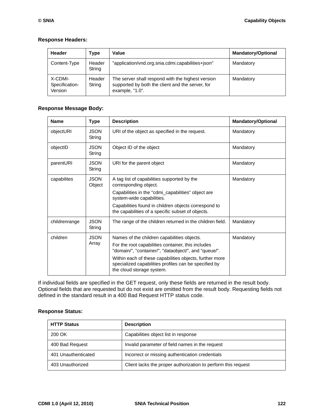### **Response Headers:**

| Header                               | Type             | Value                                                                                                                    | <b>Mandatory/Optional</b> |
|--------------------------------------|------------------|--------------------------------------------------------------------------------------------------------------------------|---------------------------|
| Content-Type                         | Header<br>String | "application/vnd.org.snia.cdmi.capabilities+json"                                                                        | Mandatory                 |
| X-CDMI-<br>Specification-<br>Version | Header<br>String | The server shall respond with the highest version<br>supported by both the client and the server, for<br>example, "1.0". | Mandatory                 |

## **Response Message Body:**

| <b>Name</b>   | Type                  | <b>Description</b>                                                                                                                            | <b>Mandatory/Optional</b> |
|---------------|-----------------------|-----------------------------------------------------------------------------------------------------------------------------------------------|---------------------------|
| objectURI     | <b>JSON</b><br>String | URI of the object as specified in the request.                                                                                                | Mandatory                 |
| objectID      | <b>JSON</b><br>String | Object ID of the object                                                                                                                       | Mandatory                 |
| parentURI     | <b>JSON</b><br>String | URI for the parent object                                                                                                                     | Mandatory                 |
| capabilites   | <b>JSON</b><br>Object | A tag list of capabilities supported by the<br>corresponding object.                                                                          | Mandatory                 |
|               |                       | Capabilities in the "cdmi_capabilities" object are<br>system-wide capabilities.                                                               |                           |
|               |                       | Capabilities found in children objects correspond to<br>the capabilities of a specific subset of objects.                                     |                           |
| childrenrange | <b>JSON</b><br>String | The range of the children returned in the children field.                                                                                     | Mandatory                 |
| children      | <b>JSON</b>           | Names of the children capabilities objects.                                                                                                   | Mandatory                 |
|               | Array                 | For the root capabilities container, this includes<br>"domain/", "container/", "dataobject/", and "queue/".                                   |                           |
|               |                       | Within each of these capabilities objects, further more<br>specialized capabilities profiles can be specified by<br>the cloud storage system. |                           |

If individual fields are specified in the GET request, only these fields are returned in the result body. Optional fields that are requested but do not exist are omitted from the result body. Requesting fields not defined in the standard result in a 400 Bad Request HTTP status code.

#### **Response Status:**

| <b>HTTP Status</b>  | <b>Description</b>                                            |
|---------------------|---------------------------------------------------------------|
| 200 OK              | Capabilities object list in response                          |
| 400 Bad Request     | Invalid parameter of field names in the request               |
| 401 Unauthenticated | Incorrect or missing authentication credentials               |
| 403 Unauthorized    | Client lacks the proper authorization to perform this request |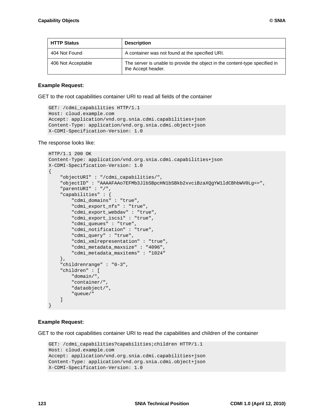| <b>HTTP Status</b> | <b>Description</b>                                                                                |
|--------------------|---------------------------------------------------------------------------------------------------|
| 404 Not Found      | A container was not found at the specified URI.                                                   |
| 406 Not Acceptable | The server is unable to provide the object in the content-type specified in<br>the Accept header. |

#### **Example Request:**

GET to the root capabilities container URI to read all fields of the container

```
GET: /cdmi_capabilities HTTP/1.1
Host: cloud.example.com
Accept: application/vnd.org.snia.cdmi.capabilities+json
Content-Type: application/vnd.org.snia.cdmi.object+json
X-CDMI-Specification-Version: 1.0
```
The response looks like:

```
HTTP/1.1 200 OK
Content-Type: application/vnd.org.snia.cdmi.capabilities+json
X-CDMI-Specification-Version: 1.0
\mathcal{L} "objectURI" : "/cdmi_capabilities/",
     "objectID" : "AAAAFAAo7EFMb3JlbSBpcHN1bSBkb2xvciBzaXQgYW1ldCBhbWV0Lg==",
     "parentURI" : "/",
     "capabilities" : {
         "cdmi_domains" : "true",
         "cdmi_export_nfs" : "true",
         "cdmi_export_webdav" : "true",
         "cdmi_export_iscsi" : "true",
         "cdmi_queues" : "true",
         "cdmi_notification" : "true",
         "cdmi_query" : "true",
         "cdmi_xmlrepresentation" : "true",
         "cdmi_metadata_maxsize" : "4096",
         "cdmi_metadata_maxitems" : "1024" 
     },
     "childrenrange" : "0-3",
     "children" : [
         "domain/",
          "container/",
         "dataobject/",
         "queue/" 
     ]
}
```
#### **Example Request:**

GET to the root capabilities container URI to read the capabilities and children of the container

```
GET: /cdmi_capabilities?capabilities;children HTTP/1.1
Host: cloud.example.com
Accept: application/vnd.org.snia.cdmi.capabilities+json
Content-Type: application/vnd.org.snia.cdmi.object+json
X-CDMI-Specification-Version: 1.0
```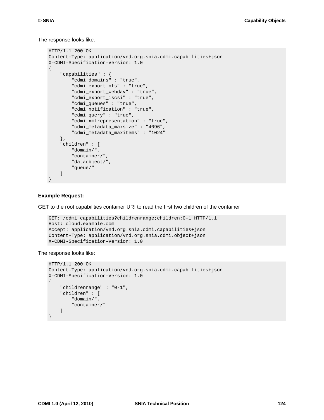The response looks like:

```
HTTP/1.1 200 OK
Content-Type: application/vnd.org.snia.cdmi.capabilities+json
X-CDMI-Specification-Version: 1.0
{
     "capabilities" : {
         "cdmi_domains" : "true",
         "cdmi_export_nfs" : "true",
         "cdmi_export_webdav" : "true",
         "cdmi_export_iscsi" : "true",
         "cdmi_queues" : "true",
         "cdmi_notification" : "true",
         "cdmi_query" : "true",
         "cdmi_xmlrepresentation" : "true",
         "cdmi_metadata_maxsize" : "4096",
         "cdmi_metadata_maxitems" : "1024" 
     },
     "children" : [
         "domain/",
         "container/",
         "dataobject/",
         "queue/" 
     ]
}
```
#### **Example Request:**

GET to the root capabilities container URI to read the first two children of the container

```
GET: /cdmi_capabilities?childrenrange;children:0-1 HTTP/1.1
Host: cloud.example.com
Accept: application/vnd.org.snia.cdmi.capabilities+json
Content-Type: application/vnd.org.snia.cdmi.object+json
X-CDMI-Specification-Version: 1.0
```
#### The response looks like:

```
HTTP/1.1 200 OK
Content-Type: application/vnd.org.snia.cdmi.capabilities+json
X-CDMI-Specification-Version: 1.0
{
     "childrenrange" : "0-1",
     "children" : [
         "domain/",
         "container/" 
     ]
}
```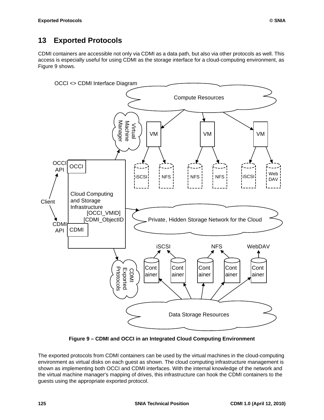# **13 Exported Protocols**

CDMI containers are accessible not only via CDMI as a data path, but also via other protocols as well. This access is especially useful for using CDMI as the storage interface for a cloud-computing environment, as [Figure 9](#page-135-0) shows.



**Figure 9 – CDMI and OCCI in an Integrated Cloud Computing Environment**

<span id="page-135-0"></span>The exported protocols from CDMI containers can be used by the virtual machines in the cloud-computing environment as virtual disks on each guest as shown. The cloud computing infrastructure management is shown as implementing both OCCI and CDMI interfaces. With the internal knowledge of the network and the virtual machine manager's mapping of drives, this infrastructure can hook the CDMI containers to the guests using the appropriate exported protocol.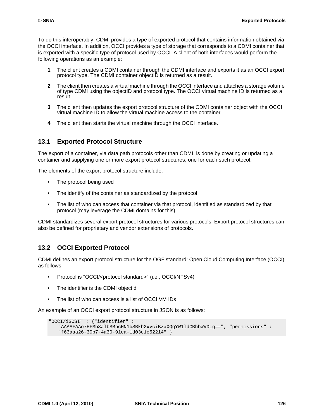To do this interoperably, CDMI provides a type of exported protocol that contains information obtained via the OCCI interface. In addition, OCCI provides a type of storage that corresponds to a CDMI container that is exported with a specific type of protocol used by OCCI. A client of both interfaces would perform the following operations as an example:

- **1** The client creates a CDMI container through the CDMI interface and exports it as an OCCI export protocol type. The CDMI container objectID is returned as a result.
- **2** The client then creates a virtual machine through the OCCI interface and attaches a storage volume of type CDMI using the objectID and protocol type. The OCCI virtual machine ID is returned as a result.
- **3** The client then updates the export protocol structure of the CDMI container object with the OCCI virtual machine ID to allow the virtual machine access to the container.
- **4** The client then starts the virtual machine through the OCCI interface.

## **13.1 Exported Protocol Structure**

The export of a container, via data path protocols other than CDMI, is done by creating or updating a container and supplying one or more export protocol structures, one for each such protocol.

The elements of the export protocol structure include:

- The protocol being used
- The identify of the container as standardized by the protocol
- The list of who can access that container via that protocol, identified as standardized by that protocol (may leverage the CDMI domains for this)

CDMI standardizes several export protocol structures for various protocols. Export protocol structures can also be defined for proprietary and vendor extensions of protocols.

## **13.2 OCCI Exported Protocol**

CDMI defines an export protocol structure for the OGF standard: Open Cloud Computing Interface (OCCI) as follows:

- Protocol is "OCCI/<protocol standard>" (i.e., OCCI/NFSv4)
- The identifier is the CDMI objectid
- The list of who can access is a list of OCCI VM IDs

An example of an OCCI export protocol structure in JSON is as follows:

```
"OCCI/iSCSI" : {"identifier" : 
   "AAAAFAAo7EFMb3JlbSBpcHN1bSBkb2xvciBzaXQgYW1ldCBhbWV0Lg==", "permissions" : 
   "f63aaa26-30b7-4a30-91ca-1d03c1e52214" }
```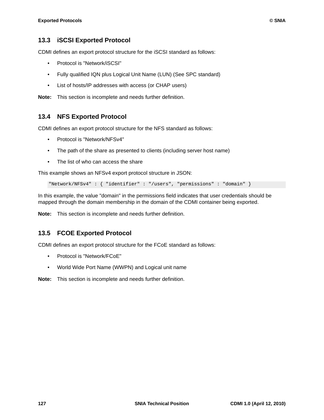## **13.3 iSCSI Exported Protocol**

CDMI defines an export protocol structure for the iSCSI standard as follows:

- Protocol is "Network/iSCSI"
- Fully qualified IQN plus Logical Unit Name (LUN) (See SPC standard)
- List of hosts/IP addresses with access (or CHAP users)

**Note:** This section is incomplete and needs further definition.

## **13.4 NFS Exported Protocol**

CDMI defines an export protocol structure for the NFS standard as follows:

- Protocol is "Network/NFSv4"
- The path of the share as presented to clients (including server host name)
- The list of who can access the share

This example shows an NFSv4 export protocol structure in JSON:

"Network/NFSv4" : { "identifier" : "/users", "permissions" : "domain" }

In this example, the value "domain" in the permissions field indicates that user credentials should be mapped through the domain membership in the domain of the CDMI container being exported.

**Note:** This section is incomplete and needs further definition.

## **13.5 FCOE Exported Protocol**

CDMI defines an export protocol structure for the FCoE standard as follows:

- Protocol is "Network/FCoE"
- World Wide Port Name (WWPN) and Logical unit name

**Note:** This section is incomplete and needs further definition.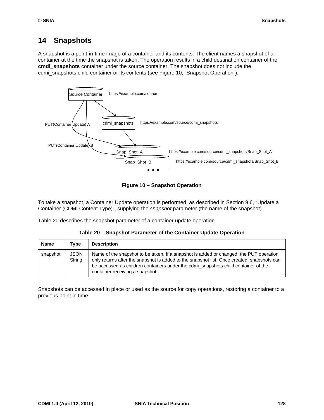# **14 Snapshots**

A snapshot is a point-in-time image of a container and its contents. The client names a snapshot of a container at the time the snapshot is taken. The operation results in a child destination container of the **cmdi\_snapshots** container under the source container. The snapshot does not include the cdmi\_snapshots child container or its contents (see [Figure 10, "Snapshot Operation"\)](#page-138-0).





<span id="page-138-0"></span>To take a snapshot, a Container Update operation is performed, as described in [Section 9.6, "Update a](#page-71-0)  [Container \(CDMI Content Type\)"](#page-71-0), supplying the *snapshot* parameter (the name of the snapshot).

[Table 20](#page-138-1) describes the snapshot parameter of a container update operation.

| Table 20 - Snapshot Parameter of the Container Update Operation |  |
|-----------------------------------------------------------------|--|
|-----------------------------------------------------------------|--|

<span id="page-138-1"></span>

| Name     | Type                  | <b>Description</b>                                                                                                                                                                                                                                                                                            |
|----------|-----------------------|---------------------------------------------------------------------------------------------------------------------------------------------------------------------------------------------------------------------------------------------------------------------------------------------------------------|
| snapshot | <b>JSON</b><br>String | Name of the snapshot to be taken. If a snapshot is added or changed, the PUT operation<br>only returns after the snapshot is added to the snapshot list. Once created, snapshots can<br>be accessed as children containers under the cdmi_snapshots child container of the<br>container receiving a snapshot. |

Snapshots can be accessed in place or used as the source for copy operations, restoring a container to a previous point in time.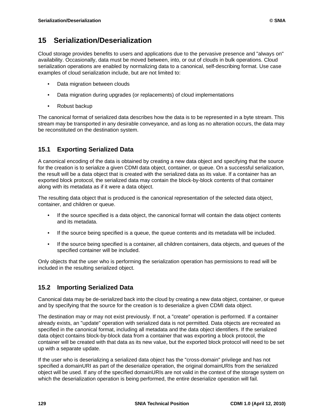# **15 Serialization/Deserialization**

Cloud storage provides benefits to users and applications due to the pervasive presence and "always on" availability. Occasionally, data must be moved between, into, or out of clouds in bulk operations. Cloud serialization operations are enabled by normalizing data to a canonical, self-describing format. Use case examples of cloud serialization include, but are not limited to:

- Data migration between clouds
- Data migration during upgrades (or replacements) of cloud implementations
- Robust backup

The canonical format of serialized data describes how the data is to be represented in a byte stream. This stream may be transported in any desirable conveyance, and as long as no alteration occurs, the data may be reconstituted on the destination system.

# **15.1 Exporting Serialized Data**

A canonical encoding of the data is obtained by creating a new data object and specifying that the source for the creation is to serialize a given CDMI data object, container, or queue. On a successful serialization, the result will be a data object that is created with the serialized data as its value. If a container has an exported block protocol, the serialized data may contain the block-by-block contents of that container along with its metadata as if it were a data object.

The resulting data object that is produced is the canonical representation of the selected data object, container, and children or queue.

- If the source specified is a data object, the canonical format will contain the data object contents and its metadata.
- If the source being specified is a queue, the queue contents and its metadata will be included.
- If the source being specified is a container, all children containers, data objects, and queues of the specified container will be included.

Only objects that the user who is performing the serialization operation has permissions to read will be included in the resulting serialized object.

# **15.2 Importing Serialized Data**

Canonical data may be de-serialized back into the cloud by creating a new data object, container, or queue and by specifying that the source for the creation is to deserialize a given CDMI data object.

The destination may or may not exist previously. If not, a "create" operation is performed. If a container already exists, an "update" operation with serialized data is not permitted. Data objects are recreated as specified in the canonical format, including all metadata and the data object identifiers. If the serialized data object contains block-by-block data from a container that was exporting a block protocol, the container will be created with that data as its new value, but the exported block protocol will need to be set up with a separate update.

If the user who is deserializing a serialized data object has the "cross-domain" privilege and has not specified a domainURI as part of the deserialize operation, the original domainURIs from the serialized object will be used. If any of the specified domainURIs are not valid in the context of the storage system on which the deserialization operation is being performed, the entire deserialize operation will fail.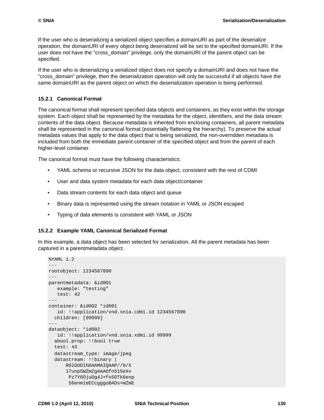If the user who is deserializing a serialized object specifies a domainURI as part of the deserialize operation, the domainURI of every object being deserialized will be set to the specified domainURI. If the user does not have the "cross\_domain" privilege, only the domainURI of the parent object can be specified.

If the user who is deserializing a serialized object does not specify a domainURI and does not have the "cross\_domain" privilege, then the deserialization operation will only be successful if all objects have the same domainURI as the parent object on which the deserialization operation is being performed.

#### **15.2.1 Canonical Format**

The canonical format shall represent specified data objects and containers, as they exist within the storage system. Each object shall be represented by the metadata for the object, identifiers, and the data stream contents of the data object. Because metadata is inherited from enclosing containers, all parent metadata shall be represented in the canonical format (essentially flattening the hierarchy). To preserve the actual metadata values that apply to the data object that is being serialized, the non-overridden metadata is included from both the immediate parent container of the specified object and from the parent of each higher-level container.

The canonical format must have the following characteristics:

- YAML schema or recursive JSON for the data object, consistent with the rest of CDMI
- User and data system metadata for each data object/container
- Data stream contents for each data object and queue
- Binary data is represented using the stream notation in YAML or JSON escaped
- Typing of data elements is consistent with YAML or JSON

#### **15.2.2 Example YAML Canonical Serialized Format**

In this example, a data object has been selected for serialization. All the parent metadata has been captured in a parentmetadata object.

```
%YAML 1.2
- - -rootobject: 1234567890
- - -parentmetadata: &id001
   example: "testing"
   test: 42
---
container: &id002 *id001
   id: !!application/vnd.snia.cdmi.id 1234567890
  children: [99999]
---
dataobject: *id002
   id: !!application/vnd.snia.xdmi.id 99999
   abool.prop: !!bool true
   test: 43
   datastream_type: image/jpeg
  datastream: !!binary |
      R0lGODlhDAAMAIQAAP//9/X
       17unp5WZmZgAAAOfn515eXv
       Pz7Y6OjuDg4J+fn5OTk6enp
        56enmleECcgggoBADs=mZmE
```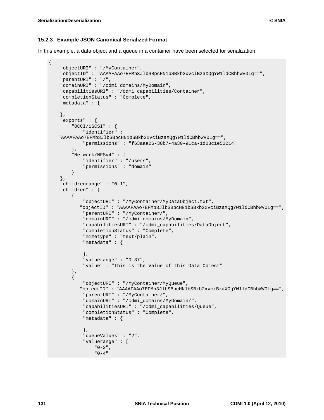{

#### **15.2.3 Example JSON Canonical Serialized Format**

In this example, a data object and a queue in a container have been selected for serialization.

```
 "objectURI" : "/MyContainer",
     "objectID" : "AAAAFAAo7EFMb3JlbSBpcHN1bSBkb2xvciBzaXQgYW1ldCBhbWV0Lg==",
     "parentURI" : "/",
     "domainURI" : "/cdmi_domains/MyDomain",
     "capabilitiesURI" : "/cdmi_capabilities/Container",
     "completionStatus" : "Complete",
     "metadata" : {
     },
     "exports" : {
         "OCCI/iSCSI" : {
             "identifier" : 
   "AAAAFAAo7EFMb3JlbSBpcHN1bSBkb2xvciBzaXQgYW1ldCBhbWV0Lg==",
             "permissions" : "f63aaa26-30b7-4a30-91ca-1d03c1e52214" 
         },
         "Network/NFSv4" : {
             "identifier" : "/users",
             "permissions" : "domain" 
         } 
     },
     "childrenrange" : "0-1",
     "children" : [
         {
             "objectURI" : "/MyContainer/MyDataObject.txt",
            "objectID" : "AAAAFAAo7EFMb3JlbSBpcHN1bSBkb2xvciBzaXQgYW1ldCBhbWV0Lg==",
             "parentURI" : "/MyContainer/",
             "domainURI" : "/cdmi_domains/MyDomain",
             "capabilitiesURI" : "/cdmi_capabilities/DataObject",
             "completionStatus" : "Complete",
             "mimetype" : "text/plain",
             "metadata" : {
              },
              "valuerange" : "0-37",
              "value" : "This is the Value of this Data Object" 
         },
\left\{ \begin{array}{c} 0 & \cdots \end{array} \right. "objectURI" : "/MyContainer/MyQueue",
            "objectID" : "AAAAFAAo7EFMb3JlbSBpcHN1bSBkb2xvciBzaXQgYW1ldCBhbWV0Lg==",
             "parentURI" : "/MyContainer/",
             "domainURI" : "/cdmi_domains/MyDomain/",
             "capabilitiesURI" : "/cdmi_capabilities/Queue",
              "completionStatus" : "Complete",
              "metadata" : {
              },
              "queueValues" : "2",
              "valuerange" : [
                 "0-2",
                  "0-4"
```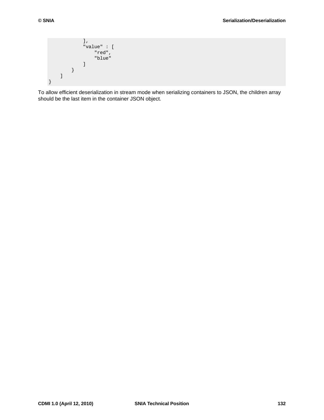```
],
              "value" : [
                  "red",
                  "blue"
 ] 
         } 
    \, \, \,}
```
To allow efficient deserialization in stream mode when serializing containers to JSON, the children array should be the last item in the container JSON object.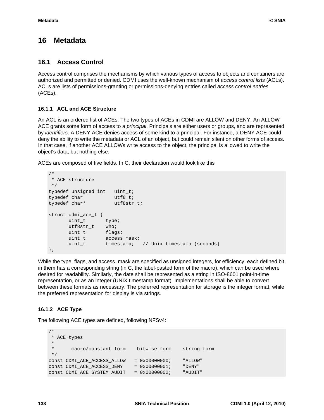# <span id="page-143-0"></span>**16 Metadata**

## **16.1 Access Control**

Access control comprises the mechanisms by which various types of access to objects and containers are authorized and permitted or denied. CDMI uses the well-known mechanism of *access control lists* (ACLs). ACLs are lists of permissions-granting or permissions-denying entries called *access control entries* (ACEs).

#### **16.1.1 ACL and ACE Structure**

An ACL is an ordered list of ACEs. The two types of ACEs in CDMI are ALLOW and DENY. An ALLOW ACE grants some form of access to a *principal*. Principals are either users or groups, and are represented by *identifiers*. A DENY ACE denies access of some kind to a principal. For instance, a DENY ACE could deny the ability to write the metadata or ACL of an object, but could remain silent on other forms of access. In that case, if another ACE ALLOWs write access to the object, the principal is allowed to write the object's data, but nothing else.

ACEs are composed of five fields. In C, their declaration would look like this

```
/*
 * ACE structure
 */
typedef unsigned int uint_t;
typedef char utf8_t;
typedef char* utf8str_t;
struct cdmi_ace_t {
uint_t type;
utf8str_t who;
uint_t flags;
uint_t access_mask;
uint_t timestamp; // Unix timestamp (seconds)
};
```
While the type, flags, and access mask are specified as unsigned integers, for efficiency, each defined bit in them has a corresponding string (in C, the label-pasted form of the macro), which can be used where desired for readability. Similarly, the date shall be represented as a string in ISO-8601 point-in-time representation, or as an integer (UNIX timestamp format). Implementations shall be able to convert between these formats as necessary. The preferred representation for storage is the integer format, while the preferred representation for display is via strings.

## **16.1.2 ACE Type**

The following ACE types are defined, following NFSv4:

```
/*
 * ACE types 
  * 
  * macro/constant form bitwise form string form
 */ 
const CDMI_ACE_ACCESS_ALLOW = 0x000000000; "ALLOW"<br>const CDMI ACE ACCESS_DENY = 0x000000001; "DENY"
const CDMI_ACE_ACCESS_DENY = 0x00000001;
const CDMI_ACE_SYSTEM_AUDIT = 0x00000002; "AUDIT"
```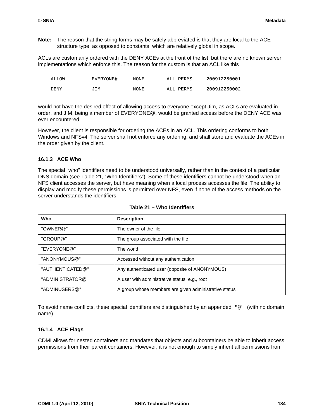**Note:** The reason that the string forms may be safely abbreviated is that they are local to the ACE structure type, as opposed to constants, which are relatively global in scope.

ACLs are customarily ordered with the DENY ACEs at the front of the list, but there are no known server implementations which enforce this. The reason for the custom is that an ACL like this

| ALLOW       | EVERYONE@ | NONE | ALL PERMS | 200912250001 |
|-------------|-----------|------|-----------|--------------|
| <b>DENY</b> | JIM       | NONE | ALL PERMS | 200912250002 |

would not have the desired effect of allowing access to everyone except Jim, as ACLs are evaluated in order, and JIM, being a member of EVERYONE@, would be granted access before the DENY ACE was ever encountered.

However, the client is responsible for ordering the ACEs in an ACL. This ordering conforms to both Windows and NFSv4. The server shall not enforce any ordering, and shall store and evaluate the ACEs in the order given by the client.

### **16.1.3 ACE Who**

The special "who" identifiers need to be understood universally, rather than in the context of a particular DNS domain (see [Table 21, "Who Identifiers"](#page-144-0)). Some of these identifiers cannot be understood when an NFS client accesses the server, but have meaning when a local process accesses the file. The ability to display and modify these permissions is permitted over NFS, even if none of the access methods on the server understands the identifiers.

<span id="page-144-0"></span>

| Who              | <b>Description</b>                                    |
|------------------|-------------------------------------------------------|
| "OWNER@"         | The owner of the file                                 |
| "GROUP@"         | The group associated with the file                    |
| "EVERYONE@"      | The world                                             |
| "ANONYMOUS@"     | Accessed without any authentication                   |
| "AUTHENTICATED@" | Any authenticated user (opposite of ANONYMOUS)        |
| "ADMINISTRATOR@" | A user with administrative status, e.g., root         |
| "ADMINUSERS@"    | A group whose members are given administrative status |

### **Table 21 – Who Identifiers**

To avoid name conflicts, these special identifiers are distinguished by an appended "@" (with no domain name).

#### **16.1.4 ACE Flags**

CDMI allows for nested containers and mandates that objects and subcontainers be able to inherit access permissions from their parent containers. However, it is not enough to simply inherit all permissions from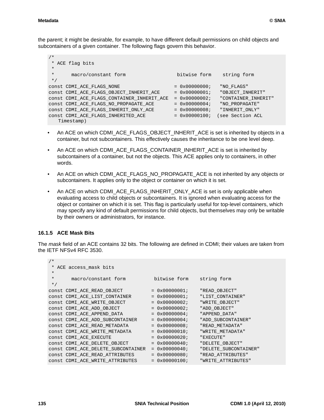```
/*
  * ACE flag bits
  * 
  * macro/constant form bitwise form string form
 */
const CDMI_ACE_FLAGS_NONE = 0x00000000; "NO_FLAGS"
const CDMI_ACE_FLAGS_OBJECT_INHERIT_ACE = 0x00000001; "OBJECT_INHERIT"
const CDMI_ACE_FLAGS_CONTAINER_INHERIT_ACE = 0x00000002; "CONTAINER_INHERIT"
const CDMI_ACE_FLAGS_NO_PROPAGATE_ACE = 0x00000004; "NO_PROPAGATE"
const CDMI_ACE_FLAGS_INHERIT_ONLY_ACE = 0x00000008; "INHERIT_ONLY"
const CDMI_ACE_FLAGS_INHERITED_ACE = 0x00000100; (see Section ACL 
  Timestamp)
```
- An ACE on which CDMI\_ACE\_FLAGS\_OBJECT\_INHERIT\_ACE is set is inherited by objects in a container, but not subcontainers. This effectively causes the inheritance to be one level deep.
- An ACE on which CDMI\_ACE\_FLAGS\_CONTAINER\_INHERIT\_ACE is set is inherited by subcontainers of a container, but not the objects. This ACE applies only to containers, in other words.
- An ACE on which CDMI\_ACE\_FLAGS\_NO\_PROPAGATE\_ACE is not inherited by any objects or subcontainers. It applies only to the object or container on which it is set.
- An ACE on which CDMI\_ACE\_FLAGS\_INHERIT\_ONLY\_ACE is set is only applicable when evaluating access to child objects or subcontainers. It is ignored when evaluating access for the object or container on which it is set. This flag is particularly useful for top-level containers, which may specify any kind of default permissions for child objects, but themselves may only be writable by their owners or administrators, for instance.

### **16.1.5 ACE Mask Bits**

The *mask* field of an ACE contains 32 bits. The following are defined in CDMI; their values are taken from the IETF NFSv4 RFC 3530.

| * ACE access mask bits             |  |  |                                                                                                                                                                                                                                                                                                                                         |  |  |  |
|------------------------------------|--|--|-----------------------------------------------------------------------------------------------------------------------------------------------------------------------------------------------------------------------------------------------------------------------------------------------------------------------------------------|--|--|--|
|                                    |  |  |                                                                                                                                                                                                                                                                                                                                         |  |  |  |
| macro/constant form                |  |  | string form                                                                                                                                                                                                                                                                                                                             |  |  |  |
|                                    |  |  |                                                                                                                                                                                                                                                                                                                                         |  |  |  |
| CONSt CDMI ACE READ OBJECT         |  |  | "READ OBJECT"                                                                                                                                                                                                                                                                                                                           |  |  |  |
| CONSt CDMI ACE LIST CONTAINER      |  |  | "LIST CONTAINER"                                                                                                                                                                                                                                                                                                                        |  |  |  |
| CONSt CDMI ACE WRITE OBJECT        |  |  | "WRITE OBJECT"                                                                                                                                                                                                                                                                                                                          |  |  |  |
| CONSt CDMI ACE ADD OBJECT          |  |  | "ADD OBJECT"                                                                                                                                                                                                                                                                                                                            |  |  |  |
| CONSt CDMI ACE APPEND DATA         |  |  | "APPEND DATA"                                                                                                                                                                                                                                                                                                                           |  |  |  |
| CONSt CDMI ACE ADD SUBCONTAINER    |  |  | "ADD SUBCONTAINER"                                                                                                                                                                                                                                                                                                                      |  |  |  |
| CONSt CDMI ACE READ METADATA       |  |  | "READ METADATA"                                                                                                                                                                                                                                                                                                                         |  |  |  |
| CONSt CDMI ACE WRITE METADATA      |  |  | "WRITE METADATA"                                                                                                                                                                                                                                                                                                                        |  |  |  |
| CONSt CDMI ACE EXECUTE             |  |  | "EXECUTE"                                                                                                                                                                                                                                                                                                                               |  |  |  |
| CONSt CDMI ACE DELETE OBJECT       |  |  | "DELETE OBJECT"                                                                                                                                                                                                                                                                                                                         |  |  |  |
| CONSt CDMI ACE DELETE SUBCONTAINER |  |  | "DELETE SUBCONTAINER"                                                                                                                                                                                                                                                                                                                   |  |  |  |
| CONSt CDMI ACE READ ATTRIBUTES     |  |  | "READ ATTRIBUTES"                                                                                                                                                                                                                                                                                                                       |  |  |  |
| CONSt CDMI ACE WRITE ATTRIBUTES    |  |  | "WRITE ATTRIBUTES"                                                                                                                                                                                                                                                                                                                      |  |  |  |
|                                    |  |  | bitwise form<br>$= 0 \times 00000001;$<br>$= 0 \times 00000001;$<br>$= 0x00000002;$<br>$= 0x00000002;$<br>$= 0 \times 000000004;$<br>$= 0 \times 000000004;$<br>$= 0x00000008;$<br>$= 0 \times 00000010;$<br>$= 0 \times 000000020;$<br>$= 0 \times 000000040;$<br>$= 0 \times 000000040;$<br>$= 0x00000080;$<br>$= 0 \times 00000100;$ |  |  |  |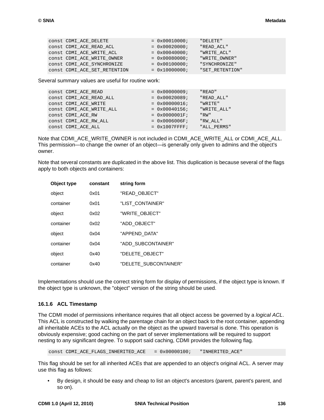| CONSt CDMI ACE DELETE        | $= 0 \times 00010000;$ | "DELETE"        |
|------------------------------|------------------------|-----------------|
| CONSt CDMI ACE READ ACL      | $= 0x00020000i$        | "READ ACL"      |
| CONSt CDMI ACE WRITE ACL     | $= 0 \times 00040000;$ | "WRITE ACL"     |
| CONSt CDMI ACE WRITE OWNER   | $= 0x00080000i$        | "WRITE OWNER"   |
| CONSt CDMI ACE SYNCHRONIZE   | $= 0 \times 00100000$  | "SYNCHRONIZE"   |
| CONSt CDMI ACE SET RETENTION | $= 0x10000000i$        | "SET RETENTION" |

Several summary values are useful for routine work:

| CONSt CDMI ACE READ      | $= 0x00000009;$  | "READ"      |
|--------------------------|------------------|-------------|
| CONSt CDMI ACE READ ALL  | $= 0x00020089;$  | "READ ALL"  |
| const CDMI ACE WRITE     | $= 0x00000016;$  | "WRITE"     |
| CONSt CDMI ACE WRITE ALL | $= 0x00040156;$  | "WRITE ALL" |
| CONSt CDMI ACE RW        | $= 0x0000001F$   | "RW"        |
| CONSt CDMI ACE RW ALL    | $= 0x0006006F;$  | "RW ALL"    |
| CONSt CDMI ACE ALL       | $= 0x1007$ FFFF; | "ALL PERMS" |
|                          |                  |             |

Note that CDMI\_ACE\_WRITE\_OWNER is not included in CDMI\_ACE\_WRITE\_ALL or CDMI\_ACE\_ALL. This permission—to change the owner of an object—is generally only given to admins and the object's owner.

Note that several constants are duplicated in the above list. This duplication is because several of the flags apply to both objects and containers:

| Object type | constant | string form           |
|-------------|----------|-----------------------|
| object      | 0x01     | "READ OBJECT"         |
| container   | 0x01     | "LIST CONTAINER"      |
| object      | 0x02     | "WRITE OBJECT"        |
| container   | 0x02     | "ADD_OBJECT"          |
| object      | 0x04     | "APPEND DATA"         |
| container   | 0x04     | "ADD SUBCONTAINER"    |
| object      | 0x40     | "DELETE OBJECT"       |
| container   | 0x40     | "DELETE SUBCONTAINER" |

Implementations should use the correct string form for display of permissions, if the object type is known. If the object type is unknown, the "object" version of the string should be used.

#### <span id="page-146-0"></span>**16.1.6 ACL Timestamp**

The CDMI model of permissions inheritance requires that all object access be governed by a *logical ACL*. This ACL is constructed by walking the parentage chain for an object back to the root container, appending all inheritable ACEs to the ACL actually on the object as the upward traversal is done. This operation is obviously expensive; good caching on the part of server implementations will be required to support nesting to any significant degree. To support said caching, CDMI provides the following flag.

const CDMI\_ACE\_FLAGS\_INHERITED\_ACE = 0x00000100; "INHERITED\_ACE"

This flag should be set for all inherited ACEs that are appended to an object's original ACL. A server may use this flag as follows:

• By design, it should be easy and cheap to list an object's ancestors (parent, parent's parent, and so on).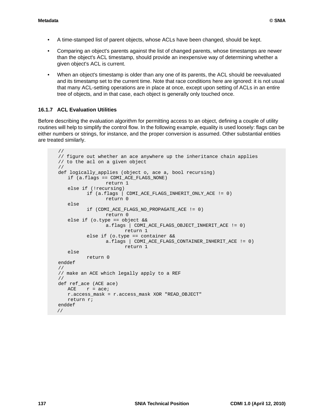- A time-stamped list of parent objects, whose ACLs have been changed, should be kept.
- Comparing an object's parents against the list of changed parents, whose timestamps are newer than the object's ACL timestamp, should provide an inexpensive way of determining whether a given object's ACL is current.
- When an object's timestamp is older than any one of its parents, the ACL should be reevaluated and its timestamp set to the current time. Note that race conditions here are ignored: it is not usual that many ACL-setting operations are in place at once, except upon setting of ACLs in an entire tree of objects, and in that case, each object is generally only touched once.

### **16.1.7 ACL Evaluation Utilities**

Before describing the evaluation algorithm for permitting access to an object, defining a couple of utility routines will help to simplify the control flow. In the following example, equality is used loosely: flags can be either numbers or strings, for instance, and the proper conversion is assumed. Other substantial entities are treated similarly.

```
//
// figure out whether an ace anywhere up the inheritance chain applies
// to the acl on a given object
//
def logically applies (object o, ace a, bool recursing)
   if (a.flags == CDMI_ACE_FLAGS_NONE)
                return 1
   else if (!recursing)
          if (a.flags | CDMI_ACE_FLAGS_INHERIT_ONLY_ACE != 0)
                return 0
   else 
          if (CDMI_ACE_FLAGS_NO_PROPAGATE_ACE != 0)
                return 0
    else if (o.type == object &&
                a.flags | CDMI_ACE_FLAGS_OBJECT_INHERIT_ACE != 0)
                      return 1
          else if (o.type == container &&
               a.flags | CDMI_ACE_FLAGS_CONTAINER_INHERIT_ACE != 0)
                      return 1
   else
          return 0
enddef
//
// make an ACE which legally apply to a REF
//
def ref_ace (ACE ace)
   ACE r = ace;
   r.access_mask = r.access_mask XOR "READ_OBJECT"
   return r;
enddef
 //
```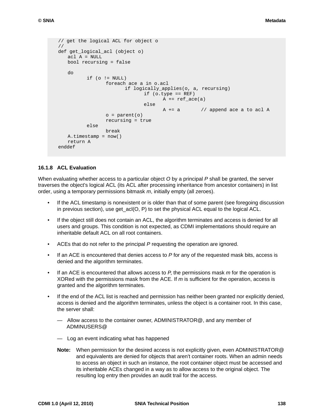```
// get the logical ACL for object o
//
def get_logical_acl (object o)
   acl A = NULL
   bool recursing = false
   do
         if (o != NULL)
               foreach ace a in o.acl
                      if logically_applies(o, a, recursing)
                            if (o.type == REF)
                                  A += ref\_ace(a)else
                                  A += a // append ace a to acl A
                o = parent(o)recursing = true
         else
                break
   A.timestamp = now()
   return A
enddef
```
#### **16.1.8 ACL Evaluation**

When evaluating whether access to a particular object *O* by a principal *P* shall be granted, the server traverses the object's logical ACL (its ACL after processing inheritance from ancestor containers) in list order, using a temporary permissions bitmask *m*, initially empty (all zeroes).

- If the ACL timestamp is nonexistent or is older than that of some parent (see foregoing discussion in previous section), use get\_acl(O, P) to set the physical ACL equal to the logical ACL.
- If the object still does not contain an ACL, the algorithm terminates and access is denied for all users and groups. This condition is not expected, as CDMI implementations should require an inheritable default ACL on all root containers.
- ACEs that do not refer to the principal *P* requesting the operation are ignored.
- If an ACE is encountered that denies access to *P* for any of the requested mask bits, access is denied and the algorithm terminates.
- If an ACE is encountered that allows access to *P*, the permissions mask *m* for the operation is XORed with the permissions mask from the ACE. If *m* is sufficient for the operation, access is granted and the algorithm terminates.
- If the end of the ACL list is reached and permission has neither been granted nor explicitly denied, access is denied and the algorithm terminates, unless the object is a container root. In this case, the server shall:
	- Allow access to the container owner, ADMINISTRATOR@, and any member of ADMINUSERS@
	- Log an event indicating what has happened
	- **Note:** When permission for the desired access is not explicitly given, even ADMINISTRATOR@ and equivalents are denied for objects that aren't container roots. When an admin needs to access an object in such an instance, the root container object must be accessed and its inheritable ACEs changed in a way as to allow access to the original object. The resulting log entry then provides an audit trail for the access.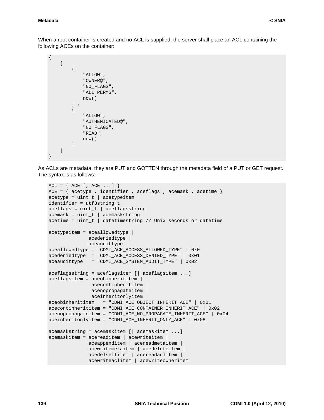#### **Metadata © SNIA**

When a root container is created and no ACL is supplied, the server shall place an ACL containing the following ACEs on the container:

```
{
     \Gamma {
                "ALLOW",
                 "OWNER@",
                 "NO_FLAGS",
                 "ALL_PERMS",
                now()
           } ,
            {
                "ALLOW",
                "AUTHENICATED@",
                 "NO_FLAGS",
                 "READ",
                now()
           } 
     \mathbf{I}}
```
As ACLs are metadata, they are PUT and GOTTEN through the metadata field of a PUT or GET request. The syntax is as follows:

```
ACL = \{ ACE[, ACE...] \}ACE = \{ acceptype, identifier, accepts, accflags, accmask, acctime\}acceptype = unit_t | acceptypeitemidentifier = utf8string_t
aceflags = unit_t | aceflagsstringacemask = uint_t | acemaskstring
acetime = uint_t | datetimestring // Unix seconds or datetime
acetypeitem = aceallowedtype |
              acedeniedtype |
               aceaudittype
aceallowedtype = "CDMI_ACE_ACCESS_ALLOWED_TYPE" | 0x0
acedeniedtype = "CDMI_ACE_ACCESS_DENIED_TYPE" | 0x01
aceaudittype = "CDMI_ACE_SYSTEM_AUDIT_TYPE" | 0x02
aceflagsstring = aceflagsitem [| aceflagsitem ...]
aceflagsitem = aceobinherititem |
                acecontinherititem |
                acenopropagateitem | 
                aceinheritonlyitem
aceobinherititem = "CDMI_ACE_OBJECT_INHERIT_ACE" | 0x01
acecontinherititem = "CDMI_ACE_CONTAINER_INHERIT_ACE" | 0x02
acenopropagateitem = "CDMI_ACE_NO_PROPAGATE_INHERIT_ACE" | 0x04
aceinheritonlyitem = "CDMI_ACE_INHERIT_ONLY_ACE" | 0x08
acemaskstring = acemaskitem [| acemaskitem ...]
acemaskitem = acereaditem | acewriteitem |
               aceappenditem | acereadmetaitem |
               acewritemetaitem | acedeleteitem |
               acedelselfitem | acereadaclitem |
               acewriteaclitem | acewriteowneritem
```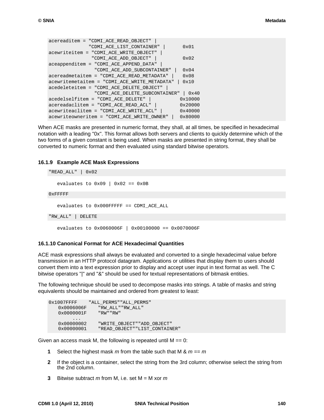```
acereaditem = "CDMI_ACE_READ_OBJECT" | 
              "CDMI_ACE_LIST_CONTAINER" | 0x01 
acewriteitem = "CDMI_ACE_WRITE_OBJECT" | 
               "CDMI_ACE_ADD_OBJECT" | 0x02 
aceappenditem = "CDMI_ACE_APPEND_DATA" | 
                "CDMI_ACE_ADD_SUBCONTAINER" | 0x04 
acereadmetaitem = "CDMI_ACE_READ_METADATA" | 0x08
acewritemetaitem = "CDMI_ACE_WRITE_METADATA" | 0x10
acedeleteitem = "CDMI_ACE_DELETE_OBJECT" | 
                "CDMI_ACE_DELETE_SUBCONTAINER" | 0x40 
acedelselfitem = "CDMI_ACE_DELETE" | 0x10000 
acereadaclitem = "CDMI_ACE_READ_ACL" | 0x20000 
acewriteaclitem = "CDMI_ACE_WRITE_ACL" | 0x40000 
acewriteowneritem = "CDMI_ACE_WRITE_OWNER" | 0x80000
```
When ACE masks are presented in numeric format, they shall, at all times, be specified in hexadecimal notation with a leading "0x". This format allows both servers and clients to quickly determine which of the two forms of a given constant is being used. When masks are presented in string format, they shall be converted to numeric format and then evaluated using standard bitwise operators.

#### **16.1.9 Example ACE Mask Expressions**

```
evaluates to 0x09 | 0x02 == 0x0Bevaluates to 0x000FFFFF == CDMI_ACE_ALL
   evaluates to 0x0060006F | 0x00100000 == 0x0070006F
"READ_ALL" | 0x02
0xFFFFF
"RW_ALL" | DELETE
```
#### **16.1.10 Canonical Format for ACE Hexadecimal Quantities**

ACE mask expressions shall always be evaluated and converted to a single hexadecimal value before transmission in an HTTP protocol datagram. Applications or utilities that display them to users should convert them into a text expression prior to display and accept user input in text format as well. The C bitwise operators "|" and "&" should be used for textual representations of bitmask entities.

The following technique should be used to decompose masks into strings. A table of masks and string equivalents should be maintained and ordered from greatest to least:

```
0x1007FFFF "ALL_PERMS""ALL_PERMS"
  0x0006006F "RW ALL" "RW ALL"
   0x0000001F "RW""RW"
    ...
   0x00000002 "WRITE_OBJECT""ADD_OBJECT"
   0x00000001 "READ_OBJECT""LIST_CONTAINER"
```
Given an access mask M, the following is repeated until  $M = 0$ :

- **1** Select the highest mask *m* from the table such that M & *m* == *m*
- **2** If the object is a container, select the string from the 3rd column; otherwise select the string from the 2nd column.
- **3** Bitwise subtract *m* from M, i.e. set M = M xor *m*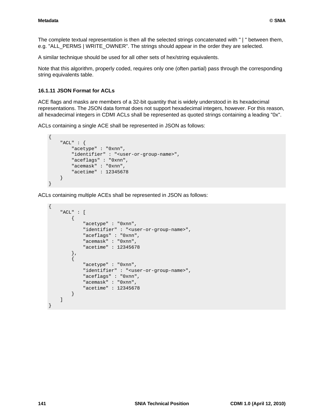The complete textual representation is then all the selected strings concatenated with " | " between them, e.g. "ALL\_PERMS | WRITE\_OWNER". The strings should appear in the order they are selected.

A similar technique should be used for all other sets of hex/string equivalents.

Note that this algorithm, properly coded, requires only one (often partial) pass through the corresponding string equivalents table.

#### **16.1.11 JSON Format for ACLs**

ACE flags and masks are members of a 32-bit quantity that is widely understood in its hexadecimal representations. The JSON data format does not support hexadecimal integers, however. For this reason, all hexadecimal integers in CDMI ACLs shall be represented as quoted strings containing a leading "0x".

ACLs containing a single ACE shall be represented in JSON as follows:

```
{
     "ACL" : {
         "acetype" : "0xnn",
         "identifier" : "<user-or-group-name>",
         "aceflags" : "0xnn",
         "acemask" : "0xnn",
         "acetime" : 12345678
     }
}
```
ACLs containing multiple ACEs shall be represented in JSON as follows:

```
{
     "ACL" : [
         {
             "acetype" : "0xnn",
              "identifier" : "<user-or-group-name>",
              "aceflags" : "0xnn",
              "acemask" : "0xnn",
             "acetime" : 12345678 
         },
          {
             "acetype" : "0xnn",
              "identifier" : "<user-or-group-name>",
              "aceflags" : "0xnn",
              "acemask" : "0xnn",
              "acetime" : 12345678 
         } 
     ]
}
```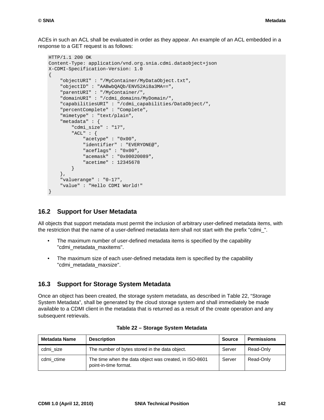ACEs in such an ACL shall be evaluated in order as they appear. An example of an ACL embedded in a response to a GET request is as follows:

```
HTTP/1.1 200 OK
Content-Type: application/vnd.org.snia.cdmi.dataobject+json
X-CDMI-Specification-Version: 1.0
{
     "objectURI" : "/MyContainer/MyDataObject.txt",
     "objectID" : "AABwbQAQb/ENV52Ai8a3MA==",
     "parentURI" : "/MyContainer/",
     "domainURI" : "/cdmi_domains/MyDomain/",
     "capabilitiesURI" : "/cdmi_capabilities/DataObject/",
     "percentComplete" : "Complete",
     "mimetype" : "text/plain",
     "metadata" : {
         "cdmi_size" : "17",
         "ACL" : {
             "acetype" : "0x00",
             "identifier" : "EVERYONE@",
              "aceflags" : "0x00",
              "acemask" : "0x00020089",
              "acetime" : 12345678 
         } 
     },
     "valuerange" : "0-17",
     "value" : "Hello CDMI World!" 
}
```
### **16.2 Support for User Metadata**

All objects that support metadata must permit the inclusion of arbitrary user-defined metadata items, with the restriction that the name of a user-defined metadata item shall not start with the prefix "cdmi\_".

- The maximum number of user-defined metadata items is specified by the capability "cdmi\_metadata\_maxitems".
- The maximum size of each user-defined metadata item is specified by the capability "cdmi\_metadata\_maxsize".

### **16.3 Support for Storage System Metadata**

Once an object has been created, the storage system metadata, as described in [Table 22, "Storage](#page-152-0)  [System Metadata"](#page-152-0), shall be generated by the cloud storage system and shall immediately be made available to a CDMI client in the metadata that is returned as a result of the create operation and any subsequent retrievals.

<span id="page-152-0"></span>

| <b>Metadata Name</b> | <b>Description</b>                                                              | <b>Source</b> | <b>Permissions</b> |
|----------------------|---------------------------------------------------------------------------------|---------------|--------------------|
| cdmi size            | The number of bytes stored in the data object.                                  | Server        | Read-Only          |
| cdmi ctime           | The time when the data object was created, in ISO-8601<br>point-in-time format. | Server        | Read-Only          |

| Table 22 - Storage System Metadata |  |  |  |
|------------------------------------|--|--|--|
|------------------------------------|--|--|--|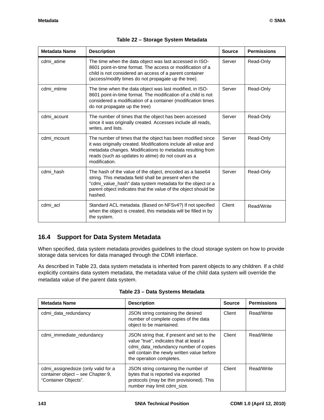| <b>Metadata Name</b> | <b>Description</b>                                                                                                                                                                                                                                                 | <b>Source</b> | <b>Permissions</b> |
|----------------------|--------------------------------------------------------------------------------------------------------------------------------------------------------------------------------------------------------------------------------------------------------------------|---------------|--------------------|
| cdmi_atime           | The time when the data object was last accessed in ISO-<br>8601 point-in-time format. The access or modification of a<br>child is not considered an access of a parent container<br>(access/modify times do not propagate up the tree).                            | Server        | Read-Only          |
| cdmi_mtime           | The time when the data object was last modified, in ISO-<br>8601 point-in-time format. The modification of a child is not<br>considered a modification of a container (modification times<br>do not propagate up the tree)                                         | Server        | Read-Only          |
| cdmi_acount          | The number of times that the object has been accessed<br>since it was originally created. Accesses include all reads,<br>writes, and lists.                                                                                                                        | Server        | Read-Only          |
| cdmi_mcount          | The number of times that the object has been modified since<br>it was originally created. Modifications include all value and<br>metadata changes. Modifications to metadata resulting from<br>reads (such as updates to atime) do not count as a<br>modification. | Server        | Read-Only          |
| cdmi_hash            | The hash of the value of the object, encoded as a base64<br>string. This metadata field shall be present when the<br>"cdmi_value_hash" data system metadata for the object or a<br>parent object indicates that the value of the object should be<br>hashed.       | Server        | Read-Only          |
| cdmi_acl             | Standard ACL metadata. (Based on NFSv4?) If not specified<br>when the object is created, this metadata will be filled in by<br>the system.                                                                                                                         | Client        | Read/Write         |

## **16.4 Support for Data System Metadata**

When specified, data system metadata provides guidelines to the cloud storage system on how to provide storage data services for data managed through the CDMI interface.

As described in [Table 23,](#page-153-0) data system metadata is inherited from parent objects to any children. If a child explicitly contains data system metadata, the metadata value of the child data system will override the metadata value of the parent data system.

<span id="page-153-0"></span>

| <b>Metadata Name</b>                                                                             | <b>Description</b>                                                                                                                                                                                         | <b>Source</b> | <b>Permissions</b> |
|--------------------------------------------------------------------------------------------------|------------------------------------------------------------------------------------------------------------------------------------------------------------------------------------------------------------|---------------|--------------------|
| cdmi_data_redundancy                                                                             | JSON string containing the desired<br>number of complete copies of the data<br>object to be maintained.                                                                                                    | Client        | Read/Write         |
| cdmi immediate redundancy                                                                        | JSON string that, if present and set to the<br>value "true", indicates that at least a<br>cdmi data redundancy number of copies<br>will contain the newly written value before<br>the operation completes. | Client        | Read/Write         |
| cdmi_assignedsize (only valid for a<br>container object - see Chapter 9,<br>"Container Objects". | JSON string containing the number of<br>bytes that is reported via exported<br>protocols (may be thin provisioned). This<br>number may limit cdmi_size.                                                    | Client        | Read/Write         |

**Table 23 – Data Systems Metadata**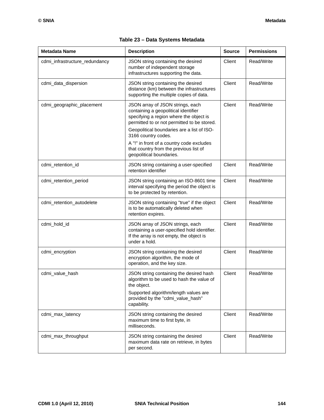| <b>Metadata Name</b>           | <b>Description</b>                                                                                                                                                                                                                                                                                                                                         | <b>Source</b> | <b>Permissions</b> |
|--------------------------------|------------------------------------------------------------------------------------------------------------------------------------------------------------------------------------------------------------------------------------------------------------------------------------------------------------------------------------------------------------|---------------|--------------------|
| cdmi_infrastructure_redundancy | JSON string containing the desired<br>number of independent storage<br>infrastructures supporting the data.                                                                                                                                                                                                                                                | Client        | Read/Write         |
| cdmi_data_dispersion           | JSON string containing the desired<br>distance (km) between the infrastructures<br>supporting the multiple copies of data.                                                                                                                                                                                                                                 | Client        | Read/Write         |
| cdmi_geographic_placement      | JSON array of JSON strings, each<br>containing a geopolitical identifier<br>specifying a region where the object is<br>permitted to or not permitted to be stored.<br>Geopolitical boundaries are a list of ISO-<br>3166 country codes.<br>A "!" in front of a country code excludes<br>that country from the previous list of<br>geopolitical boundaries. | Client        | Read/Write         |
| cdmi_retention_id              | JSON string containing a user-specified<br>retention identifier                                                                                                                                                                                                                                                                                            | Client        | Read/Write         |
| cdmi_retention_period          | JSON string containing an ISO-8601 time<br>interval specifying the period the object is<br>to be protected by retention.                                                                                                                                                                                                                                   | Client        | Read/Write         |
| cdmi_retention_autodelete      | JSON string containing "true" if the object<br>is to be automatically deleted when<br>retention expires.                                                                                                                                                                                                                                                   | Client        | Read/Write         |
| cdmi_hold_id                   | JSON array of JSON strings, each<br>containing a user-specified hold identifier.<br>If the array is not empty, the object is<br>under a hold.                                                                                                                                                                                                              | Client        | Read/Write         |
| cdmi_encryption                | JSON string containing the desired<br>encryption algorithm, the mode of<br>operation, and the key size.                                                                                                                                                                                                                                                    | Client        | Read/Write         |
| cdmi_value_hash                | JSON string containing the desired hash<br>algorithm to be used to hash the value of<br>the object.<br>Supported algorithm/length values are<br>provided by the "cdmi_value_hash"<br>capability.                                                                                                                                                           | Client        | Read/Write         |
| cdmi_max_latency               | JSON string containing the desired<br>maximum time to first byte, in<br>milliseconds.                                                                                                                                                                                                                                                                      | Client        | Read/Write         |
| cdmi_max_throughput            | JSON string containing the desired<br>maximum data rate on retrieve, in bytes<br>per second.                                                                                                                                                                                                                                                               | Client        | Read/Write         |

### **Table 23 – Data Systems Metadata**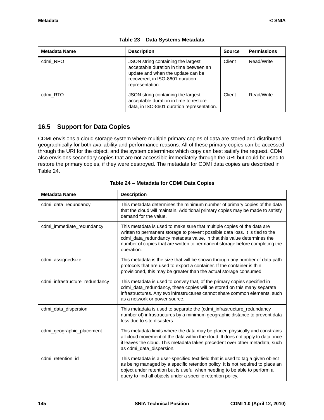| Metadata Name | <b>Description</b>                                                                                                                                                      | <b>Source</b> | <b>Permissions</b> |
|---------------|-------------------------------------------------------------------------------------------------------------------------------------------------------------------------|---------------|--------------------|
| cdmi RPO      | JSON string containing the largest<br>acceptable duration in time between an<br>update and when the update can be<br>recovered, in ISO-8601 duration<br>representation. | Client        | Read/Write         |
| cdmi RTO      | JSON string containing the largest<br>acceptable duration in time to restore<br>data, in ISO-8601 duration representation.                                              | Client        | Read/Write         |

#### **Table 23 – Data Systems Metadata**

## **16.5 Support for Data Copies**

CDMI envisions a cloud storage system where multiple primary copies of data are stored and distributed geographically for both availability and performance reasons. All of these primary copies can be accessed through the URI for the object, and the system determines which copy can best satisfy the request. CDMI also envisions secondary copies that are not accessible immediately through the URI but could be used to restore the primary copies, if they were destroyed. The metadata for CDMI data copies are described in [Table 24.](#page-155-0)

<span id="page-155-0"></span>

| <b>Metadata Name</b>           | <b>Description</b>                                                                                                                                                                                                                                                                                                               |
|--------------------------------|----------------------------------------------------------------------------------------------------------------------------------------------------------------------------------------------------------------------------------------------------------------------------------------------------------------------------------|
| cdmi_data_redundancy           | This metadata determines the minimum number of primary copies of the data<br>that the cloud will maintain. Additional primary copies may be made to satisfy<br>demand for the value.                                                                                                                                             |
| cdmi_immediate_redundancy      | This metadata is used to make sure that multiple copies of the data are<br>written to permanent storage to prevent possible data loss. It is tied to the<br>cdmi_data_redundancy metadata value, in that this value determines the<br>number of copies that are written to permanent storage before completing the<br>operation. |
| cdmi_assignedsize              | This metadata is the size that will be shown through any number of data path<br>protocols that are used to export a container. If the container is thin<br>provisioned, this may be greater than the actual storage consumed.                                                                                                    |
| cdmi_infrastructure_redundancy | This metadata is used to convey that, of the primary copies specified in<br>cdmi_data_redundancy, these copies will be stored on this many separate<br>infrastructures. Any two infrastructures cannot share common elements, such<br>as a network or power source.                                                              |
| cdmi_data_dispersion           | This metadata is used to separate the (cdmi_infrastructure_redundancy<br>number of) infrastructures by a minimum geographic distance to prevent data<br>loss due to site disasters.                                                                                                                                              |
| cdmi_geographic_placement      | This metadata limits where the data may be placed physically and constrains<br>all cloud movement of the data within the cloud. It does not apply to data once<br>it leaves the cloud. This metadata takes precedent over other metadata, such<br>as cdmi_data_dispersion.                                                       |
| cdmi_retention_id              | This metadata is a user-specified text field that is used to tag a given object<br>as being managed by a specific retention policy. It is not required to place an<br>object under retention but is useful when needing to be able to perform a<br>query to find all objects under a specific retention policy.                  |

#### **Table 24 – Metadata for CDMI Data Copies**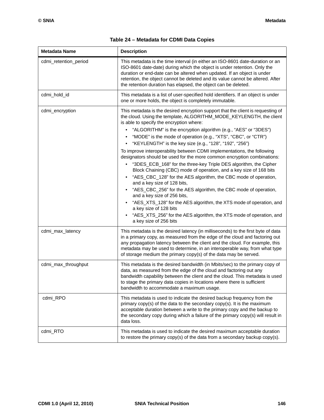| <b>Metadata Name</b>  | <b>Description</b>                                                                                                                                                                                                                                                                                                                                                                                                                                                                                                                                                                                                                                                                                                                                                                                                                                                                                                                                                                                                                                                                                                                                |
|-----------------------|---------------------------------------------------------------------------------------------------------------------------------------------------------------------------------------------------------------------------------------------------------------------------------------------------------------------------------------------------------------------------------------------------------------------------------------------------------------------------------------------------------------------------------------------------------------------------------------------------------------------------------------------------------------------------------------------------------------------------------------------------------------------------------------------------------------------------------------------------------------------------------------------------------------------------------------------------------------------------------------------------------------------------------------------------------------------------------------------------------------------------------------------------|
| cdmi_retention_period | This metadata is the time interval (in either an ISO-8601 date-duration or an<br>ISO-8601 date-date) during which the object is under retention. Only the<br>duration or end-date can be altered when updated. If an object is under<br>retention, the object cannot be deleted and its value cannot be altered. After<br>the retention duration has elapsed, the object can be deleted.                                                                                                                                                                                                                                                                                                                                                                                                                                                                                                                                                                                                                                                                                                                                                          |
| cdmi_hold_id          | This metadata is a list of user-specified hold identifiers. If an object is under<br>one or more holds, the object is completely immutable.                                                                                                                                                                                                                                                                                                                                                                                                                                                                                                                                                                                                                                                                                                                                                                                                                                                                                                                                                                                                       |
| cdmi_encryption       | This metadata is the desired encryption support that the client is requesting of<br>the cloud. Using the template, ALGORITHM_MODE_KEYLENGTH, the client<br>is able to specify the encryption where:<br>"ALGORITHM" is the encryption algorithm (e.g., "AES" or "3DES")<br>"MODE" is the mode of operation (e.g., "XTS", "CBC", or "CTR")<br>$\bullet$<br>"KEYLENGTH" is the key size (e.g., "128", "192", "256")<br>$\bullet$<br>To improve interoperability between CDMI implementations, the following<br>designators should be used for the more common encryption combinations:<br>"3DES_ECB_168" for the three-key Triple DES algorithm, the Cipher<br>Block Chaining (CBC) mode of operation, and a key size of 168 bits<br>"AES_CBC_128" for the AES algorithm, the CBC mode of operation,<br>$\bullet$<br>and a key size of 128 bits,<br>"AES_CBC_256" for the AES algorithm, the CBC mode of operation,<br>and a key size of 256 bits,<br>"AES_XTS_128" for the AES algorithm, the XTS mode of operation, and<br>a key size of 128 bits<br>"AES_XTS_256" for the AES algorithm, the XTS mode of operation, and<br>a key size of 256 bits |
| cdmi_max_latency      | This metadata is the desired latency (in milliseconds) to the first byte of data<br>in a primary copy, as measured from the edge of the cloud and factoring out<br>any propagation latency between the client and the cloud. For example, this<br>metadata may be used to determine, in an interoperable way, from what type<br>of storage medium the primary copy(s) of the data may be served.                                                                                                                                                                                                                                                                                                                                                                                                                                                                                                                                                                                                                                                                                                                                                  |
| cdmi_max_throughput   | This metadata is the desired bandwidth (in Mbits/sec) to the primary copy of<br>data, as measured from the edge of the cloud and factoring out any<br>bandwidth capability between the client and the cloud. This metadata is used<br>to stage the primary data copies in locations where there is sufficient<br>bandwidth to accommodate a maximum usage.                                                                                                                                                                                                                                                                                                                                                                                                                                                                                                                                                                                                                                                                                                                                                                                        |
| cdmi_RPO              | This metadata is used to indicate the desired backup frequency from the<br>primary copy(s) of the data to the secondary copy(s). It is the maximum<br>acceptable duration between a write to the primary copy and the backup to<br>the secondary copy during which a failure of the primary copy(s) will result in<br>data loss.                                                                                                                                                                                                                                                                                                                                                                                                                                                                                                                                                                                                                                                                                                                                                                                                                  |
| cdmi_RTO              | This metadata is used to indicate the desired maximum acceptable duration<br>to restore the primary copy(s) of the data from a secondary backup copy(s).                                                                                                                                                                                                                                                                                                                                                                                                                                                                                                                                                                                                                                                                                                                                                                                                                                                                                                                                                                                          |

| Table 24 - Metadata for CDMI Data Copies |  |  |  |  |  |
|------------------------------------------|--|--|--|--|--|
|------------------------------------------|--|--|--|--|--|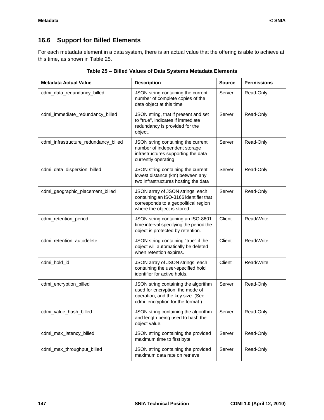## **16.6 Support for Billed Elements**

For each metadata element in a data system, there is an actual value that the offering is able to achieve at this time, as shown in [Table 25](#page-157-0).

<span id="page-157-0"></span>

| <b>Metadata Actual Value</b>          | <b>Description</b>                                                                                                                                | <b>Source</b> | <b>Permissions</b> |
|---------------------------------------|---------------------------------------------------------------------------------------------------------------------------------------------------|---------------|--------------------|
| cdmi_data_redundancy_billed           | JSON string containing the current<br>number of complete copies of the<br>data object at this time                                                | Server        | Read-Only          |
| cdmi_immediate_redundancy_billed      | JSON string, that if present and set<br>to "true", indicates if immediate<br>redundancy is provided for the<br>object.                            | Server        | Read-Only          |
| cdmi_infrastructure_redundancy_billed | JSON string containing the current<br>number of independent storage<br>infrastructures supporting the data<br>currently operating                 | Server        | Read-Only          |
| cdmi_data_dispersion_billed           | JSON string containing the current<br>lowest distance (km) between any<br>two infrastructures hosting the data                                    | Server        | Read-Only          |
| cdmi_geographic_placement_billed      | JSON array of JSON strings, each<br>containing an ISO-3166 identifier that<br>corresponds to a geopolitical region<br>where the object is stored. | Server        | Read-Only          |
| cdmi_retention_period                 | JSON string containing an ISO-8601<br>time interval specifying the period the<br>object is protected by retention.                                | Client        | Read/Write         |
| cdmi_retention_autodelete             | JSON string containing "true" if the<br>object will automatically be deleted<br>when retention expires.                                           | Client        | Read/Write         |
| cdmi_hold_id                          | JSON array of JSON strings, each<br>containing the user-specified hold<br>identifier for active holds.                                            | Client        | Read/Write         |
| cdmi_encryption_billed                | JSON string containing the algorithm<br>used for encryption, the mode of<br>operation, and the key size. (See<br>cdmi_encryption for the format.) | Server        | Read-Only          |
| cdmi_value_hash_billed                | JSON string containing the algorithm<br>and length being used to hash the<br>object value.                                                        | Server        | Read-Only          |
| cdmi_max_latency_billed               | JSON string containing the provided<br>maximum time to first byte                                                                                 | Server        | Read-Only          |
| cdmi_max_throughput_billed            | JSON string containing the provided<br>maximum data rate on retrieve                                                                              | Server        | Read-Only          |

| Table 25 - Billed Values of Data Systems Metadata Elements |  |  |  |  |  |  |  |
|------------------------------------------------------------|--|--|--|--|--|--|--|
|------------------------------------------------------------|--|--|--|--|--|--|--|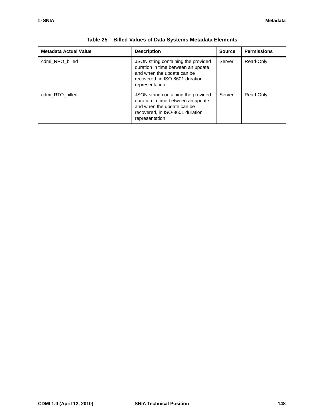| <b>Metadata Actual Value</b> | <b>Description</b>                                                                                                                                            | <b>Source</b> | <b>Permissions</b> |
|------------------------------|---------------------------------------------------------------------------------------------------------------------------------------------------------------|---------------|--------------------|
| cdmi RPO billed              | JSON string containing the provided<br>duration in time between an update<br>and when the update can be<br>recovered, in ISO-8601 duration<br>representation. | Server        | Read-Only          |
| cdmi_RTO_billed              | JSON string containing the provided<br>duration in time between an update<br>and when the update can be<br>recovered, in ISO-8601 duration<br>representation. | Server        | Read-Only          |

| Table 25 - Billed Values of Data Systems Metadata Elements |  |  |  |  |  |
|------------------------------------------------------------|--|--|--|--|--|
|------------------------------------------------------------|--|--|--|--|--|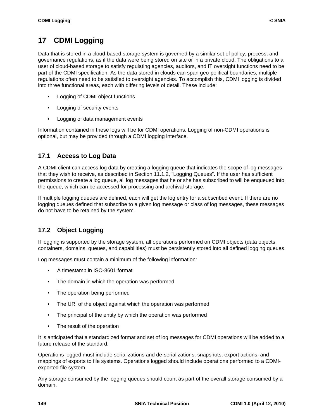# **17 CDMI Logging**

Data that is stored in a cloud-based storage system is governed by a similar set of policy, process, and governance regulations, as if the data were being stored on site or in a private cloud. The obligations to a user of cloud-based storage to satisfy regulating agencies, auditors, and IT oversight functions need to be part of the CDMI specification. As the data stored in clouds can span geo-political boundaries, multiple regulations often need to be satisfied to oversight agencies. To accomplish this, CDMI logging is divided into three functional areas, each with differing levels of detail. These include:

- Logging of CDMI object functions
- Logging of security events
- Logging of data management events

Information contained in these logs will be for CDMI operations. Logging of non-CDMI operations is optional, but may be provided through a CDMI logging interface.

## **17.1 Access to Log Data**

A CDMI client can access log data by creating a logging queue that indicates the scope of log messages that they wish to receive, as described in [Section 11.1.2, "Logging Queues"](#page-104-0). If the user has sufficient permissions to create a log queue, all log messages that he or she has subscribed to will be enqueued into the queue, which can be accessed for processing and archival storage.

If multiple logging queues are defined, each will get the log entry for a subscribed event. If there are no logging queues defined that subscribe to a given log message or class of log messages, these messages do not have to be retained by the system.

## **17.2 Object Logging**

If logging is supported by the storage system, all operations performed on CDMI objects (data objects, containers, domains, queues, and capabilities) must be persistently stored into all defined logging queues.

Log messages must contain a minimum of the following information:

- A timestamp in ISO-8601 format
- The domain in which the operation was performed
- The operation being performed
- The URI of the object against which the operation was performed
- The principal of the entity by which the operation was performed
- The result of the operation

It is anticipated that a standardized format and set of log messages for CDMI operations will be added to a future release of the standard.

Operations logged must include serializations and de-serializations, snapshots, export actions, and mappings of exports to file systems. Operations logged should include operations performed to a CDMIexported file system.

Any storage consumed by the logging queues should count as part of the overall storage consumed by a domain.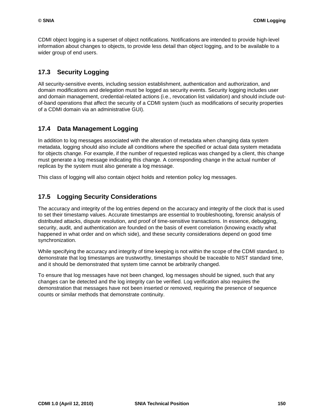CDMI object logging is a superset of object notifications. Notifications are intended to provide high-level information about changes to objects, to provide less detail than object logging, and to be available to a wider group of end users.

### **17.3 Security Logging**

All security-sensitive events, including session establishment, authentication and authorization, and domain modifications and delegation must be logged as security events. Security logging includes user and domain management, credential-related actions (i.e., revocation list validation) and should include outof-band operations that affect the security of a CDMI system (such as modifications of security properties of a CDMI domain via an administrative GUI).

### **17.4 Data Management Logging**

In addition to log messages associated with the alteration of metadata when changing data system metadata, logging should also include all conditions where the specified or actual data system metadata for objects change. For example, if the number of requested replicas was changed by a client, this change must generate a log message indicating this change. A corresponding change in the actual number of replicas by the system must also generate a log message.

This class of logging will also contain object holds and retention policy log messages.

### **17.5 Logging Security Considerations**

The accuracy and integrity of the log entries depend on the accuracy and integrity of the clock that is used to set their timestamp values. Accurate timestamps are essential to troubleshooting, forensic analysis of distributed attacks, dispute resolution, and proof of time-sensitive transactions. In essence, debugging, security, audit, and authentication are founded on the basis of event correlation (knowing exactly what happened in what order and on which side), and these security considerations depend on good time synchronization.

While specifying the accuracy and integrity of time keeping is not within the scope of the CDMI standard, to demonstrate that log timestamps are trustworthy, timestamps should be traceable to NIST standard time, and it should be demonstrated that system time cannot be arbitrarily changed.

To ensure that log messages have not been changed, log messages should be signed, such that any changes can be detected and the log integrity can be verified. Log verification also requires the demonstration that messages have not been inserted or removed, requiring the presence of sequence counts or similar methods that demonstrate continuity.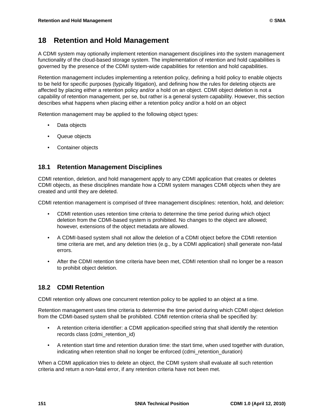# **18 Retention and Hold Management**

A CDMI system may optionally implement retention management disciplines into the system management functionality of the cloud-based storage system. The implementation of retention and hold capabilities is governed by the presence of the CDMI system-wide capabilities for retention and hold capabilities.

Retention management includes implementing a retention policy, defining a hold policy to enable objects to be held for specific purposes (typically litigation), and defining how the rules for deleting objects are affected by placing either a retention policy and/or a hold on an object. CDMI object deletion is not a capability of retention management, per se, but rather is a general system capability. However, this section describes what happens when placing either a retention policy and/or a hold on an object

Retention management may be applied to the following object types:

- Data objects
- Queue objects
- Container objects

### **18.1 Retention Management Disciplines**

CDMI retention, deletion, and hold management apply to any CDMI application that creates or deletes CDMI objects, as these disciplines mandate how a CDMI system manages CDMI objects when they are created and until they are deleted.

CDMI retention management is comprised of three management disciplines: retention, hold, and deletion:

- CDMI retention uses retention time criteria to determine the time period during which object deletion from the CDMI-based system is prohibited. No changes to the object are allowed; however, extensions of the object metadata are allowed.
- A CDMI-based system shall not allow the deletion of a CDMI object before the CDMI retention time criteria are met, and any deletion tries (e.g., by a CDMI application) shall generate non-fatal errors.
- After the CDMI retention time criteria have been met, CDMI retention shall no longer be a reason to prohibit object deletion.

## **18.2 CDMI Retention**

CDMI retention only allows one concurrent retention policy to be applied to an object at a time.

Retention management uses time criteria to determine the time period during which CDMI object deletion from the CDMI-based system shall be prohibited. CDMI retention criteria shall be specified by:

- A retention criteria identifier: a CDMI application-specified string that shall identify the retention records class (cdmi\_retention\_id)
- A retention start time and retention duration time: the start time, when used together with duration, indicating when retention shall no longer be enforced (cdmi retention duration)

When a CDMI application tries to delete an object, the CDMI system shall evaluate all such retention criteria and return a non-fatal error, if any retention criteria have not been met.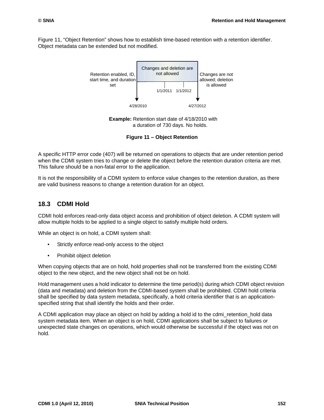[Figure 11, "Object Retention"](#page-162-0) shows how to establish time-based retention with a retention identifier. Object metadata can be extended but not modified.



**Example:** Retention start date of 4/18/2010 with a duration of 730 days. No holds.

**Figure 11 – Object Retention**

<span id="page-162-0"></span>A specific HTTP error code (407) will be returned on operations to objects that are under retention period when the CDMI system tries to change or delete the object before the retention duration criteria are met. This failure should be a non-fatal error to the application.

It is not the responsibility of a CDMI system to enforce value changes to the retention duration, as there are valid business reasons to change a retention duration for an object.

### **18.3 CDMI Hold**

CDMI hold enforces read-only data object access and prohibition of object deletion. A CDMI system will allow multiple holds to be applied to a single object to satisfy multiple hold orders.

While an object is on hold, a CDMI system shall:

- Strictly enforce read-only access to the object
- Prohibit object deletion

When copying objects that are on hold, hold properties shall not be transferred from the existing CDMI object to the new object, and the new object shall not be on hold.

Hold management uses a hold indicator to determine the time period(s) during which CDMI object revision (data and metadata) and deletion from the CDMI-based system shall be prohibited. CDMI hold criteria shall be specified by data system metadata, specifically, a hold criteria identifier that is an applicationspecified string that shall identify the holds and their order.

A CDMI application may place an object on hold by adding a hold id to the cdmi\_retention\_hold data system metadata item. When an object is on hold, CDMI applications shall be subject to failures or unexpected state changes on operations, which would otherwise be successful if the object was not on hold.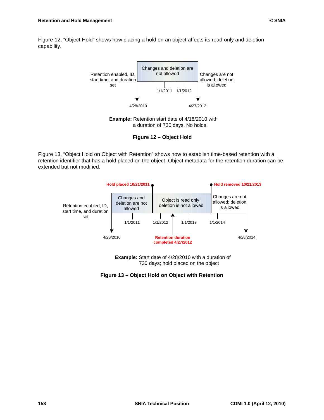[Figure 12, "Object Hold"](#page-163-0) shows how placing a hold on an object affects its read-only and deletion capability.



**Example:** Retention start date of 4/18/2010 with a duration of 730 days. No holds.

**Figure 12 – Object Hold**

<span id="page-163-0"></span>[Figure 13, "Object Hold on Object with Retention"](#page-163-1) shows how to establish time-based retention with a retention identifier that has a hold placed on the object. Object metadata for the retention duration can be extended but not modified.



**Example:** Start date of 4/28/2010 with a duration of 730 days; hold placed on the object

<span id="page-163-1"></span>**Figure 13 – Object Hold on Object with Retention**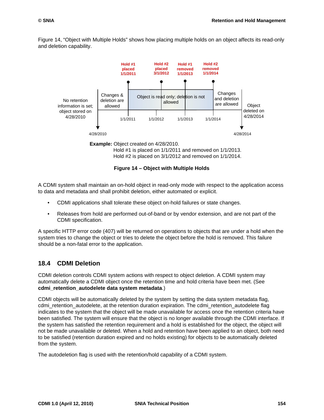[Figure 14, "Object with Multiple Holds"](#page-164-0) shows how placing multiple holds on an object affects its read-only and deletion capability.



Hold #2 is placed on 3/1/2012 and removed on 1/1/2014.

**Figure 14 – Object with Multiple Holds**

<span id="page-164-0"></span>A CDMI system shall maintain an on-hold object in read-only mode with respect to the application access to data and metadata and shall prohibit deletion, either automated or explicit.

- CDMI applications shall tolerate these object on-hold failures or state changes.
- Releases from hold are performed out-of-band or by vendor extension, and are not part of the CDMI specification.

A specific HTTP error code (407) will be returned on operations to objects that are under a hold when the system tries to change the object or tries to delete the object before the hold is removed. This failure should be a non-fatal error to the application.

### **18.4 CDMI Deletion**

CDMI deletion controls CDMI system actions with respect to object deletion. A CDMI system may automatically delete a CDMI object once the retention time and hold criteria have been met. (See **cdmi\_retention\_autodelete data system metadata**.)

CDMI objects will be automatically deleted by the system by setting the data system metadata flag, cdmi\_retention\_autodelete, at the retention duration expiration. The cdmi\_retention\_autodelete flag indicates to the system that the object will be made unavailable for access once the retention criteria have been satisfied. The system will ensure that the object is no longer available through the CDMI interface. If the system has satisfied the retention requirement and a hold is established for the object, the object will not be made unavailable or deleted. When a hold and retention have been applied to an object, both need to be satisfied (retention duration expired and no holds existing) for objects to be automatically deleted from the system.

The autodeletion flag is used with the retention/hold capability of a CDMI system.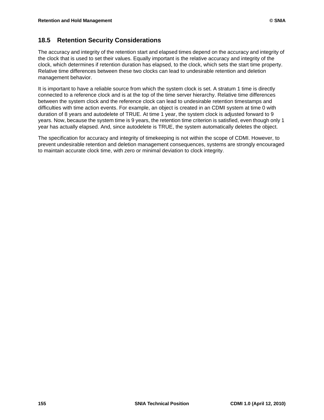### **18.5 Retention Security Considerations**

The accuracy and integrity of the retention start and elapsed times depend on the accuracy and integrity of the clock that is used to set their values. Equally important is the relative accuracy and integrity of the clock, which determines if retention duration has elapsed, to the clock, which sets the start time property. Relative time differences between these two clocks can lead to undesirable retention and deletion management behavior.

It is important to have a reliable source from which the system clock is set. A stratum 1 time is directly connected to a reference clock and is at the top of the time server hierarchy. Relative time differences between the system clock and the reference clock can lead to undesirable retention timestamps and difficulties with time action events. For example, an object is created in an CDMI system at time 0 with duration of 8 years and autodelete of TRUE. At time 1 year, the system clock is adjusted forward to 9 years. Now, because the system time is 9 years, the retention time criterion is satisfied, even though only 1 year has actually elapsed. And, since autodelete is TRUE, the system automatically deletes the object.

The specification for accuracy and integrity of timekeeping is not within the scope of CDMI. However, to prevent undesirable retention and deletion management consequences, systems are strongly encouraged to maintain accurate clock time, with zero or minimal deviation to clock integrity.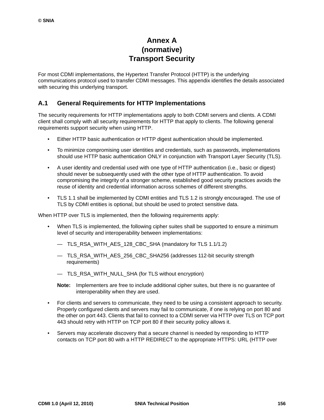# **Annex A (normative) Transport Security**

For most CDMI implementations, the Hypertext Transfer Protocol (HTTP) is the underlying communications protocol used to transfer CDMI messages. This appendix identifies the details associated with securing this underlying transport.

### **A.1 General Requirements for HTTP Implementations**

The security requirements for HTTP implementations apply to both CDMI servers and clients. A CDMI client shall comply with all security requirements for HTTP that apply to clients. The following general requirements support security when using HTTP.

- Either HTTP basic authentication or HTTP digest authentication should be implemented.
- To minimize compromising user identities and credentials, such as passwords, implementations should use HTTP basic authentication ONLY in conjunction with Transport Layer Security (TLS).
- A user identity and credential used with one type of HTTP authentication (i.e., basic or digest) should never be subsequently used with the other type of HTTP authentication. To avoid compromising the integrity of a stronger scheme, established good security practices avoids the reuse of identity and credential information across schemes of different strengths.
- TLS 1.1 shall be implemented by CDMI entities and TLS 1.2 is strongly encouraged. The use of TLS by CDMI entities is optional, but should be used to protect sensitive data.

When HTTP over TLS is implemented, then the following requirements apply:

- When TLS is implemented, the following cipher suites shall be supported to ensure a minimum level of security and interoperability between implementations:
	- TLS\_RSA\_WITH\_AES\_128\_CBC\_SHA (mandatory for TLS 1.1/1.2)
	- TLS\_RSA\_WITH\_AES\_256\_CBC\_SHA256 (addresses 112-bit security strength requirements)
	- TLS\_RSA\_WITH\_NULL\_SHA (for TLS without encryption)
	- **Note:** Implementers are free to include additional cipher suites, but there is no guarantee of interoperability when they are used.
- For clients and servers to communicate, they need to be using a consistent approach to security. Properly configured clients and servers may fail to communicate, if one is relying on port 80 and the other on port 443. Clients that fail to connect to a CDMI server via HTTP over TLS on TCP port 443 should retry with HTTP on TCP port 80 if their security policy allows it.
- Servers may accelerate discovery that a secure channel is needed by responding to HTTP contacts on TCP port 80 with a HTTP REDIRECT to the appropriate HTTPS: URL (HTTP over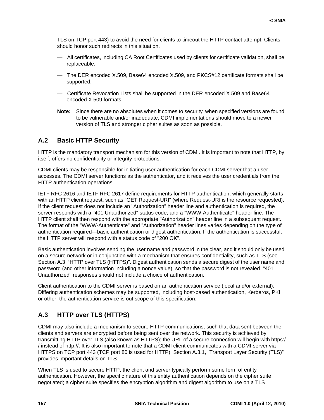TLS on TCP port 443) to avoid the need for clients to timeout the HTTP contact attempt. Clients should honor such redirects in this situation.

- All certificates, including CA Root Certificates used by clients for certificate validation, shall be replaceable.
- The DER encoded X.509, Base64 encoded X.509, and PKCS#12 certificate formats shall be supported.
- Certificate Revocation Lists shall be supported in the DER encoded X.509 and Base64 encoded X.509 formats.
- **Note:** Since there are no absolutes when it comes to security, when specified versions are found to be vulnerable and/or inadequate, CDMI implementations should move to a newer version of TLS and stronger cipher suites as soon as possible.

### **A.2 Basic HTTP Security**

HTTP is the mandatory transport mechanism for this version of CDMI. It is important to note that HTTP, by itself, offers no confidentiality or integrity protections.

CDMI clients may be responsible for initiating user authentication for each CDMI server that a user accesses. The CDMI server functions as the authenticator, and it receives the user credentials from the HTTP authentication operations.

IETF RFC 2616 and IETF RFC 2617 define requirements for HTTP authentication, which generally starts with an HTTP client request, such as "GET Request-URI" (where Request-URI is the resource requested). If the client request does not include an "Authorization" header line and authentication is required, the server responds with a "401 Unauthorized" status code, and a "WWW-Authenticate" header line. The HTTP client shall then respond with the appropriate "Authorization" header line in a subsequent request. The format of the "WWW-Authenticate" and "Authorization" header lines varies depending on the type of authentication required—basic authentication or digest authentication. If the authentication is successful, the HTTP server will respond with a status code of "200 OK".

Basic authentication involves sending the user name and password in the clear, and it should only be used on a secure network or in conjunction with a mechanism that ensures confidentiality, such as TLS (see [Section A.3, "HTTP over TLS \(HTTPS\)"](#page-167-0). Digest authentication sends a secure digest of the user name and password (and other information including a nonce value), so that the password is not revealed. "401 Unauthorized" responses should not include a choice of authentication.

Client authentication to the CDMI server is based on an authentication service (local and/or external). Differing authentication schemes may be supported, including host-based authentication, Kerberos, PKI, or other; the authentication service is out scope of this specification.

## <span id="page-167-0"></span>**A.3 HTTP over TLS (HTTPS)**

CDMI may also include a mechanism to secure HTTP communications, such that data sent between the clients and servers are encrypted before being sent over the network. This security is achieved by transmitting HTTP over TLS (also known as HTTPS); the URL of a secure connection will begin with https:/ / instead of http://. It is also important to note that a CDMI client communicates with a CDMI server via HTTPS on TCP port 443 (TCP port 80 is used for HTTP). [Section A.3.1, "Transport Layer Security \(TLS\)"](#page-168-0) provides important details on TLS.

When TLS is used to secure HTTP, the client and server typically perform some form of entity authentication. However, the specific nature of this entity authentication depends on the cipher suite negotiated; a cipher suite specifies the encryption algorithm and digest algorithm to use on a TLS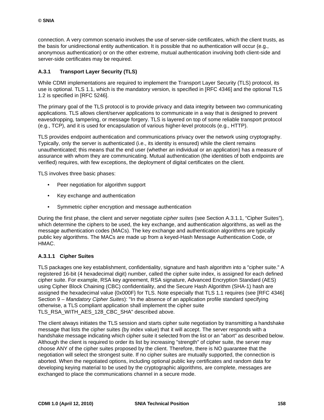connection. A very common scenario involves the use of server-side certificates, which the client trusts, as the basis for unidirectional entity authentication. It is possible that no authentication will occur (e.g., anonymous authentication) or on the other extreme, mutual authentication involving both client-side and server-side certificates may be required.

### <span id="page-168-0"></span>**A.3.1 Transport Layer Security (TLS)**

While CDMI implementations are required to implement the Transport Layer Security (TLS) protocol, its use is optional. TLS 1.1, which is the mandatory version, is specified in [RFC 4346] and the optional TLS 1.2 is specified in [RFC 5246].

The primary goal of the TLS protocol is to provide privacy and data integrity between two communicating applications. TLS allows client/server applications to communicate in a way that is designed to prevent eavesdropping, tampering, or message forgery. TLS is layered on top of some reliable transport protocol (e.g., TCP), and it is used for encapsulation of various higher-level protocols (e.g., HTTP).

TLS provides endpoint authentication and communications privacy over the network using cryptography. Typically, only the server is authenticated (i.e., its identity is ensured) while the client remains unauthenticated; this means that the end user (whether an individual or an application) has a measure of assurance with whom they are communicating. Mutual authentication (the identities of both endpoints are verified) requires, with few exceptions, the deployment of digital certificates on the client.

TLS involves three basic phases:

- Peer negotiation for algorithm support
- Key exchange and authentication
- Symmetric cipher encryption and message authentication

During the first phase, the client and server negotiate *cipher suites* (see Section A.3.1.1, "Cipher Suites"), which determine the ciphers to be used, the key exchange, and authentication algorithms, as well as the message authentication codes (MACs). The key exchange and authentication algorithms are typically public key algorithms. The MACs are made up from a keyed-Hash Message Authentication Code, or HMAC.

### **A.3.1.1 Cipher Suites**

TLS packages one key establishment, confidentiality, signature and hash algorithm into a "cipher suite." A registered 16-bit (4 hexadecimal digit) number, called the cipher suite index, is assigned for each defined cipher suite. For example, RSA key agreement, RSA signature, Advanced Encryption Standard (AES) using Cipher Block Chaining (CBC) confidentiality, and the Secure Hash Algorithm (SHA-1) hash are assigned the hexadecimal value {0x000F} for TLS. Note especially that TLS 1.1 requires (see [RFC 4346] Section 9 – *Mandatory Cipher Suites*): "In the absence of an application profile standard specifying otherwise, a TLS compliant application shall implement the cipher suite TLS\_RSA\_WITH\_AES\_128\_CBC\_SHA" described above.

The client always initiates the TLS session and starts cipher suite negotiation by transmitting a handshake message that lists the cipher suites (by index value) that it will accept. The server responds with a handshake message indicating which cipher suite it selected from the list or an "abort" as described below. Although the client is required to order its list by increasing "strength" of cipher suite, the server may choose ANY of the cipher suites proposed by the client. Therefore, there is NO guarantee that the negotiation will select the strongest suite. If no cipher suites are mutually supported, the connection is aborted. When the negotiated options, including optional public key certificates and random data for developing keying material to be used by the cryptographic algorithms, are complete, messages are exchanged to place the communications channel in a secure mode.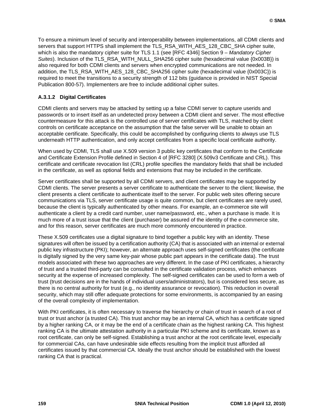To ensure a minimum level of security and interoperability between implementations, all CDMI clients and servers that support HTTPS shall implement the TLS\_RSA\_WITH\_AES\_128\_CBC\_SHA cipher suite, which is also the mandatory cipher suite for TLS 1.1 (see [RFC 4346] Section 9 – *Mandatory Cipher Suites*). Inclusion of the TLS\_RSA\_WITH\_NULL\_SHA256 cipher suite (hexadecimal value {0x003B}) is also required for both CDMI clients and servers when encrypted communications are not needed. In addition, the TLS\_RSA\_WITH\_AES\_128\_CBC\_SHA256 cipher suite (hexadecimal value {0x003C}) is required to meet the transitions to a security strength of 112 bits (guidance is provided in NIST Special Publication 800-57). Implementers are free to include additional cipher suites.

### **A.3.1.2 Digital Certificates**

CDMI clients and servers may be attacked by setting up a false CDMI server to capture userids and passwords or to insert itself as an undetected proxy between a CDMI client and server. The most effective countermeasure for this attack is the controlled use of server certificates with TLS, matched by client controls on certificate acceptance on the assumption that the false server will be unable to obtain an acceptable certificate. Specifically, this could be accomplished by configuring clients to always use TLS underneath HTTP authentication, and only accept certificates from a specific local certificate authority.

When used by CDMI, TLS shall use X.509 version 3 public key certificates that conform to the Certificate and Certificate Extension Profile defined in Section 4 of [RFC 3280] (X.509v3 Certificate and CRL). This certificate and certificate revocation list (CRL) profile specifies the mandatory fields that shall be included in the certificate, as well as optional fields and extensions that may be included in the certificate.

Server certificates shall be supported by all CDMI servers, and client certificates may be supported by CDMI clients. The server presents a server certificate to authenticate the server to the client; likewise, the client presents a client certificate to authenticate itself to the server. For public web sites offering secure communications via TLS, server certificate usage is quite common, but client certificates are rarely used, because the client is typically authenticated by other means. For example, an e-commerce site will authenticate a client by a credit card number, user name/password, etc., when a purchase is made. It is much more of a trust issue that the client (purchaser) be assured of the identity of the e-commerce site, and for this reason, server certificates are much more commonly encountered in practice.

These X.509 certificates use a digital signature to bind together a public key with an identity. These signatures will often be issued by a certification authority (CA) that is associated with an internal or external public key infrastructure (PKI); however, an alternate approach uses self-signed certificates (the certificate is digitally signed by the very same key-pair whose public part appears in the certificate data). The trust models associated with these two approaches are very different. In the case of PKI certificates, a hierarchy of trust and a trusted third-party can be consulted in the certificate validation process, which enhances security at the expense of increased complexity. The self-signed certificates can be used to form a web of trust (trust decisions are in the hands of individual users/administrators), but is considered less secure, as there is no central authority for trust (e.g., no identity assurance or revocation). This reduction in overall security, which may still offer adequate protections for some environments, is accompanied by an easing of the overall complexity of implementation.

With PKI certificates, it is often necessary to traverse the hierarchy or chain of trust in search of a root of trust or trust anchor (a trusted CA). This trust anchor may be an internal CA, which has a certificate signed by a higher ranking CA, or it may be the end of a certificate chain as the highest ranking CA. This highest ranking CA is the ultimate attestation authority in a particular PKI scheme and its certificate, known as a root certificate, can only be self-signed. Establishing a trust anchor at the root certificate level, especially for commercial CAs, can have undesirable side effects resulting from the implicit trust afforded all certificates issued by that commercial CA. Ideally the trust anchor should be established with the lowest ranking CA that is practical.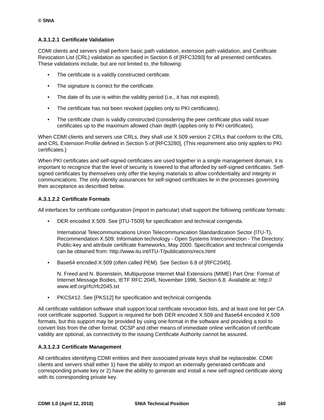### **A.3.1.2.1 Certificate Validation**

CDMI clients and servers shall perform basic path validation, extension path validation, and Certificate Revocation List (CRL) validation as specified in Section 6 of [RFC3280] for all presented certificates. These validations include, but are not limited to, the following:

- The certificate is a validly constructed certificate.
- The signature is correct for the certificate.
- The date of its use is within the validity period (i.e., it has not expired).
- The certificate has not been revoked (applies only to PKI certificates).
- The certificate chain is validly constructed (considering the peer certificate plus valid issuer certificates up to the maximum allowed chain depth (applies only to PKI certificates).

When CDMI clients and servers use CRLs, they shall use X.509 version 2 CRLs that conform to the CRL and CRL Extension Profile defined in Section 5 of [RFC3280], (This requirement also only applies to PKI certificates.)

When PKI certificates and self-signed certificates are used together in a single management domain, it is important to recognize that the level of security is lowered to that afforded by self-signed certificates. Selfsigned certificates by themselves only offer the keying materials to allow confidentiality and integrity in communications. The only identity assurances for self-signed certificates lie in the processes governing their acceptance as described below.

#### **A.3.1.2.2 Certificate Formats**

All interfaces for certificate configuration (import in particular) shall support the following certificate formats:

• DER encoded X.509. See [ITU-T509] for specification and technical corrigenda.

International Telecommunications Union Telecommunication Standardization Sector (ITU-T), Recommendation X.509: Information technology - Open Systems Interconnection - The Directory: Public-key and attribute certificate frameworks, May 2000. Specification and technical corrigenda can be obtained from: http://www.itu.int/ITU-T/publications/recs.html

• Base64 encoded X.509 (often called PEM). See Section 6.8 of [RFC2045].

N. Freed and N. Borenstein, Multipurpose Internet Mail Extensions (MIME) Part One: Format of Internet Message Bodies, IETF RFC 2045, November 1996, Section 6.8. Available at: http:// www.ietf.org/rfc/rfc2045.txt

• PKCS#12. See [PKS12] for specification and technical corrigenda.

All certificate validation software shall support local certificate revocation lists, and at least one list per CA root certificate supported. Support is required for both DER encoded X.509 and Base64 encoded X.509 formats, but this support may be provided by using one format in the software and providing a tool to convert lists from the other format. OCSP and other means of immediate online verification of certificate validity are optional, as connectivity to the issuing Certificate Authority cannot be assured.

#### **A.3.1.2.3 Certificate Management**

All certificates identifying CDMI entities and their associated private keys shall be replaceable. CDMI clients and servers shall either 1) have the ability to import an externally generated certificate and corresponding private key or 2) have the ability to generate and install a new self-signed certificate along with its corresponding private key.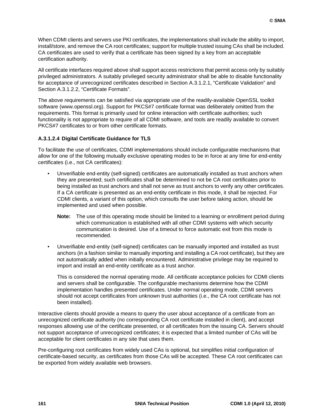When CDMI clients and servers use PKI certificates, the implementations shall include the ability to import, install/store, and remove the CA root certificates; support for multiple trusted issuing CAs shall be included. CA certificates are used to verify that a certificate has been signed by a key from an acceptable certification authority.

All certificate interfaces required above shall support access restrictions that permit access only by suitably privileged administrators. A suitably privileged security administrator shall be able to disable functionality for acceptance of unrecognized certificates described in Section A.3.1.2.1, "Certificate Validation" and Section A.3.1.2.2, "Certificate Formats".

The above requirements can be satisfied via appropriate use of the readily-available OpenSSL toolkit software (www.openssl.org). Support for PKCS#7 certificate format was deliberately omitted from the requirements. This format is primarily used for online interaction with certificate authorities; such functionality is not appropriate to require of all CDMI software, and tools are readily available to convert PKCS#7 certificates to or from other certificate formats.

### **A.3.1.2.4 Digital Certificate Guidance for TLS**

To facilitate the use of certificates, CDMI implementations should include configurable mechanisms that allow for one of the following mutually exclusive operating modes to be in force at any time for end-entity certificates (i.e., not CA certificates):

- Unverifiable end-entity (self-signed) certificates are automatically installed as trust anchors when they are presented; such certificates shall be determined to not be CA root certificates prior to being installed as trust anchors and shall not serve as trust anchors to verify any other certificates. If a CA certificate is presented as an end-entity certificate in this mode, it shall be rejected. For CDMI clients, a variant of this option, which consults the user before taking action, should be implemented and used when possible.
	- **Note:** The use of this operating mode should be limited to a learning or enrollment period during which communication is established with all other CDMI systems with which security communication is desired. Use of a timeout to force automatic exit from this mode is recommended.
- Unverifiable end-entity (self-signed) certificates can be manually imported and installed as trust anchors (in a fashion similar to manually importing and installing a CA root certificate), but they are not automatically added when initially encountered. Administrative privilege may be required to import and install an end-entity certificate as a trust anchor.

This is considered the normal operating mode. All certificate acceptance policies for CDMI clients and servers shall be configurable. The configurable mechanisms determine how the CDMI implementation handles presented certificates. Under normal operating mode, CDMI servers should not accept certificates from unknown trust authorities (i.e., the CA root certificate has not been installed).

Interactive clients should provide a means to query the user about acceptance of a certificate from an unrecognized certificate authority (no corresponding CA root certificate installed in client), and accept responses allowing use of the certificate presented, or all certificates from the issuing CA. Servers should not support acceptance of unrecognized certificates; it is expected that a limited number of CAs will be acceptable for client certificates in any site that uses them.

Pre-configuring root certificates from widely used CAs is optional, but simplifies initial configuration of certificate-based security, as certificates from those CAs will be accepted. These CA root certificates can be exported from widely available web browsers.